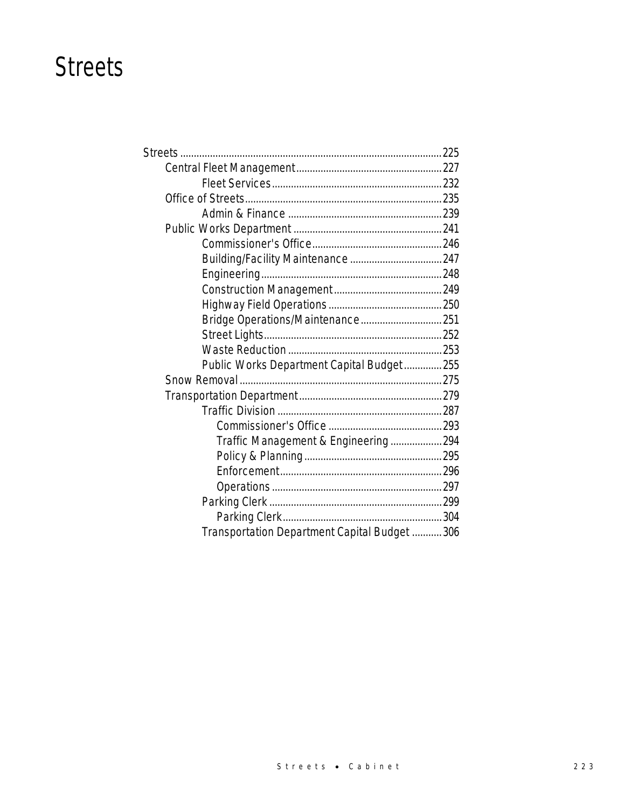### **Streets**

| Bridge Operations/Maintenance 251             |  |
|-----------------------------------------------|--|
|                                               |  |
|                                               |  |
| Public Works Department Capital Budget 255    |  |
|                                               |  |
|                                               |  |
|                                               |  |
|                                               |  |
| Traffic Management & Engineering294           |  |
|                                               |  |
|                                               |  |
|                                               |  |
|                                               |  |
|                                               |  |
| Transportation Department Capital Budget  306 |  |
|                                               |  |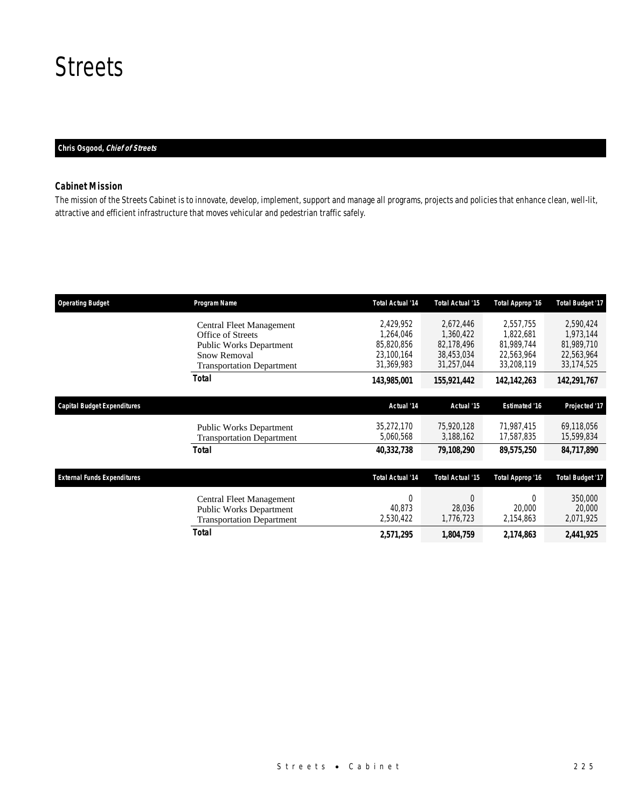### **Streets**

### *Chris Osgood, Chief of Streets*

### *Cabinet Mission*

The mission of the Streets Cabinet is to innovate, develop, implement, support and manage all programs, projects and policies that enhance clean, well-lit, attractive and efficient infrastructure that moves vehicular and pedestrian traffic safely.

| <b>Operating Budget</b>            | Program Name                                                                                                                        | <b>Total Actual '14</b>                                          | Total Actual '15                                                 | Total Approp '16                                                 | <b>Total Budget '17</b>                                          |
|------------------------------------|-------------------------------------------------------------------------------------------------------------------------------------|------------------------------------------------------------------|------------------------------------------------------------------|------------------------------------------------------------------|------------------------------------------------------------------|
|                                    | Central Fleet Management<br>Office of Streets<br>Public Works Department<br><b>Snow Removal</b><br><b>Transportation Department</b> | 2,429,952<br>1.264.046<br>85,820,856<br>23,100,164<br>31,369,983 | 2,672,446<br>1.360.422<br>82,178,496<br>38,453,034<br>31,257,044 | 2,557,755<br>1.822.681<br>81,989,744<br>22,563,964<br>33,208,119 | 2,590,424<br>1,973,144<br>81,989,710<br>22,563,964<br>33,174,525 |
|                                    | <b>Total</b>                                                                                                                        | 143,985,001                                                      | 155,921,442                                                      | 142, 142, 263                                                    | 142,291,767                                                      |
| Capital Budget Expenditures        |                                                                                                                                     | Actual '14                                                       | Actual '15                                                       | <b>Estimated '16</b>                                             | Projected '17                                                    |
|                                    | <b>Public Works Department</b><br><b>Transportation Department</b>                                                                  | 35,272,170<br>5,060,568                                          | 75,920,128<br>3,188,162                                          | 71,987,415<br>17,587,835                                         | 69,118,056<br>15,599,834                                         |
|                                    | Total                                                                                                                               | 40,332,738                                                       | 79,108,290                                                       | 89,575,250                                                       | 84,717,890                                                       |
| <b>External Funds Expenditures</b> |                                                                                                                                     | <b>Total Actual '14</b>                                          | Total Actual '15                                                 | Total Approp '16                                                 | <b>Total Budget '17</b>                                          |
|                                    | Central Fleet Management<br><b>Public Works Department</b><br><b>Transportation Department</b>                                      | $\Omega$<br>40,873<br>2,530,422                                  | $\Omega$<br>28,036<br>1,776,723                                  | $\Omega$<br>20,000<br>2,154,863                                  | 350,000<br>20,000<br>2,071,925                                   |
|                                    | Total                                                                                                                               | 2,571,295                                                        | 1,804,759                                                        | 2,174,863                                                        | 2,441,925                                                        |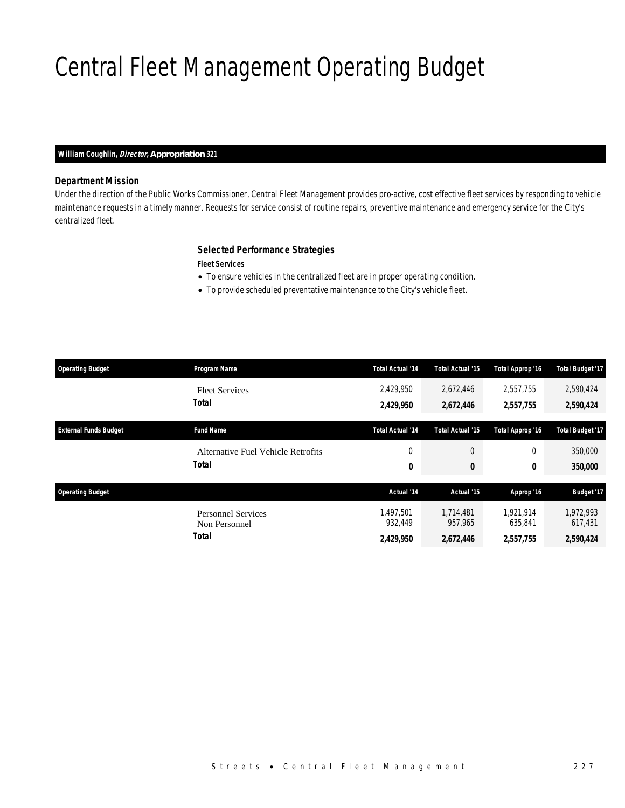# Central Fleet Management Operating Budget

### *William Coughlin, Director, Appropriation 321*

### *Department Mission*

Under the direction of the Public Works Commissioner, Central Fleet Management provides pro-active, cost effective fleet services by responding to vehicle maintenance requests in a timely manner. Requests for service consist of routine repairs, preventive maintenance and emergency service for the City's centralized fleet.

### *Selected Performance Strategies*

*Fleet Services* 

- To ensure vehicles in the centralized fleet are in proper operating condition.
- To provide scheduled preventative maintenance to the City's vehicle fleet.

| <b>Operating Budget</b>      | Program Name                               | <b>Total Actual '14</b> | <b>Total Actual '15</b> | Total Approp '16     | <b>Total Budget '17</b> |
|------------------------------|--------------------------------------------|-------------------------|-------------------------|----------------------|-------------------------|
|                              | <b>Fleet Services</b>                      | 2.429.950               | 2.672.446               | 2.557.755            | 2,590,424               |
|                              | <b>Total</b>                               | 2,429,950               | 2,672,446               | 2,557,755            | 2,590,424               |
| <b>External Funds Budget</b> | <b>Fund Name</b>                           | <b>Total Actual '14</b> | <b>Total Actual '15</b> | Total Approp '16     | <b>Total Budget '17</b> |
|                              | Alternative Fuel Vehicle Retrofits         | 0                       | 0                       | $\theta$             | 350,000                 |
|                              | <b>Total</b>                               | 0                       | 0                       | 0                    | 350,000                 |
| <b>Operating Budget</b>      |                                            | Actual '14              | Actual '15              | Approp '16           | <b>Budget '17</b>       |
|                              | <b>Personnel Services</b><br>Non Personnel | 1.497.501<br>932,449    | 1.714.481<br>957,965    | 1.921.914<br>635,841 | 1,972,993<br>617,431    |
|                              | Total                                      | 2,429,950               | 2,672,446               | 2,557,755            | 2,590,424               |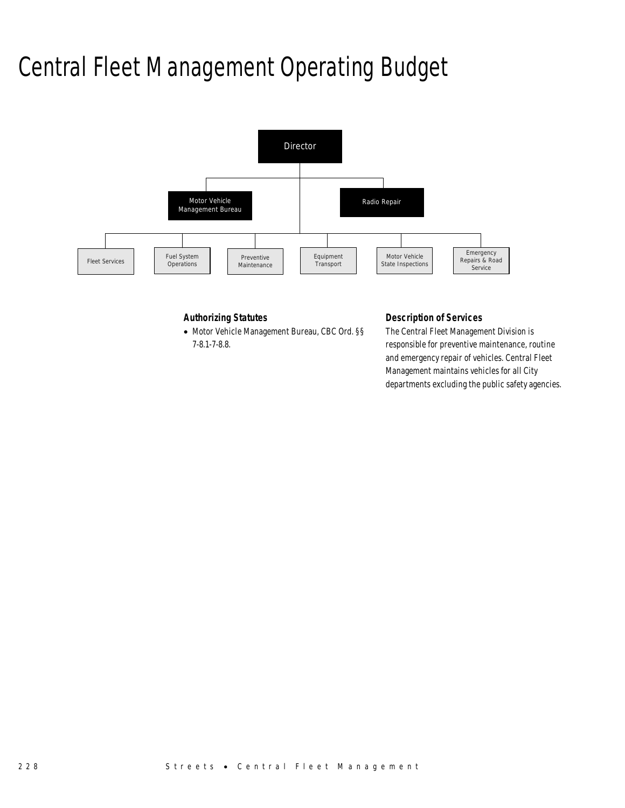# Central Fleet Management Operating Budget



### *Authorizing Statutes*

• Motor Vehicle Management Bureau, CBC Ord. §§ 7-8.1-7-8.8.

### *Description of Services*

The Central Fleet Management Division is responsible for preventive maintenance, routine and emergency repair of vehicles. Central Fleet Management maintains vehicles for all City departments excluding the public safety agencies.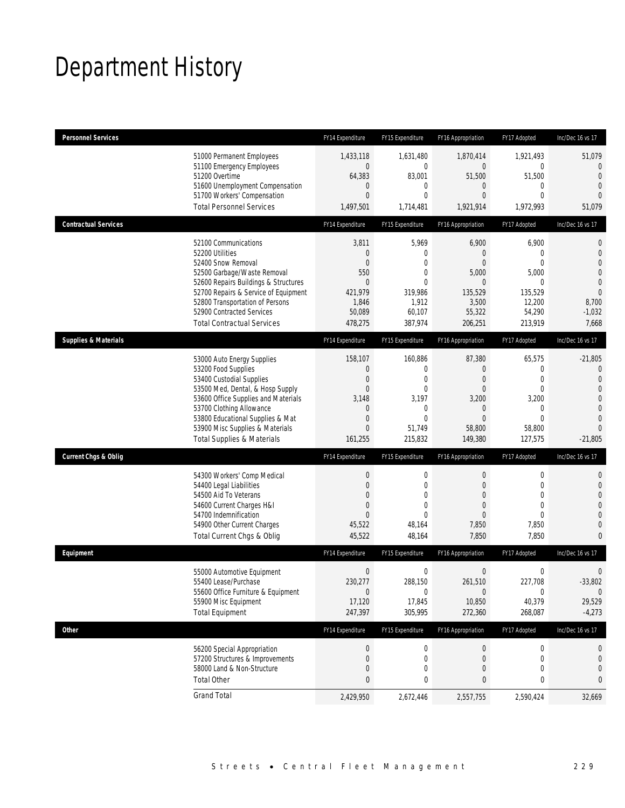# Department History

| <b>Personnel Services</b>       |                                                                                                                                                                                                                                                                                                      | FY14 Expenditure                                                                                        | FY15 Expenditure                                                                                                    | FY16 Appropriation                                                                                            | FY17 Adopted                                                                                            | Inc/Dec 16 vs 17                                                                                                                |
|---------------------------------|------------------------------------------------------------------------------------------------------------------------------------------------------------------------------------------------------------------------------------------------------------------------------------------------------|---------------------------------------------------------------------------------------------------------|---------------------------------------------------------------------------------------------------------------------|---------------------------------------------------------------------------------------------------------------|---------------------------------------------------------------------------------------------------------|---------------------------------------------------------------------------------------------------------------------------------|
|                                 | 51000 Permanent Employees<br>51100 Emergency Employees<br>51200 Overtime<br>51600 Unemployment Compensation<br>51700 Workers' Compensation<br><b>Total Personnel Services</b>                                                                                                                        | 1,433,118<br>$\overline{0}$<br>64,383<br>0<br>$\overline{0}$<br>1,497,501                               | 1,631,480<br>0<br>83,001<br>0<br>0<br>1,714,481                                                                     | 1,870,414<br>0<br>51,500<br>0<br>0<br>1,921,914                                                               | 1,921,493<br>0<br>51,500<br>$\mathbf{0}$<br>$\mathbf{0}$<br>1,972,993                                   | 51,079<br>$\mathbf{0}$<br>$\overline{0}$<br>$\overline{0}$<br>$\overline{0}$<br>51,079                                          |
| <b>Contractual Services</b>     |                                                                                                                                                                                                                                                                                                      | FY14 Expenditure                                                                                        | FY15 Expenditure                                                                                                    | FY16 Appropriation                                                                                            | FY17 Adopted                                                                                            | Inc/Dec 16 vs 17                                                                                                                |
|                                 | 52100 Communications<br>52200 Utilities<br>52400 Snow Removal<br>52500 Garbage/Waste Removal<br>52600 Repairs Buildings & Structures<br>52700 Repairs & Service of Equipment<br>52800 Transportation of Persons<br>52900 Contracted Services<br><b>Total Contractual Services</b>                    | 3,811<br>0<br>$\Omega$<br>550<br>$\overline{0}$<br>421,979<br>1,846<br>50,089<br>478,275                | 5,969<br>$\mathbf 0$<br>$\Omega$<br>0<br>$\Omega$<br>319,986<br>1,912<br>60,107<br>387,974                          | 6,900<br>0<br>0<br>5,000<br>$\mathbf{0}$<br>135,529<br>3,500<br>55,322<br>206,251                             | 6,900<br>$\mathbf{0}$<br>$\theta$<br>5,000<br>0<br>135,529<br>12,200<br>54,290<br>213,919               | 0<br>$\mathbf 0$<br>$\overline{0}$<br>$\overline{0}$<br>$\mathbf 0$<br>$\overline{0}$<br>8,700<br>$-1,032$<br>7,668             |
| <b>Supplies &amp; Materials</b> |                                                                                                                                                                                                                                                                                                      | FY14 Expenditure                                                                                        | FY15 Expenditure                                                                                                    | FY16 Appropriation                                                                                            | FY17 Adopted                                                                                            | Inc/Dec 16 vs 17                                                                                                                |
|                                 | 53000 Auto Energy Supplies<br>53200 Food Supplies<br>53400 Custodial Supplies<br>53500 Med, Dental, & Hosp Supply<br>53600 Office Supplies and Materials<br>53700 Clothing Allowance<br>53800 Educational Supplies & Mat<br>53900 Misc Supplies & Materials<br><b>Total Supplies &amp; Materials</b> | 158,107<br>0<br>$\mathbf 0$<br>$\overline{0}$<br>3,148<br>0<br>$\mathbf 0$<br>$\overline{0}$<br>161,255 | 160,886<br>$\mathbf 0$<br>$\mathbf{0}$<br>$\mathbf{0}$<br>3,197<br>$\mathbf 0$<br>$\mathbf{0}$<br>51,749<br>215,832 | 87,380<br>$\mathbf 0$<br>0<br>$\boldsymbol{0}$<br>3,200<br>$\mathbf 0$<br>$\overline{0}$<br>58,800<br>149,380 | 65,575<br>0<br>$\mathbf{0}$<br>$\mathbf 0$<br>3,200<br>$\mathbf 0$<br>$\mathbf{0}$<br>58,800<br>127,575 | $-21,805$<br>0<br>$\overline{0}$<br>$\overline{0}$<br>$\mathbf{0}$<br>$\overline{0}$<br>$\overline{0}$<br>$\Omega$<br>$-21,805$ |
| <b>Current Chgs &amp; Oblig</b> |                                                                                                                                                                                                                                                                                                      | FY14 Expenditure                                                                                        | FY15 Expenditure                                                                                                    | FY16 Appropriation                                                                                            | FY17 Adopted                                                                                            | Inc/Dec 16 vs 17                                                                                                                |
|                                 | 54300 Workers' Comp Medical<br>54400 Legal Liabilities<br>54500 Aid To Veterans<br>54600 Current Charges H&I<br>54700 Indemnification<br>54900 Other Current Charges<br>Total Current Chgs & Oblig                                                                                                   | 0<br>$\boldsymbol{0}$<br>0<br>0<br>$\Omega$<br>45,522<br>45,522                                         | 0<br>$\mathbf 0$<br>0<br>$\overline{0}$<br>$\Omega$<br>48,164<br>48,164                                             | $\mathbf 0$<br>$\overline{0}$<br>0<br>0<br>0<br>7,850<br>7,850                                                | 0<br>$\mathbf 0$<br>$\mathbf{0}$<br>$\mathbf{0}$<br>$\theta$<br>7,850<br>7,850                          | 0<br>$\mathbf 0$<br>$\overline{0}$<br>$\overline{0}$<br>$\overline{0}$<br>$\overline{0}$<br>$\overline{0}$                      |
| Equipment                       |                                                                                                                                                                                                                                                                                                      | FY14 Expenditure                                                                                        | FY15 Expenditure                                                                                                    | FY16 Appropriation                                                                                            | FY17 Adopted                                                                                            | Inc/Dec 16 vs 17                                                                                                                |
|                                 | 55000 Automotive Equipment<br>55400 Lease/Purchase<br>55600 Office Furniture & Equipment<br>55900 Misc Equipment<br><b>Total Equipment</b>                                                                                                                                                           | $\boldsymbol{0}$<br>230,277<br>$\mathbf 0$<br>17,120<br>247,397                                         | 0<br>288,150<br>$\mathbf 0$<br>17,845<br>305,995                                                                    | $\boldsymbol{0}$<br>261,510<br>$\mathbf 0$<br>10,850<br>272,360                                               | $\boldsymbol{0}$<br>227,708<br>$\boldsymbol{0}$<br>40,379<br>268,087                                    | $\mathbf 0$<br>$-33,802$<br>$\mathbf 0$<br>29,529<br>$-4,273$                                                                   |
| <b>Other</b>                    |                                                                                                                                                                                                                                                                                                      | FY14 Expenditure                                                                                        | FY15 Expenditure                                                                                                    | FY16 Appropriation                                                                                            | FY17 Adopted                                                                                            | Inc/Dec 16 vs 17                                                                                                                |
| <b>Total Other</b>              | 56200 Special Appropriation<br>57200 Structures & Improvements<br>58000 Land & Non-Structure                                                                                                                                                                                                         | 0<br>0<br>0<br>0                                                                                        | 0<br>0<br>0<br>0                                                                                                    | $\bf{0}$<br>0<br>0<br>0                                                                                       | 0<br>0<br>$\mathbf{0}$<br>0                                                                             | 0<br>0<br>0<br>0                                                                                                                |
| <b>Grand Total</b>              |                                                                                                                                                                                                                                                                                                      | 2,429,950                                                                                               | 2,672,446                                                                                                           | 2,557,755                                                                                                     | 2,590,424                                                                                               | 32,669                                                                                                                          |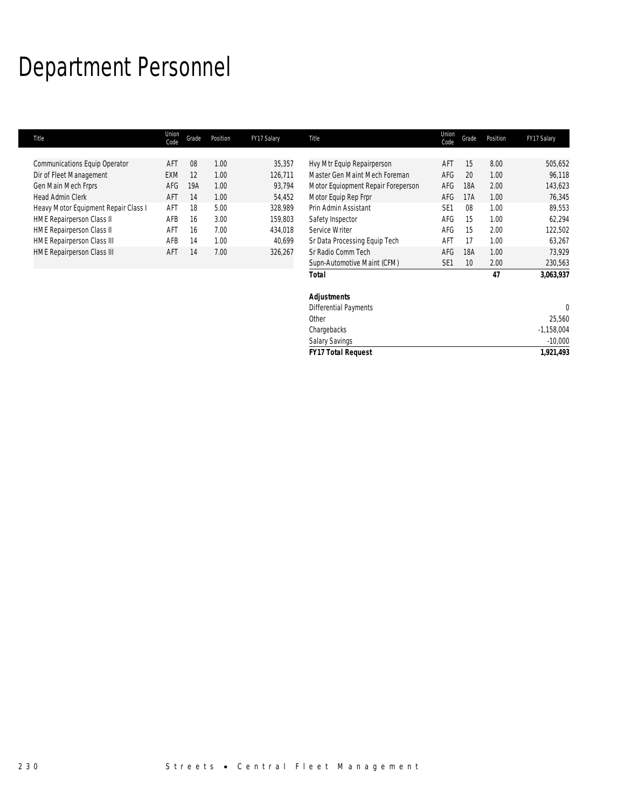# Department Personnel

| Title                                | Union<br>Code | Grade | Position | FY17 Salary | Title                              | Union<br>Code   | Grade           | Position | FY17 Salary  |
|--------------------------------------|---------------|-------|----------|-------------|------------------------------------|-----------------|-----------------|----------|--------------|
|                                      |               |       |          |             |                                    |                 |                 |          |              |
| <b>Communications Equip Operator</b> | <b>AFT</b>    | 08    | 1.00     | 35,357      | Hvy Mtr Equip Repairperson         | AFT             | 15              | 8.00     | 505,652      |
| Dir of Fleet Management              | <b>EXM</b>    | 12    | 1.00     | 126,711     | Master Gen Maint Mech Foreman      | AFG             | 20              | 1.00     | 96,118       |
| Gen Main Mech Frprs                  | AFG           | 19A   | 1.00     | 93,794      | Motor Equiopment Repair Foreperson | AFG             | 18A             | 2.00     | 143,623      |
| <b>Head Admin Clerk</b>              | AFT           | 14    | 1.00     | 54,452      | Motor Equip Rep Frpr               | AFG             | 17A             | 1.00     | 76,345       |
| Heavy Motor Equipment Repair Class I | AFT           | 18    | 5.00     | 328,989     | Prin Admin Assistant               | SE <sub>1</sub> | 08              | 1.00     | 89,553       |
| <b>HME Repairperson Class II</b>     | AFB           | 16    | 3.00     | 159,803     | Safety Inspector                   | AFG             | 15              | 1.00     | 62,294       |
| <b>HME Repairperson Class II</b>     | AFT           | 16    | 7.00     | 434,018     | Service Writer                     | AFG             | 15              | 2.00     | 122,502      |
| <b>HME Repairperson Class III</b>    | AFB           | 14    | 1.00     | 40,699      | Sr Data Processing Equip Tech      | AFT             | 17              | 1.00     | 63,267       |
| <b>HME Repairperson Class III</b>    | AFT           | 14    | 7.00     | 326,267     | Sr Radio Comm Tech                 | AFG             | 18A             | 1.00     | 73,929       |
|                                      |               |       |          |             | Supn-Automotive Maint (CFM)        | SE <sub>1</sub> | 10 <sup>°</sup> | 2.00     | 230,563      |
|                                      |               |       |          |             | <b>Total</b>                       |                 |                 | 47       | 3,063,937    |
|                                      |               |       |          |             | <b>Adjustments</b>                 |                 |                 |          |              |
|                                      |               |       |          |             | Differential Payments              |                 |                 |          | $\mathbf{0}$ |
|                                      |               |       |          |             | Other                              |                 |                 |          | 25,560       |
|                                      |               |       |          |             | Chargebacks                        |                 |                 |          | $-1,158,004$ |
|                                      |               |       |          |             | <b>Salary Savings</b>              |                 |                 |          | $-10,000$    |
|                                      |               |       |          |             | <b>FY17 Total Request</b>          |                 |                 |          | 1,921,493    |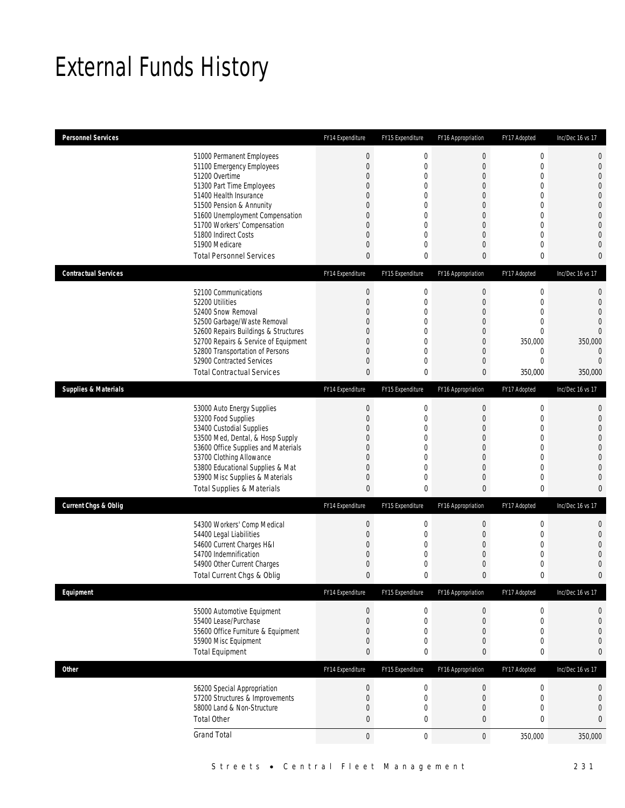## External Funds History

| <b>Personnel Services</b>       |                                                                         | FY14 Expenditure                     | FY15 Expenditure              | FY16 Appropriation         | FY17 Adopted                   | Inc/Dec 16 vs 17                 |
|---------------------------------|-------------------------------------------------------------------------|--------------------------------------|-------------------------------|----------------------------|--------------------------------|----------------------------------|
|                                 | 51000 Permanent Employees                                               | $\boldsymbol{0}$                     | $\boldsymbol{0}$              | $\mathbf 0$                | $\boldsymbol{0}$               | $\mathbf 0$                      |
|                                 | 51100 Emergency Employees<br>51200 Overtime                             | $\boldsymbol{0}$<br>$\boldsymbol{0}$ | $\mathbf 0$<br>$\overline{0}$ | 0<br>$\overline{0}$        | $\mathbf 0$<br>$\mathbf 0$     | $\mathbf 0$<br>$\overline{0}$    |
|                                 | 51300 Part Time Employees                                               | 0                                    | 0                             | 0                          | $\mathbf{0}$                   | $\overline{0}$                   |
|                                 | 51400 Health Insurance                                                  | 0                                    | $\Omega$                      | $\Omega$                   | $\mathbf{0}$                   | $\overline{0}$                   |
|                                 | 51500 Pension & Annunity                                                | 0                                    | 0                             | 0                          | $\mathbf 0$                    | $\mathbf{0}$                     |
|                                 | 51600 Unemployment Compensation<br>51700 Workers' Compensation          | 0<br>$\boldsymbol{0}$                | 0<br>$\overline{0}$           | $\Omega$<br>$\overline{0}$ | $\mathbf{0}$<br>$\mathbf 0$    | $\mathbf 0$<br>$\overline{0}$    |
|                                 | 51800 Indirect Costs                                                    | 0                                    | 0                             | 0                          | $\mathbf{0}$                   | $\overline{0}$                   |
|                                 | 51900 Medicare                                                          | $\boldsymbol{0}$                     | $\overline{0}$                | 0                          | $\mathbf 0$                    | $\overline{0}$                   |
|                                 | <b>Total Personnel Services</b>                                         | 0                                    | 0                             | 0                          | 0                              | $\mathbf{0}$                     |
| <b>Contractual Services</b>     |                                                                         | FY14 Expenditure                     | FY15 Expenditure              | FY16 Appropriation         | FY17 Adopted                   | Inc/Dec 16 vs 17                 |
|                                 | 52100 Communications                                                    | $\boldsymbol{0}$                     | 0                             | $\boldsymbol{0}$           | $\boldsymbol{0}$               | $\mathbf 0$                      |
|                                 | 52200 Utilities                                                         | $\boldsymbol{0}$                     | $\mathbf 0$                   | $\boldsymbol{0}$           | $\mathbf 0$                    | $\mathbf 0$                      |
|                                 | 52400 Snow Removal<br>52500 Garbage/Waste Removal                       | 0<br>0                               | $\Omega$<br>$\overline{0}$    | 0<br>0                     | $\overline{0}$<br>$\mathbf{0}$ | $\overline{0}$<br>$\overline{0}$ |
|                                 | 52600 Repairs Buildings & Structures                                    | 0                                    | 0                             | 0                          | $\mathbf{0}$                   | $\overline{0}$                   |
|                                 | 52700 Repairs & Service of Equipment                                    | $\boldsymbol{0}$                     | $\mathbf 0$                   | $\boldsymbol{0}$           | 350,000                        | 350,000                          |
|                                 | 52800 Transportation of Persons<br>52900 Contracted Services            | 0<br>0                               | 0<br>0                        | 0<br>0                     | $\mathbf 0$<br>$\mathbf{0}$    | $\overline{0}$<br>$\overline{0}$ |
|                                 | <b>Total Contractual Services</b>                                       | $\bf{0}$                             | 0                             | 0                          | 350,000                        | 350,000                          |
| <b>Supplies &amp; Materials</b> |                                                                         | FY14 Expenditure                     | FY15 Expenditure              | FY16 Appropriation         | FY17 Adopted                   | Inc/Dec 16 vs 17                 |
|                                 | 53000 Auto Energy Supplies                                              | $\boldsymbol{0}$                     | 0                             | $\mathbf 0$                | $\boldsymbol{0}$               | $\mathbf{0}$                     |
|                                 | 53200 Food Supplies                                                     | $\boldsymbol{0}$                     | $\mathbf 0$                   | $\boldsymbol{0}$           | $\mathbf 0$                    | $\mathbf 0$                      |
|                                 | 53400 Custodial Supplies                                                | 0                                    | 0                             | $\overline{0}$             | $\overline{0}$                 | $\overline{0}$                   |
|                                 | 53500 Med, Dental, & Hosp Supply<br>53600 Office Supplies and Materials | 0<br>0                               | $\mathbf 0$<br>0              | 0<br>0                     | $\mathbf 0$<br>$\mathbf{0}$    | $\overline{0}$<br>$\mathbf 0$    |
|                                 | 53700 Clothing Allowance                                                | $\boldsymbol{0}$                     | $\overline{0}$                | $\overline{0}$             | $\mathbf 0$                    | $\overline{0}$                   |
|                                 | 53800 Educational Supplies & Mat                                        | 0                                    | $\overline{0}$                | $\overline{0}$             | $\mathbf{0}$                   | $\overline{0}$                   |
|                                 | 53900 Misc Supplies & Materials                                         | 0                                    | 0                             | 0                          | $\mathbf 0$                    | $\overline{0}$                   |
|                                 | <b>Total Supplies &amp; Materials</b>                                   | $\bf{0}$                             | 0                             | 0                          | $\bf{0}$                       | $\overline{0}$                   |
| <b>Current Chgs &amp; Oblig</b> |                                                                         | FY14 Expenditure                     | FY15 Expenditure              | FY16 Appropriation         | FY17 Adopted                   | Inc/Dec 16 vs 17                 |
|                                 | 54300 Workers' Comp Medical                                             | $\pmb{0}$                            | 0                             | $\boldsymbol{0}$           | $\boldsymbol{0}$               | $\mathbf 0$                      |
|                                 | 54400 Legal Liabilities                                                 | $\boldsymbol{0}$                     | $\mathbf 0$                   | $\boldsymbol{0}$           | $\mathbf 0$                    | $\mathbf 0$                      |
|                                 | 54600 Current Charges H&I<br>54700 Indemnification                      | 0<br>$\boldsymbol{0}$                | 0<br>0                        | 0<br>0                     | $\mathbf{0}$<br>$\mathbf 0$    | $\overline{0}$<br>$\overline{0}$ |
|                                 | 54900 Other Current Charges                                             | 0                                    | 0                             | 0                          | $\mathbf 0$                    | $\mathbf 0$                      |
|                                 | Total Current Chgs & Oblig                                              | $\mathbf{0}$                         | 0                             | $\mathbf{0}$               | $\mathbf{0}$                   | $\mathbf{0}$                     |
| Equipment                       |                                                                         | FY14 Expenditure                     | FY15 Expenditure              | FY16 Appropriation         | FY17 Adopted                   | Inc/Dec 16 vs 17                 |
|                                 | 55000 Automotive Equipment                                              | $\pmb{0}$                            | 0                             | $\boldsymbol{0}$           | $\boldsymbol{0}$               | 0                                |
|                                 | 55400 Lease/Purchase                                                    | $\boldsymbol{0}$                     | $\mathbf 0$                   | $\boldsymbol{0}$           | $\boldsymbol{0}$               | $\mathbf{0}$                     |
|                                 | 55600 Office Furniture & Equipment<br>55900 Misc Equipment              | $\boldsymbol{0}$<br>0                | $\mathbf 0$<br>0              | 0<br>0                     | $\mathbf{0}$<br>$\mathbf 0$    | $\mathbf 0$<br>$\mathbf{0}$      |
|                                 | <b>Total Equipment</b>                                                  | 0                                    | 0                             | 0                          | $\mathbf 0$                    | $\bf{0}$                         |
| Other                           |                                                                         | FY14 Expenditure                     | FY15 Expenditure              | FY16 Appropriation         | FY17 Adopted                   | Inc/Dec 16 vs 17                 |
|                                 | 56200 Special Appropriation                                             | $\pmb{0}$                            | 0                             | $\boldsymbol{0}$           | $\boldsymbol{0}$               | $\mathbf 0$                      |
|                                 | 57200 Structures & Improvements                                         | $\boldsymbol{0}$                     | $\mathbf 0$                   | $\boldsymbol{0}$           | $\mathbf 0$                    | $\boldsymbol{0}$                 |
|                                 | 58000 Land & Non-Structure                                              | 0                                    | 0                             | 0                          | $\mathbf 0$                    | $\mathbf 0$                      |
|                                 | <b>Total Other</b>                                                      | $\pmb{0}$                            | $\bf{0}$                      | $\bf{0}$                   | $\bf{0}$                       | $\bf{0}$                         |
|                                 | <b>Grand Total</b>                                                      | $\boldsymbol{0}$                     | $\mathbf 0$                   | $\mathbf 0$                | 350,000                        | 350,000                          |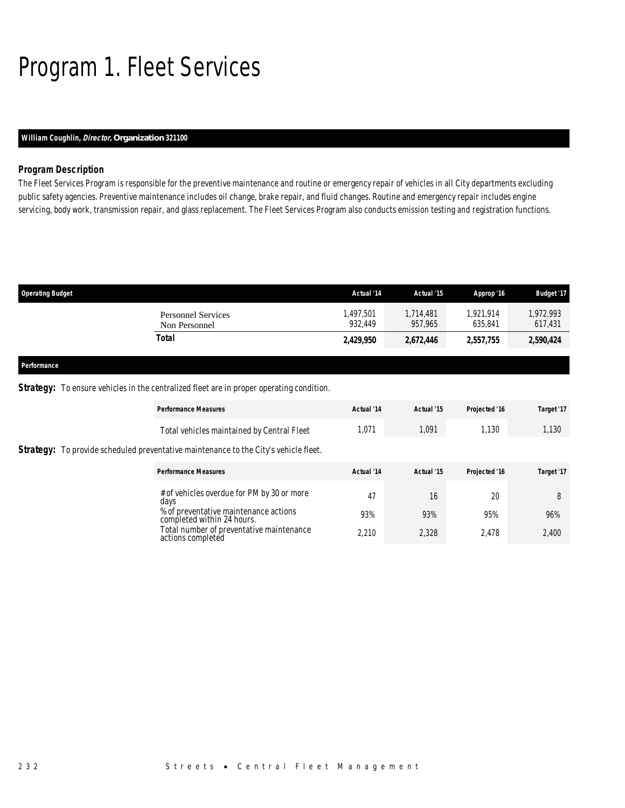# Program 1. Fleet Services

### *William Coughlin, Director, Organization 321100*

### *Program Description*

The Fleet Services Program is responsible for the preventive maintenance and routine or emergency repair of vehicles in all City departments excluding public safety agencies. Preventive maintenance includes oil change, brake repair, and fluid changes. Routine and emergency repair includes engine servicing, body work, transmission repair, and glass replacement. The Fleet Services Program also conducts emission testing and registration functions.

| <b>Operating Budget</b>                    | Actual '14          | Actual '15           | Approp '16           | <b>Budget '17</b>   |
|--------------------------------------------|---------------------|----------------------|----------------------|---------------------|
| <b>Personnel Services</b><br>Non Personnel | .497.501<br>932.449 | 1,714,481<br>957.965 | 1.921.914<br>635.841 | .972.993<br>617,431 |
| Total                                      | 2,429,950           | 2,672,446            | 2,557,755            | 2,590,424           |
|                                            |                     |                      |                      |                     |

#### *Performance*

### *Strategy:* To ensure vehicles in the centralized fleet are in proper operating condition.

| <b>Performance Measures</b>                                                                 | Actual '14 | Actual '15 | Projected '16 | Target '17 |
|---------------------------------------------------------------------------------------------|------------|------------|---------------|------------|
| Total vehicles maintained by Central Fleet                                                  | 1,071      | 1,091      | 1.130         | 1,130      |
| <b>Strategy:</b> To provide scheduled preventative maintenance to the City's vehicle fleet. |            |            |               |            |
| <b>Performance Measures</b>                                                                 | Actual '14 | Actual '15 | Projected '16 | Target '17 |
| # of vehicles overdue for PM by 30 or more<br>days                                          | 47         | 16         | 20            | 8          |
| % of preventative maintenance actions<br>completed within 24 hours.                         | 93%        | 93%        | 95%           | 96%        |
| Total number of preventative maintenance<br>actions completed                               | 2.210      | 2,328      | 2.478         | 2,400      |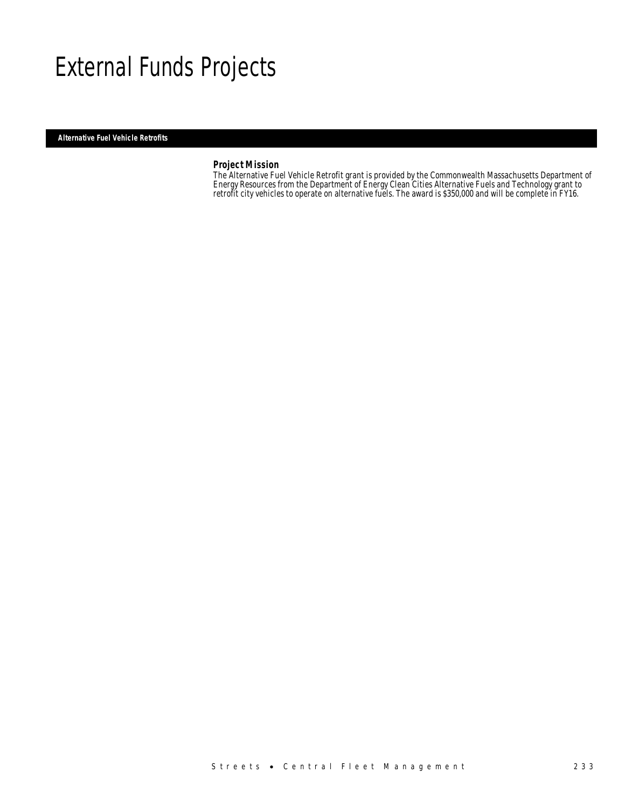## External Funds Projects

*Alternative Fuel Vehicle Retrofits* 

### *Project Mission*

The Alternative Fuel Vehicle Retrofit grant is provided by the Commonwealth Massachusetts Department of Energy Resources from the Department of Energy Clean Cities Alternative Fuels and Technology grant to retrofit city vehicles to operate on alternative fuels. The award is \$350,000 and will be complete in FY16.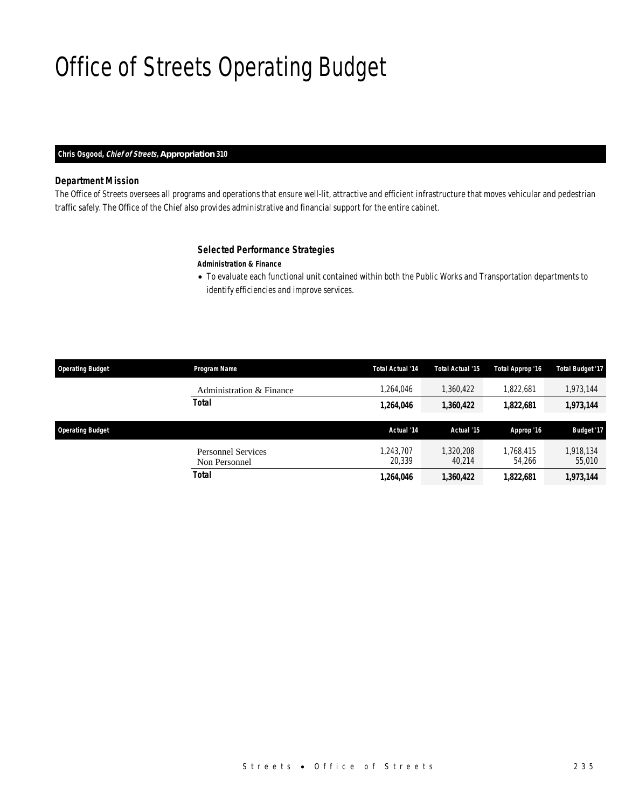# Office of Streets Operating Budget

### *Chris Osgood, Chief of Streets, Appropriation 310*

### *Department Mission*

The Office of Streets oversees all programs and operations that ensure well-lit, attractive and efficient infrastructure that moves vehicular and pedestrian traffic safely. The Office of the Chief also provides administrative and financial support for the entire cabinet.

### *Selected Performance Strategies*

### *Administration & Finance*

• To evaluate each functional unit contained within both the Public Works and Transportation departments to identify efficiencies and improve services.

| <b>Operating Budget</b> | Program Name                               | <b>Total Actual '14</b> | <b>Total Actual '15</b> | Total Approp '16    | <b>Total Budget '17</b> |
|-------------------------|--------------------------------------------|-------------------------|-------------------------|---------------------|-------------------------|
|                         | Administration & Finance                   | ,264,046                | 1,360,422               | 1,822,681           | 1,973,144               |
|                         | <b>Total</b>                               | 1,264,046               | 1,360,422               | 1,822,681           | 1,973,144               |
| <b>Operating Budget</b> |                                            |                         |                         |                     |                         |
|                         |                                            | Actual '14              | Actual '15              | Approp '16          | Budget '17              |
|                         | <b>Personnel Services</b><br>Non Personnel | 1.243.707<br>20.339     | 1,320,208<br>40.214     | 1.768.415<br>54,266 | 1,918,134<br>55,010     |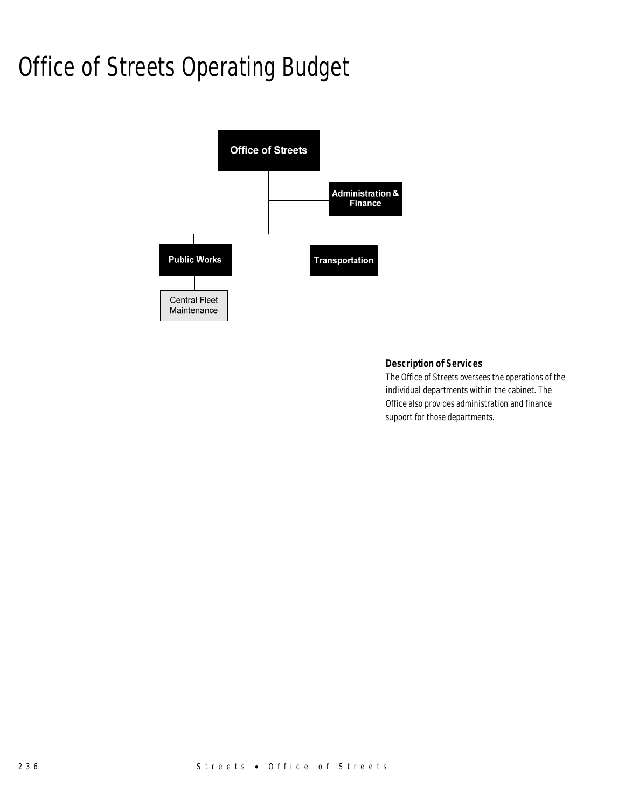# Office of Streets Operating Budget



### *Description of Services*

The Office of Streets oversees the operations of the individual departments within the cabinet. The Office also provides administration and finance support for those departments.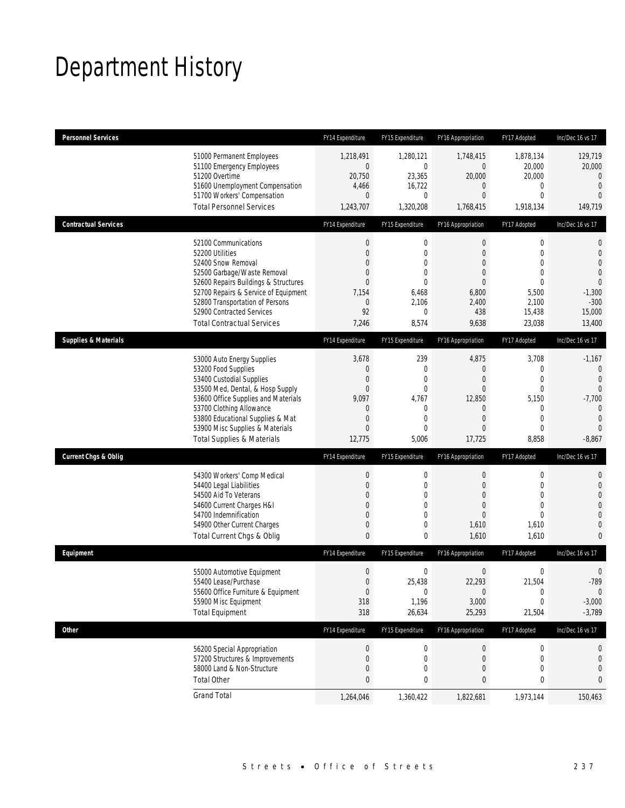# Department History

| <b>Personnel Services</b>       |                                                                                                                                                                                                                                                                                                      | FY14 Expenditure                                                                                   | FY15 Expenditure                                                                                                     | FY16 Appropriation                                                                                                  | FY17 Adopted                                                                                                              | Inc/Dec 16 vs 17                                                                                                                  |
|---------------------------------|------------------------------------------------------------------------------------------------------------------------------------------------------------------------------------------------------------------------------------------------------------------------------------------------------|----------------------------------------------------------------------------------------------------|----------------------------------------------------------------------------------------------------------------------|---------------------------------------------------------------------------------------------------------------------|---------------------------------------------------------------------------------------------------------------------------|-----------------------------------------------------------------------------------------------------------------------------------|
|                                 | 51000 Permanent Employees<br>51100 Emergency Employees<br>51200 Overtime<br>51600 Unemployment Compensation<br>51700 Workers' Compensation<br><b>Total Personnel Services</b>                                                                                                                        | 1,218,491<br>$\overline{0}$<br>20,750<br>4,466<br>$\overline{0}$<br>1,243,707                      | 1,280,121<br>0<br>23,365<br>16,722<br>$\mathbf 0$<br>1,320,208                                                       | 1,748,415<br>$\mathbf 0$<br>20,000<br>$\overline{0}$<br>$\overline{0}$<br>1,768,415                                 | 1,878,134<br>20,000<br>20,000<br>0<br>$\mathbf{0}$<br>1,918,134                                                           | 129,719<br>20,000<br>0<br>$\mathbf{0}$<br>$\overline{0}$<br>149,719                                                               |
| <b>Contractual Services</b>     |                                                                                                                                                                                                                                                                                                      | FY14 Expenditure                                                                                   | FY15 Expenditure                                                                                                     | FY16 Appropriation                                                                                                  | FY17 Adopted                                                                                                              | Inc/Dec 16 vs 17                                                                                                                  |
|                                 | 52100 Communications<br>52200 Utilities<br>52400 Snow Removal<br>52500 Garbage/Waste Removal<br>52600 Repairs Buildings & Structures<br>52700 Repairs & Service of Equipment<br>52800 Transportation of Persons<br>52900 Contracted Services<br><b>Total Contractual Services</b>                    | $\boldsymbol{0}$<br>$\overline{0}$<br>$\Omega$<br>0<br>$\overline{0}$<br>7,154<br>0<br>92<br>7,246 | $\mathbf 0$<br>$\mathbf 0$<br>$\mathbf{0}$<br>$\mathbf 0$<br>$\mathbf{0}$<br>6,468<br>2,106<br>$\mathbf{0}$<br>8,574 | $\boldsymbol{0}$<br>$\overline{0}$<br>$\theta$<br>$\overline{0}$<br>$\theta$<br>6,800<br>2,400<br>438<br>9,638      | $\boldsymbol{0}$<br>$\mathbf 0$<br>$\overline{0}$<br>$\overline{0}$<br>$\mathbf{0}$<br>5,500<br>2,100<br>15,438<br>23,038 | 0<br>$\mathbf 0$<br>$\mathbf{0}$<br>$\overline{0}$<br>$\overline{0}$<br>$-1,300$<br>$-300$<br>15,000<br>13,400                    |
| <b>Supplies &amp; Materials</b> |                                                                                                                                                                                                                                                                                                      | FY14 Expenditure                                                                                   | FY15 Expenditure                                                                                                     | FY16 Appropriation                                                                                                  | FY17 Adopted                                                                                                              | Inc/Dec 16 vs 17                                                                                                                  |
|                                 | 53000 Auto Energy Supplies<br>53200 Food Supplies<br>53400 Custodial Supplies<br>53500 Med, Dental, & Hosp Supply<br>53600 Office Supplies and Materials<br>53700 Clothing Allowance<br>53800 Educational Supplies & Mat<br>53900 Misc Supplies & Materials<br><b>Total Supplies &amp; Materials</b> | 3,678<br>0<br>0<br>$\overline{0}$<br>9,097<br>0<br>$\mathbf 0$<br>$\overline{0}$<br>12,775         | 239<br>$\mathbf 0$<br>$\mathbf{0}$<br>$\mathbf 0$<br>4,767<br>$\mathbf 0$<br>0<br>$\mathbf{0}$<br>5,006              | 4,875<br>$\theta$<br>$\theta$<br>$\overline{0}$<br>12,850<br>$\theta$<br>$\overline{0}$<br>$\overline{0}$<br>17,725 | 3,708<br>0<br>$\overline{0}$<br>$\mathbf{0}$<br>5,150<br>0<br>$\mathbf{0}$<br>$\overline{0}$<br>8,858                     | $-1,167$<br>$\mathbf 0$<br>$\overline{0}$<br>$\overline{0}$<br>$-7,700$<br>$\overline{0}$<br>$\mathbf{0}$<br>$\Omega$<br>$-8,867$ |
| <b>Current Chgs &amp; Oblig</b> |                                                                                                                                                                                                                                                                                                      | FY14 Expenditure                                                                                   | FY15 Expenditure                                                                                                     | FY16 Appropriation                                                                                                  | FY17 Adopted                                                                                                              | Inc/Dec 16 vs 17                                                                                                                  |
|                                 | 54300 Workers' Comp Medical<br>54400 Legal Liabilities<br>54500 Aid To Veterans<br>54600 Current Charges H&I<br>54700 Indemnification<br>54900 Other Current Charges<br>Total Current Chgs & Oblig                                                                                                   | $\boldsymbol{0}$<br>$\boldsymbol{0}$<br>0<br>0<br>$\overline{0}$<br>$\mathbf 0$<br>$\mathbf{0}$    | 0<br>$\mathbf 0$<br>$\mathbf{0}$<br>$\mathbf 0$<br>$\mathbf{0}$<br>0<br>$\mathbf 0$                                  | $\mathbf 0$<br>$\mathbf 0$<br>$\theta$<br>$\overline{0}$<br>$\overline{0}$<br>1,610<br>1,610                        | 0<br>$\mathbf 0$<br>$\mathbf{0}$<br>$\overline{0}$<br>$\mathbf{0}$<br>1,610<br>1,610                                      | $\mathbf 0$<br>$\mathbf 0$<br>$\overline{0}$<br>$\overline{0}$<br>$\mathbf 0$<br>$\mathbf{0}$<br>$\overline{0}$                   |
| Equipment                       |                                                                                                                                                                                                                                                                                                      | FY14 Expenditure                                                                                   | FY15 Expenditure                                                                                                     | FY16 Appropriation                                                                                                  | FY17 Adopted                                                                                                              | Inc/Dec 16 vs 17                                                                                                                  |
|                                 | 55000 Automotive Equipment<br>55400 Lease/Purchase<br>55600 Office Furniture & Equipment<br>55900 Misc Equipment<br><b>Total Equipment</b>                                                                                                                                                           | $\boldsymbol{0}$<br>$\Omega$<br>$\overline{0}$<br>318<br>318                                       | 0<br>25,438<br>$\mathbf 0$<br>1,196<br>26,634                                                                        | $\boldsymbol{0}$<br>22,293<br>$\theta$<br>3,000<br>25,293                                                           | 0<br>21,504<br>$\boldsymbol{0}$<br>0<br>21,504                                                                            | $\mathbf 0$<br>$-789$<br>$\mathbf 0$<br>$-3,000$<br>$-3,789$                                                                      |
| <b>Other</b>                    |                                                                                                                                                                                                                                                                                                      | FY14 Expenditure                                                                                   | FY15 Expenditure                                                                                                     | FY16 Appropriation                                                                                                  | FY17 Adopted                                                                                                              | Inc/Dec 16 vs 17                                                                                                                  |
|                                 | 56200 Special Appropriation<br>57200 Structures & Improvements<br>58000 Land & Non-Structure<br><b>Total Other</b>                                                                                                                                                                                   | $\boldsymbol{0}$<br>0<br>0<br>0                                                                    | 0<br>0<br>0<br>0                                                                                                     | $\theta$<br>$\theta$<br>$\overline{0}$<br>0                                                                         | 0<br>0<br>$\mathbf{0}$<br>0                                                                                               | 0<br>0<br>0<br>0                                                                                                                  |
|                                 | <b>Grand Total</b>                                                                                                                                                                                                                                                                                   | 1,264,046                                                                                          | 1,360,422                                                                                                            | 1,822,681                                                                                                           | 1,973,144                                                                                                                 | 150,463                                                                                                                           |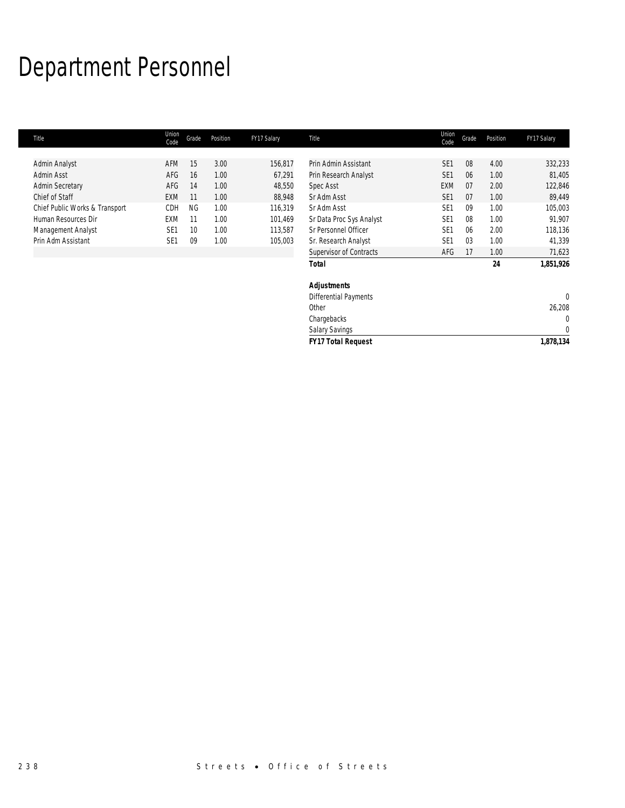# Department Personnel

| Title                          | Union<br>Code   | Grade     | Position | FY17 Salary | Title                        | Union<br>Code   | Grade | Position | FY17 Salary  |
|--------------------------------|-----------------|-----------|----------|-------------|------------------------------|-----------------|-------|----------|--------------|
|                                |                 |           |          |             |                              |                 |       |          |              |
| Admin Analyst                  | AFM             | 15        | 3.00     | 156,817     | Prin Admin Assistant         | SE <sub>1</sub> | 08    | 4.00     | 332,233      |
| Admin Asst                     | AFG             | 16        | 1.00     | 67,291      | Prin Research Analyst        | SE <sub>1</sub> | 06    | 1.00     | 81,405       |
| <b>Admin Secretary</b>         | AFG             | 14        | 1.00     | 48,550      | Spec Asst                    | <b>EXM</b>      | 07    | 2.00     | 122,846      |
| Chief of Staff                 | <b>EXM</b>      | 11        | 1.00     | 88,948      | Sr Adm Asst                  | SE <sub>1</sub> | 07    | 1.00     | 89,449       |
| Chief Public Works & Transport | CDH             | <b>NG</b> | 1.00     | 116,319     | Sr Adm Asst                  | SE <sub>1</sub> | 09    | 1.00     | 105,003      |
| Human Resources Dir            | <b>EXM</b>      | 11        | 1.00     | 101,469     | Sr Data Proc Sys Analyst     | SE <sub>1</sub> | 08    | 1.00     | 91,907       |
| Management Analyst             | SE <sub>1</sub> | 10        | 1.00     | 113,587     | Sr Personnel Officer         | SE <sub>1</sub> | 06    | 2.00     | 118,136      |
| Prin Adm Assistant             | SE <sub>1</sub> | 09        | 1.00     | 105,003     | Sr. Research Analyst         | SE <sub>1</sub> | 03    | 1.00     | 41,339       |
|                                |                 |           |          |             | Supervisor of Contracts      | AFG             | 17    | 1.00     | 71,623       |
|                                |                 |           |          |             | <b>Total</b>                 |                 |       | 24       | 1,851,926    |
|                                |                 |           |          |             | <b>Adjustments</b>           |                 |       |          |              |
|                                |                 |           |          |             | <b>Differential Payments</b> |                 |       |          | $\mathbf{0}$ |
|                                |                 |           |          |             | Other                        |                 |       |          | 26,208       |
|                                |                 |           |          |             | Chargebacks                  |                 |       |          | $\mathbf{0}$ |
|                                |                 |           |          |             | <b>Salary Savings</b>        |                 |       |          | $\mathbf 0$  |
|                                |                 |           |          |             | <b>FY17 Total Request</b>    |                 |       |          | 1,878,134    |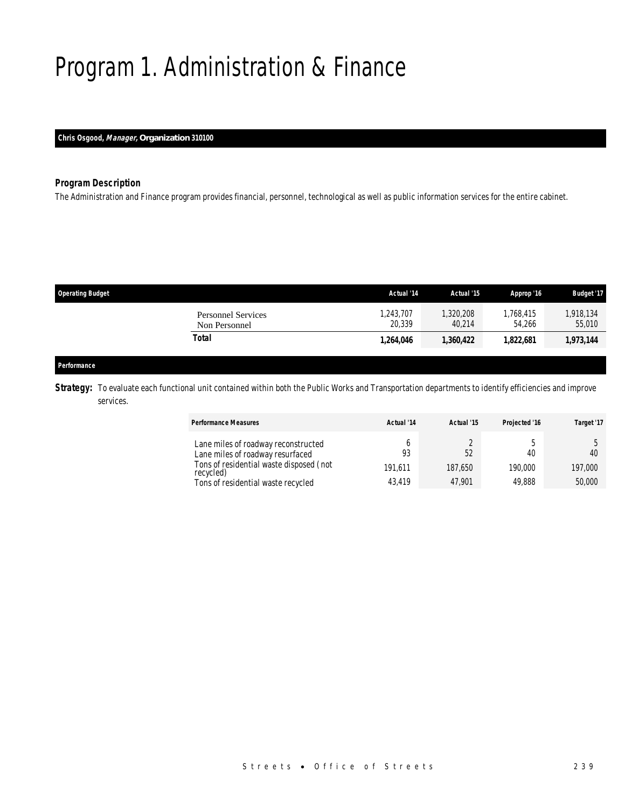# Program 1. Administration & Finance

### *Chris Osgood, Manager, Organization 310100*

### *Program Description*

The Administration and Finance program provides financial, personnel, technological as well as public information services for the entire cabinet.

| <b>Operating Budget</b>                    | Actual '14          | Actual '15          | Approp '16         | <b>Budget '17</b>   |
|--------------------------------------------|---------------------|---------------------|--------------------|---------------------|
| <b>Personnel Services</b><br>Non Personnel | 1,243,707<br>20.339 | 1,320,208<br>40.214 | ,768,415<br>54.266 | 1,918,134<br>55,010 |
| Total                                      | 1,264,046           | 1,360,422           | 1,822,681          | 1,973,144           |
|                                            |                     |                     |                    |                     |

### *Performance*

**Strategy:** To evaluate each functional unit contained within both the Public Works and Transportation departments to identify efficiencies and improve services.

| <b>Performance Measures</b>                                                                                                                                           | Actual '14              | Actual '15              | Projected '16           | Target '17              |
|-----------------------------------------------------------------------------------------------------------------------------------------------------------------------|-------------------------|-------------------------|-------------------------|-------------------------|
| Lane miles of roadway reconstructed<br>Lane miles of roadway resurfaced<br>Tons of residential waste disposed (not<br>recycled)<br>Tons of residential waste recycled | 93<br>191.611<br>43.419 | 52<br>187.650<br>47.901 | 40<br>190,000<br>49.888 | 40<br>197,000<br>50,000 |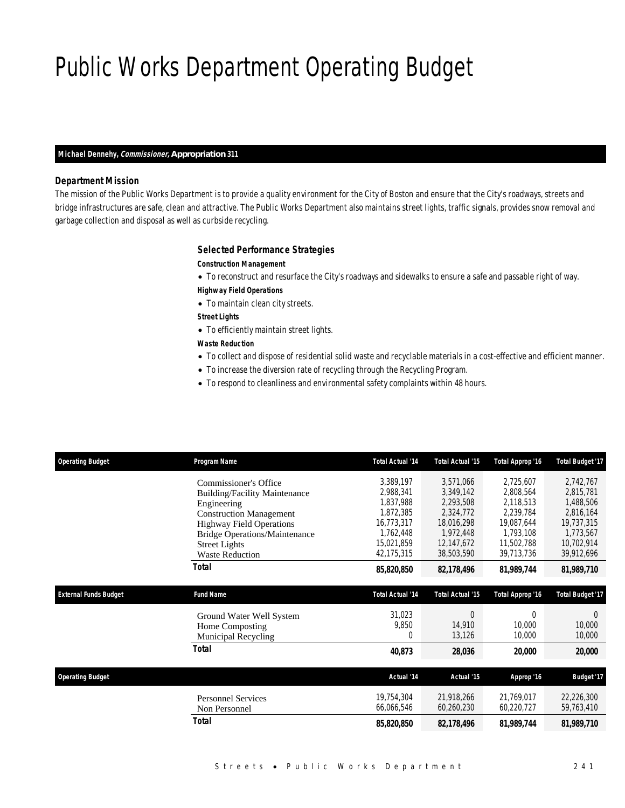# Public Works Department Operating Budget

### *Michael Dennehy, Commissioner, Appropriation 311*

### *Department Mission*

The mission of the Public Works Department is to provide a quality environment for the City of Boston and ensure that the City's roadways, streets and bridge infrastructures are safe, clean and attractive. The Public Works Department also maintains street lights, traffic signals, provides snow removal and garbage collection and disposal as well as curbside recycling.

### *Selected Performance Strategies*

#### *Construction Management*

- To reconstruct and resurface the City's roadways and sidewalks to ensure a safe and passable right of way.
- *Highway Field Operations*
- To maintain clean city streets.
- *Street Lights*
- To efficiently maintain street lights.

### *Waste Reduction*

- To collect and dispose of residential solid waste and recyclable materials in a cost-effective and efficient manner.
- To increase the diversion rate of recycling through the Recycling Program.
- To respond to cleanliness and environmental safety complaints within 48 hours.

| <b>Operating Budget</b>      | Program Name                         | <b>Total Actual '14</b> | <b>Total Actual '15</b> | <b>Total Approp '16</b> | <b>Total Budget '17</b> |
|------------------------------|--------------------------------------|-------------------------|-------------------------|-------------------------|-------------------------|
|                              | Commissioner's Office                | 3,389,197               | 3,571,066               | 2,725,607               | 2,742,767               |
|                              | <b>Building/Facility Maintenance</b> | 2,988,341               | 3,349,142               | 2,808,564               | 2,815,781               |
|                              | Engineering                          | 1,837,988               | 2,293,508               | 2,118,513               | 1,488,506               |
|                              | <b>Construction Management</b>       | 1,872,385               | 2,324,772               | 2,239,784               | 2,816,164               |
|                              | <b>Highway Field Operations</b>      | 16,773,317              | 18,016,298              | 19,087,644              | 19,737,315              |
|                              | <b>Bridge Operations/Maintenance</b> | 1,762,448               | 1,972,448               | 1,793,108               | 1,773,567               |
|                              | <b>Street Lights</b>                 | 15,021,859              | 12,147,672              | 11,502,788              | 10,702,914              |
|                              | <b>Waste Reduction</b>               | 42,175,315              | 38,503,590              | 39,713,736              | 39,912,696              |
|                              | <b>Total</b>                         | 85,820,850              | 82,178,496              | 81,989,744              | 81,989,710              |
|                              |                                      |                         |                         |                         |                         |
| <b>External Funds Budget</b> | <b>Fund Name</b>                     | <b>Total Actual '14</b> | <b>Total Actual '15</b> | Total Approp '16        | <b>Total Budget '17</b> |
|                              | Ground Water Well System             | 31,023                  | $\Omega$                | $\theta$                | $\theta$                |
|                              | Home Composting                      | 9,850                   | 14,910                  | 10,000                  | 10,000                  |
|                              | <b>Municipal Recycling</b>           | 0                       | 13,126                  | 10,000                  | 10,000                  |
|                              | <b>Total</b>                         | 40,873                  | 28,036                  | 20,000                  | 20,000                  |
|                              |                                      |                         |                         |                         |                         |
| <b>Operating Budget</b>      |                                      | Actual '14              | Actual '15              | Approp '16              | <b>Budget '17</b>       |
|                              | <b>Personnel Services</b>            | 19,754,304              | 21,918,266              | 21.769.017              | 22,226,300              |
|                              | Non Personnel                        | 66,066,546              | 60,260,230              | 60,220,727              | 59,763,410              |
|                              | Total                                | 85,820,850              | 82,178,496              | 81,989,744              | 81,989,710              |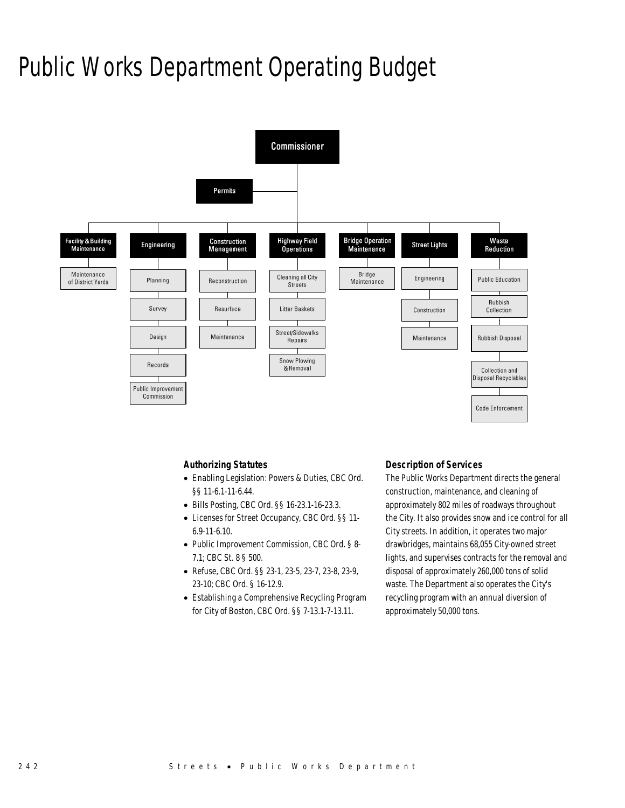## Public Works Department Operating Budget



### *Authorizing Statutes*

- Enabling Legislation: Powers & Duties, CBC Ord. §§ 11-6.1-11-6.44.
- Bills Posting, CBC Ord. §§ 16-23.1-16-23.3.
- Licenses for Street Occupancy, CBC Ord. §§ 11- 6.9-11-6.10.
- Public Improvement Commission, CBC Ord. § 8- 7.1; CBC St. 8 § 500.
- Refuse, CBC Ord. §§ 23-1, 23-5, 23-7, 23-8, 23-9, 23-10; CBC Ord. § 16-12.9.
- Establishing a Comprehensive Recycling Program for City of Boston, CBC Ord. §§ 7-13.1-7-13.11.

### *Description of Services*

The Public Works Department directs the general construction, maintenance, and cleaning of approximately 802 miles of roadways throughout the City. It also provides snow and ice control for all City streets. In addition, it operates two major drawbridges, maintains 68,055 City-owned street lights, and supervises contracts for the removal and disposal of approximately 260,000 tons of solid waste. The Department also operates the City's recycling program with an annual diversion of approximately 50,000 tons.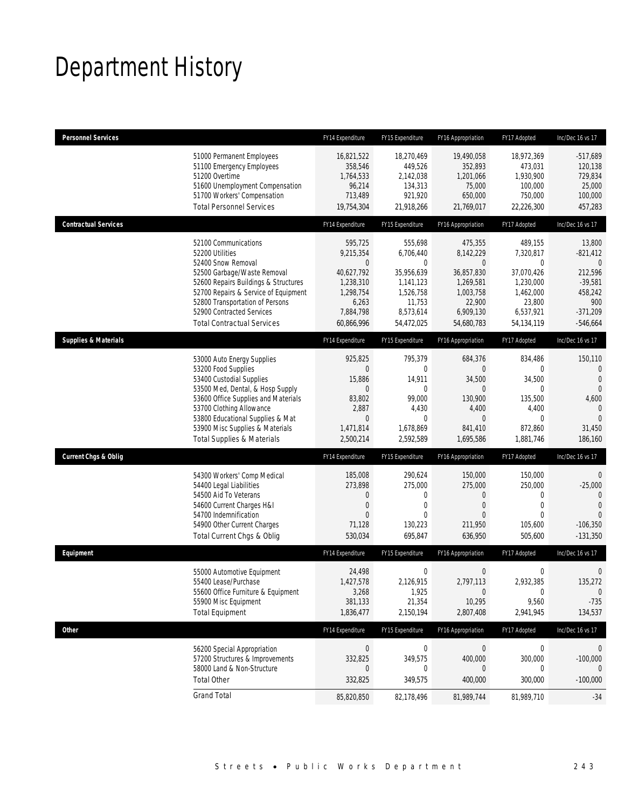## Department History

| <b>Personnel Services</b>       |                                                                                                                                                                                                                                                                                                      | FY14 Expenditure                                                                                        | FY15 Expenditure                                                                                       | FY16 Appropriation                                                                                            | FY17 Adopted                                                                                           | Inc/Dec 16 vs 17                                                                                                  |
|---------------------------------|------------------------------------------------------------------------------------------------------------------------------------------------------------------------------------------------------------------------------------------------------------------------------------------------------|---------------------------------------------------------------------------------------------------------|--------------------------------------------------------------------------------------------------------|---------------------------------------------------------------------------------------------------------------|--------------------------------------------------------------------------------------------------------|-------------------------------------------------------------------------------------------------------------------|
|                                 | 51000 Permanent Employees<br>51100 Emergency Employees<br>51200 Overtime<br>51600 Unemployment Compensation<br>51700 Workers' Compensation<br><b>Total Personnel Services</b>                                                                                                                        | 16,821,522<br>358,546<br>1,764,533<br>96,214<br>713,489<br>19,754,304                                   | 18,270,469<br>449,526<br>2,142,038<br>134,313<br>921,920<br>21,918,266                                 | 19,490,058<br>352,893<br>1,201,066<br>75,000<br>650,000<br>21,769,017                                         | 18,972,369<br>473,031<br>1,930,900<br>100.000<br>750,000<br>22,226,300                                 | $-517,689$<br>120,138<br>729,834<br>25,000<br>100,000<br>457,283                                                  |
| <b>Contractual Services</b>     |                                                                                                                                                                                                                                                                                                      | FY14 Expenditure                                                                                        | FY15 Expenditure                                                                                       | FY16 Appropriation                                                                                            | FY17 Adopted                                                                                           | Inc/Dec 16 vs 17                                                                                                  |
|                                 | 52100 Communications<br>52200 Utilities<br>52400 Snow Removal<br>52500 Garbage/Waste Removal<br>52600 Repairs Buildings & Structures<br>52700 Repairs & Service of Equipment<br>52800 Transportation of Persons<br>52900 Contracted Services<br><b>Total Contractual Services</b>                    | 595,725<br>9,215,354<br>0<br>40,627,792<br>1,238,310<br>1,298,754<br>6,263<br>7,884,798<br>60,866,996   | 555,698<br>6,706,440<br>0<br>35,956,639<br>1,141,123<br>1,526,758<br>11,753<br>8,573,614<br>54,472,025 | 475,355<br>8,142,229<br>$\theta$<br>36,857,830<br>1,269,581<br>1,003,758<br>22,900<br>6,909,130<br>54,680,783 | 489,155<br>7,320,817<br>0<br>37,070,426<br>1,230,000<br>1,462,000<br>23,800<br>6,537,921<br>54,134,119 | 13,800<br>$-821,412$<br>$\mathbf{0}$<br>212,596<br>$-39,581$<br>458,242<br>900<br>$-371,209$<br>$-546,664$        |
| <b>Supplies &amp; Materials</b> |                                                                                                                                                                                                                                                                                                      | FY14 Expenditure                                                                                        | FY15 Expenditure                                                                                       | FY16 Appropriation                                                                                            | FY17 Adopted                                                                                           | Inc/Dec 16 vs 17                                                                                                  |
|                                 | 53000 Auto Energy Supplies<br>53200 Food Supplies<br>53400 Custodial Supplies<br>53500 Med, Dental, & Hosp Supply<br>53600 Office Supplies and Materials<br>53700 Clothing Allowance<br>53800 Educational Supplies & Mat<br>53900 Misc Supplies & Materials<br><b>Total Supplies &amp; Materials</b> | 925,825<br>0<br>15,886<br>$\overline{0}$<br>83,802<br>2,887<br>$\overline{0}$<br>1,471,814<br>2,500,214 | 795,379<br>0<br>14,911<br>$\mathbf{0}$<br>99,000<br>4,430<br>$\mathbf{0}$<br>1,678,869<br>2,592,589    | 684,376<br>$\overline{0}$<br>34,500<br>$\theta$<br>130,900<br>4,400<br>$\overline{0}$<br>841,410<br>1,695,586 | 834,486<br>0<br>34,500<br>$\mathbf 0$<br>135,500<br>4,400<br>$\mathbf 0$<br>872,860<br>1,881,746       | 150,110<br>$\mathbf{0}$<br>$\mathbf{0}$<br>$\mathbf{0}$<br>4,600<br>$\mathbf{0}$<br>$\Omega$<br>31,450<br>186,160 |
| <b>Current Chgs &amp; Oblig</b> |                                                                                                                                                                                                                                                                                                      | FY14 Expenditure                                                                                        | FY15 Expenditure                                                                                       | FY16 Appropriation                                                                                            | FY17 Adopted                                                                                           | Inc/Dec 16 vs 17                                                                                                  |
|                                 | 54300 Workers' Comp Medical<br>54400 Legal Liabilities<br>54500 Aid To Veterans<br>54600 Current Charges H&I<br>54700 Indemnification<br>54900 Other Current Charges<br>Total Current Chgs & Oblig                                                                                                   | 185,008<br>273,898<br>0<br>0<br>$\Omega$<br>71,128<br>530,034                                           | 290,624<br>275,000<br>0<br>0<br>$\Omega$<br>130,223<br>695,847                                         | 150,000<br>275,000<br>$\theta$<br>$\theta$<br>$\Omega$<br>211,950<br>636,950                                  | 150,000<br>250,000<br>0<br>$\mathbf 0$<br>$\Omega$<br>105,600<br>505,600                               | $\mathbf 0$<br>$-25,000$<br>$\mathbf{0}$<br>$\overline{0}$<br>$\Omega$<br>$-106,350$<br>$-131,350$                |
| Equipment                       |                                                                                                                                                                                                                                                                                                      | FY14 Expenditure                                                                                        | FY15 Expenditure                                                                                       | FY16 Appropriation                                                                                            | FY17 Adopted                                                                                           | Inc/Dec 16 vs 17                                                                                                  |
|                                 | 55000 Automotive Equipment<br>55400 Lease/Purchase<br>55600 Office Furniture & Equipment<br>55900 Misc Equipment<br><b>Total Equipment</b>                                                                                                                                                           | 24,498<br>1,427,578<br>3,268<br>381,133<br>1,836,477                                                    | 0<br>2,126,915<br>1,925<br>21,354<br>2,150,194                                                         | $\bf 0$<br>2,797,113<br>0<br>10,295<br>2,807,408                                                              | 0<br>2,932,385<br>0<br>9,560<br>2,941,945                                                              | 0<br>135,272<br>$\mathbf 0$<br>$-735$<br>134,537                                                                  |
| <b>Other</b>                    |                                                                                                                                                                                                                                                                                                      | FY14 Expenditure                                                                                        | FY15 Expenditure                                                                                       | FY16 Appropriation                                                                                            | FY17 Adopted                                                                                           | Inc/Dec 16 vs 17                                                                                                  |
|                                 | 56200 Special Appropriation<br>57200 Structures & Improvements<br>58000 Land & Non-Structure<br><b>Total Other</b>                                                                                                                                                                                   | $\boldsymbol{0}$<br>332,825<br>0<br>332,825                                                             | $\boldsymbol{0}$<br>349,575<br>0<br>349,575                                                            | $\theta$<br>400,000<br>$\theta$<br>400,000                                                                    | 0<br>300,000<br>0<br>300,000                                                                           | 0<br>$-100,000$<br>0<br>$-100,000$                                                                                |
|                                 | <b>Grand Total</b>                                                                                                                                                                                                                                                                                   | 85,820,850                                                                                              | 82,178,496                                                                                             | 81,989,744                                                                                                    | 81,989,710                                                                                             | $-34$                                                                                                             |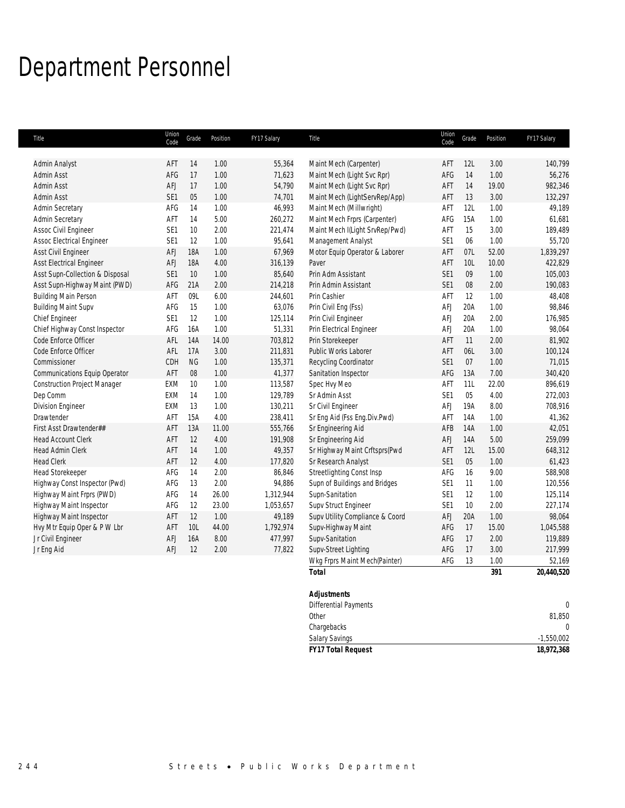## Department Personnel

| Title                               | Union<br>Code   | Grade      | Position | FY17 Salary | Title                           | Union<br>Code   | Grade | Position | FY17 Salary    |
|-------------------------------------|-----------------|------------|----------|-------------|---------------------------------|-----------------|-------|----------|----------------|
|                                     |                 |            |          |             |                                 |                 |       |          |                |
| Admin Analyst                       | AFT             | 14         | 1.00     | 55,364      | Maint Mech (Carpenter)          | AFT             | 12L   | 3.00     | 140,799        |
| Admin Asst                          | AFG             | 17         | 1.00     | 71,623      | Maint Mech (Light Svc Rpr)      | AFG             | 14    | 1.00     | 56,276         |
| Admin Asst                          | AFJ             | 17         | 1.00     | 54,790      | Maint Mech (Light Svc Rpr)      | AFT             | 14    | 19.00    | 982,346        |
| Admin Asst                          | SE1             | 05         | 1.00     | 74,701      | Maint Mech (LightServRep/App)   | AFT             | 13    | 3.00     | 132,297        |
| Admin Secretary                     | AFG             | 14         | 1.00     | 46,993      | Maint Mech (Millwright)         | AFT             | 12L   | 1.00     | 49,189         |
| Admin Secretary                     | AFT             | 14         | 5.00     | 260,272     | Maint Mech Frprs (Carpenter)    | AFG             | 15A   | 1.00     | 61,681         |
| Assoc Civil Engineer                | SE1             | 10         | 2.00     | 221,474     | Maint Mech I(Light SrvRep/Pwd)  | AFT             | 15    | 3.00     | 189,489        |
| <b>Assoc Electrical Engineer</b>    | SE1             | 12         | 1.00     | 95,641      | Management Analyst              | SE1             | 06    | 1.00     | 55,720         |
| Asst Civil Engineer                 | <b>AFJ</b>      | <b>18A</b> | 1.00     | 67,969      | Motor Equip Operator & Laborer  | AFT             | 07L   | 52.00    | 1,839,297      |
| <b>Asst Electrical Engineer</b>     | AFJ             | 18A        | 4.00     | 316,139     | Paver                           | AFT             | 10L   | 10.00    | 422,829        |
| Asst Supn-Collection & Disposal     | SE1             | 10         | 1.00     | 85,640      | Prin Adm Assistant              | SE1             | 09    | 1.00     | 105,003        |
| Asst Supn-Highway Maint (PWD)       | AFG             | 21A        | 2.00     | 214,218     | Prin Admin Assistant            | SE1             | 08    | 2.00     | 190,083        |
| <b>Building Main Person</b>         | AFT             | 09L        | 6.00     | 244,601     | Prin Cashier                    | AFT             | 12    | 1.00     | 48,408         |
| <b>Building Maint Supv</b>          | AFG             | 15         | 1.00     | 63,076      | Prin Civil Eng (Fss)            | AFJ             | 20A   | 1.00     | 98,846         |
| Chief Engineer                      | SE <sub>1</sub> | 12         | 1.00     | 125,114     | Prin Civil Engineer             | AFJ             | 20A   | 2.00     | 176,985        |
| Chief Highway Const Inspector       | AFG             | 16A        | 1.00     | 51,331      | Prin Electrical Engineer        | AFJ             | 20A   | 1.00     | 98,064         |
| Code Enforce Officer                | AFL             | 14A        | 14.00    | 703,812     | Prin Storekeeper                | AFT             | 11    | 2.00     | 81,902         |
| Code Enforce Officer                | AFL             | 17A        | 3.00     | 211,831     | Public Works Laborer            | AFT             | 06L   | 3.00     | 100,124        |
| Commissioner                        | CDH             | $NG$       | 1.00     | 135,371     | Recycling Coordinator           | SE1             | 07    | 1.00     | 71,015         |
| Communications Equip Operator       | AFT             | 08         | 1.00     | 41,377      | Sanitation Inspector            | AFG             | 13A   | 7.00     | 340,420        |
| <b>Construction Project Manager</b> | EXM             | 10         | 1.00     | 113,587     | Spec Hvy Meo                    | AFT             | 11L   | 22.00    | 896,619        |
| Dep Comm                            | <b>EXM</b>      | 14         | 1.00     | 129,789     | Sr Admin Asst                   | SE1             | 05    | 4.00     | 272,003        |
| <b>Division Engineer</b>            | <b>EXM</b>      | 13         | 1.00     | 130,211     | Sr Civil Engineer               | AFJ             | 19A   | 8.00     | 708,916        |
| Drawtender                          | AFT             | 15A        | 4.00     | 238,411     | Sr Eng Aid (Fss Eng.Div.Pwd)    | AFT             | 14A   | 1.00     | 41,362         |
| First Asst Drawtender##             | AFT             | 13A        | 11.00    | 555,766     | Sr Engineering Aid              | AFB             | 14A   | 1.00     | 42,051         |
| <b>Head Account Clerk</b>           | AFT             | 12         | 4.00     | 191,908     | Sr Engineering Aid              | AFJ             | 14A   | 5.00     | 259,099        |
| Head Admin Clerk                    | AFT             | 14         | 1.00     | 49,357      | Sr Highway Maint Crftsprs(Pwd   | AFT             | 12L   | 15.00    | 648,312        |
| <b>Head Clerk</b>                   | AFT             | 12         | 4.00     | 177,820     | Sr Research Analyst             | SE <sub>1</sub> | 05    | 1.00     | 61,423         |
| <b>Head Storekeeper</b>             | AFG             | 14         | 2.00     | 86,846      | Streetlighting Const Insp       | AFG             | 16    | 9.00     | 588,908        |
| Highway Const Inspector (Pwd)       | AFG             | 13         | 2.00     | 94,886      | Supn of Buildings and Bridges   | SE1             | 11    | 1.00     | 120,556        |
| Highway Maint Frprs (PWD)           | AFG             | 14         | 26.00    | 1,312,944   | Supn-Sanitation                 | SE <sub>1</sub> | 12    | 1.00     | 125,114        |
| Highway Maint Inspector             | AFG             | 12         | 23.00    | 1,053,657   | Supv Struct Engineer            | SE <sub>1</sub> | 10    | 2.00     | 227,174        |
| Highway Maint Inspector             | AFT             | 12         | 1.00     | 49,189      | Supv Utility Compliance & Coord | <b>AFJ</b>      | 20A   | 1.00     | 98,064         |
| Hvy Mtr Equip Oper & P W Lbr        | AFT             | 10L        | 44.00    | 1,792,974   | Supv-Highway Maint              | AFG             | 17    | 15.00    | 1,045,588      |
| Jr Civil Engineer                   | <b>AFJ</b>      | 16A        | 8.00     | 477,997     | Supv-Sanitation                 | AFG             | 17    | 2.00     | 119,889        |
| Jr Eng Aid                          | AFJ             | 12         | 2.00     | 77,822      | Supv-Street Lighting            | AFG             | 17    | 3.00     | 217,999        |
|                                     |                 |            |          |             | Wkg Frprs Maint Mech(Painter)   | AFG             | 13    | 1.00     | 52,169         |
|                                     |                 |            |          |             | <b>Total</b>                    |                 |       | 391      | 20,440,520     |
|                                     |                 |            |          |             |                                 |                 |       |          |                |
|                                     |                 |            |          |             | <b>Adjustments</b>              |                 |       |          | $\overline{0}$ |
|                                     |                 |            |          |             | <b>Differential Payments</b>    |                 |       |          |                |

| <b>FY17 Total Request</b> | 18,972,368   |
|---------------------------|--------------|
| <b>Salary Savings</b>     | $-1,550,002$ |
| Chargebacks               |              |
| Other                     | 81.850       |
| Differential Payments     |              |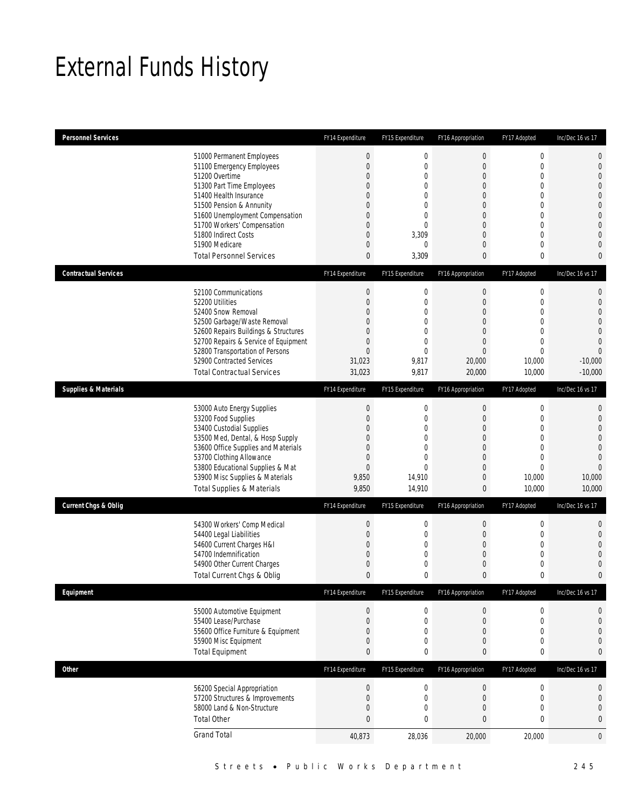## External Funds History

| <b>Personnel Services</b>       |                                                                                                                                                                                                                                                                                                            | FY14 Expenditure                                                                               | FY15 Expenditure                                                                                            | FY16 Appropriation                                                                                                                                                       | FY17 Adopted                                                                                                                                                     | Inc/Dec 16 vs 17                                                                                                                                                                 |
|---------------------------------|------------------------------------------------------------------------------------------------------------------------------------------------------------------------------------------------------------------------------------------------------------------------------------------------------------|------------------------------------------------------------------------------------------------|-------------------------------------------------------------------------------------------------------------|--------------------------------------------------------------------------------------------------------------------------------------------------------------------------|------------------------------------------------------------------------------------------------------------------------------------------------------------------|----------------------------------------------------------------------------------------------------------------------------------------------------------------------------------|
|                                 | 51000 Permanent Employees<br>51100 Emergency Employees<br>51200 Overtime<br>51300 Part Time Employees<br>51400 Health Insurance<br>51500 Pension & Annunity<br>51600 Unemployment Compensation<br>51700 Workers' Compensation<br>51800 Indirect Costs<br>51900 Medicare<br><b>Total Personnel Services</b> | $\boldsymbol{0}$<br>$\mathbf{0}$<br>0<br>0<br>0<br>0<br>0<br>0<br>0<br>0<br>$\mathbf{0}$       | $\boldsymbol{0}$<br>0<br>0<br>0<br>$\Omega$<br>$\mathbf 0$<br>0<br>0<br>3,309<br>0<br>3,309                 | $\mathbf 0$<br>$\overline{0}$<br>$\mathbf 0$<br>$\overline{0}$<br>$\Omega$<br>$\mathbf 0$<br>$\overline{0}$<br>$\boldsymbol{0}$<br>$\overline{0}$<br>$\overline{0}$<br>0 | $\boldsymbol{0}$<br>$\mathbf 0$<br>$\mathbf 0$<br>$\mathbf{0}$<br>$\mathbf{0}$<br>$\mathbf 0$<br>$\mathbf{0}$<br>$\mathbf 0$<br>$\mathbf{0}$<br>$\mathbf 0$<br>0 | $\mathbf 0$<br>$\mathbf 0$<br>$\mathbf{0}$<br>$\overline{0}$<br>$\overline{0}$<br>$\mathbf 0$<br>$\mathbf 0$<br>$\mathbf{0}$<br>$\overline{0}$<br>$\overline{0}$<br>$\mathbf{0}$ |
| <b>Contractual Services</b>     |                                                                                                                                                                                                                                                                                                            | FY14 Expenditure                                                                               | FY15 Expenditure                                                                                            | FY16 Appropriation                                                                                                                                                       | FY17 Adopted                                                                                                                                                     | Inc/Dec 16 vs 17                                                                                                                                                                 |
|                                 | 52100 Communications<br>52200 Utilities<br>52400 Snow Removal<br>52500 Garbage/Waste Removal<br>52600 Repairs Buildings & Structures<br>52700 Repairs & Service of Equipment<br>52800 Transportation of Persons<br>52900 Contracted Services<br><b>Total Contractual Services</b>                          | $\boldsymbol{0}$<br>$\boldsymbol{0}$<br>0<br>0<br>0<br>0<br>$\overline{0}$<br>31,023<br>31,023 | $\boldsymbol{0}$<br>0<br>$\Omega$<br>$\overline{0}$<br>0<br>$\mathbf 0$<br>$\overline{0}$<br>9,817<br>9,817 | $\boldsymbol{0}$<br>$\boldsymbol{0}$<br>$\overline{0}$<br>$\overline{0}$<br>$\overline{0}$<br>$\boldsymbol{0}$<br>$\mathbf{0}$<br>20,000<br>20,000                       | $\boldsymbol{0}$<br>$\mathbf 0$<br>$\mathbf{0}$<br>$\mathbf 0$<br>$\mathbf{0}$<br>$\mathbf 0$<br>$\mathbf{0}$<br>10,000<br>10,000                                | 0<br>$\mathbf 0$<br>$\overline{0}$<br>$\overline{0}$<br>$\mathbf 0$<br>$\overline{0}$<br>$\overline{0}$<br>$-10,000$<br>$-10,000$                                                |
| <b>Supplies &amp; Materials</b> |                                                                                                                                                                                                                                                                                                            | FY14 Expenditure                                                                               | FY15 Expenditure                                                                                            | FY16 Appropriation                                                                                                                                                       | FY17 Adopted                                                                                                                                                     | Inc/Dec 16 vs 17                                                                                                                                                                 |
|                                 | 53000 Auto Energy Supplies<br>53200 Food Supplies<br>53400 Custodial Supplies<br>53500 Med, Dental, & Hosp Supply<br>53600 Office Supplies and Materials<br>53700 Clothing Allowance<br>53800 Educational Supplies & Mat<br>53900 Misc Supplies & Materials<br><b>Total Supplies &amp; Materials</b>       | $\theta$<br>$\boldsymbol{0}$<br>0<br>0<br>0<br>0<br>$\boldsymbol{0}$<br>9,850<br>9,850         | 0<br>$\mathbf 0$<br>0<br>$\overline{0}$<br>0<br>$\overline{0}$<br>$\overline{0}$<br>14,910<br>14,910        | $\boldsymbol{0}$<br>$\boldsymbol{0}$<br>$\overline{0}$<br>$\mathbf 0$<br>$\overline{0}$<br>$\boldsymbol{0}$<br>$\overline{0}$<br>$\mathbf 0$<br>$\mathbf{0}$             | $\boldsymbol{0}$<br>$\mathbf 0$<br>$\mathbf{0}$<br>$\mathbf 0$<br>$\mathbf{0}$<br>$\mathbf 0$<br>$\mathbf{0}$<br>10,000<br>10,000                                | $\mathbf{0}$<br>$\mathbf 0$<br>$\overline{0}$<br>$\overline{0}$<br>$\mathbf 0$<br>$\overline{0}$<br>$\overline{0}$<br>10,000<br>10,000                                           |
| <b>Current Chgs &amp; Oblig</b> |                                                                                                                                                                                                                                                                                                            | FY14 Expenditure                                                                               | FY15 Expenditure                                                                                            | FY16 Appropriation                                                                                                                                                       | FY17 Adopted                                                                                                                                                     | Inc/Dec 16 vs 17                                                                                                                                                                 |
|                                 | 54300 Workers' Comp Medical<br>54400 Legal Liabilities<br>54600 Current Charges H&I<br>54700 Indemnification<br>54900 Other Current Charges<br>Total Current Chgs & Oblig                                                                                                                                  | $\theta$<br>$\boldsymbol{0}$<br>0<br>0<br>0<br>$\mathbf{0}$                                    | 0<br>0<br>0<br>$\mathbf 0$<br>0<br>0                                                                        | $\boldsymbol{0}$<br>$\boldsymbol{0}$<br>$\overline{0}$<br>$\mathbf 0$<br>$\mathbf 0$<br>0                                                                                | $\boldsymbol{0}$<br>$\mathbf 0$<br>$\mathbf{0}$<br>$\mathbf 0$<br>$\mathbf 0$<br>$\mathbf{0}$                                                                    | $\mathbf 0$<br>$\mathbf 0$<br>$\overline{0}$<br>$\overline{0}$<br>0<br>$\mathbf{0}$                                                                                              |
| Equipment                       |                                                                                                                                                                                                                                                                                                            | FY14 Expenditure                                                                               | FY15 Expenditure                                                                                            | FY16 Appropriation                                                                                                                                                       | FY17 Adopted                                                                                                                                                     | Inc/Dec 16 vs 17                                                                                                                                                                 |
|                                 | 55000 Automotive Equipment<br>55400 Lease/Purchase<br>55600 Office Furniture & Equipment<br>55900 Misc Equipment<br><b>Total Equipment</b>                                                                                                                                                                 | $\theta$<br>$\boldsymbol{0}$<br>0<br>0<br>0                                                    | 0<br>0<br>0<br>0<br>0                                                                                       | $\boldsymbol{0}$<br>$\boldsymbol{0}$<br>$\overline{0}$<br>$\mathbf 0$<br>0                                                                                               | 0<br>$\boldsymbol{0}$<br>$\mathbf 0$<br>$\mathbf 0$<br>$\bf{0}$                                                                                                  | 0<br>$\mathbf{0}$<br>$\mathbf 0$<br>$\mathbf{0}$<br>$\bf{0}$                                                                                                                     |
| Other                           |                                                                                                                                                                                                                                                                                                            | FY14 Expenditure                                                                               | FY15 Expenditure                                                                                            | FY16 Appropriation                                                                                                                                                       | FY17 Adopted                                                                                                                                                     | Inc/Dec 16 vs 17                                                                                                                                                                 |
|                                 | 56200 Special Appropriation<br>57200 Structures & Improvements<br>58000 Land & Non-Structure<br><b>Total Other</b>                                                                                                                                                                                         | $\theta$<br>$\boldsymbol{0}$<br>0<br>$\mathbf{0}$                                              | $\bf 0$<br>$\boldsymbol{0}$<br>0<br>0                                                                       | $\boldsymbol{0}$<br>$\boldsymbol{0}$<br>0<br>$\bf{0}$                                                                                                                    | $\boldsymbol{0}$<br>$\mathbf 0$<br>$\boldsymbol{0}$<br>$\bf{0}$                                                                                                  | 0<br>0<br>$\mathbf 0$<br>$\bf{0}$                                                                                                                                                |
|                                 | <b>Grand Total</b>                                                                                                                                                                                                                                                                                         | 40,873                                                                                         | 28,036                                                                                                      | 20,000                                                                                                                                                                   | 20,000                                                                                                                                                           | 0                                                                                                                                                                                |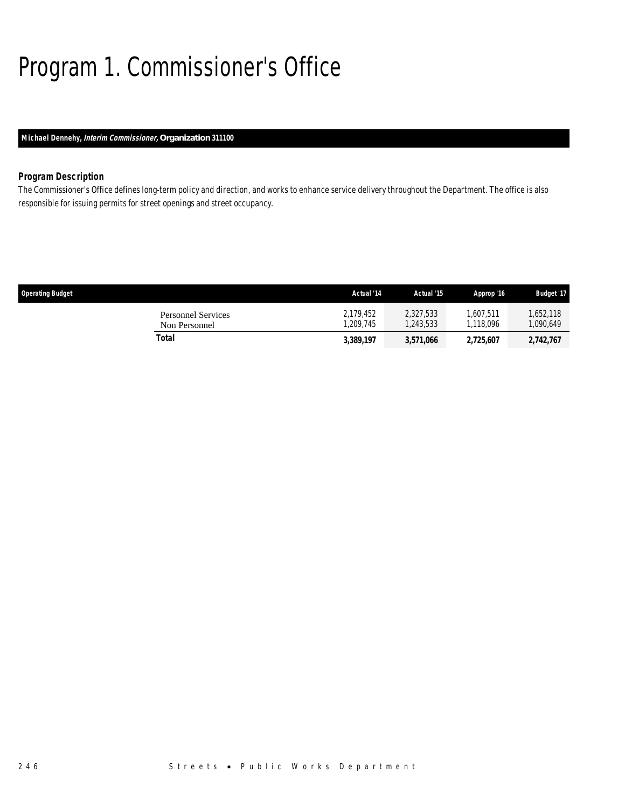# Program 1. Commissioner's Office

### *Michael Dennehy, Interim Commissioner, Organization 311100*

### *Program Description*

The Commissioner's Office defines long-term policy and direction, and works to enhance service delivery throughout the Department. The office is also responsible for issuing permits for street openings and street occupancy.

| <b>Operating Budget</b>                    | Actual '14            | Actual '15             | Approp '16             | <b>Budget '17</b>     |
|--------------------------------------------|-----------------------|------------------------|------------------------|-----------------------|
| <b>Personnel Services</b><br>Non Personnel | 2,179,452<br>.209.745 | 2.327.533<br>1.243.533 | 1.607.511<br>1.118.096 | 1,652,118<br>090,649, |
| Total                                      | 3,389,197             | 3,571,066              | 2,725,607              | 2,742,767             |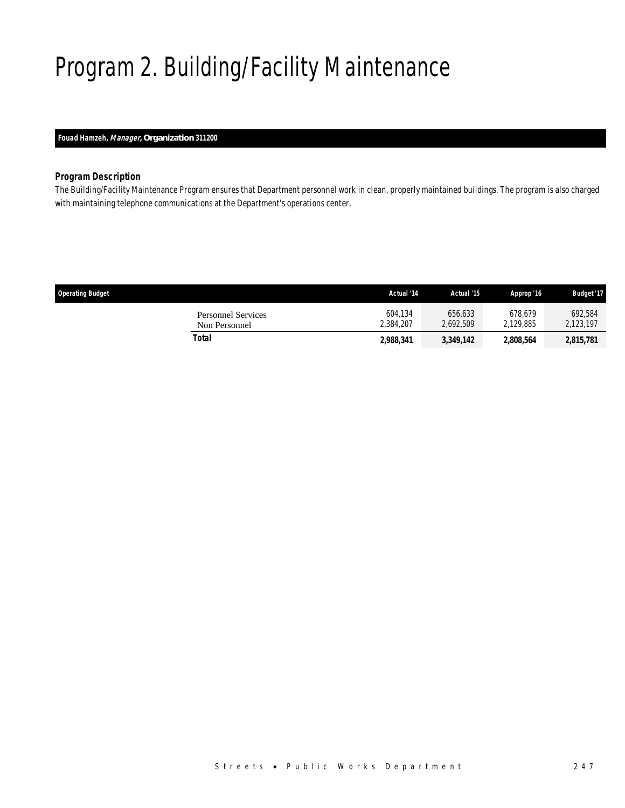# Program 2. Building/Facility Maintenance

### *Fouad Hamzeh, Manager, Organization 311200*

### *Program Description*

The Building/Facility Maintenance Program ensures that Department personnel work in clean, properly maintained buildings. The program is also charged with maintaining telephone communications at the Department's operations center.

| <b>Operating Budget</b>                    | Actual '14           | Actual '15           | Approp '16           | <b>Budget '17</b>    |
|--------------------------------------------|----------------------|----------------------|----------------------|----------------------|
| <b>Personnel Services</b><br>Non Personnel | 604.134<br>2.384.207 | 656.633<br>2.692.509 | 678.679<br>2.129.885 | 692.584<br>2.123.197 |
| Total                                      | 2,988,341            | 3,349,142            | 2,808,564            | 2,815,781            |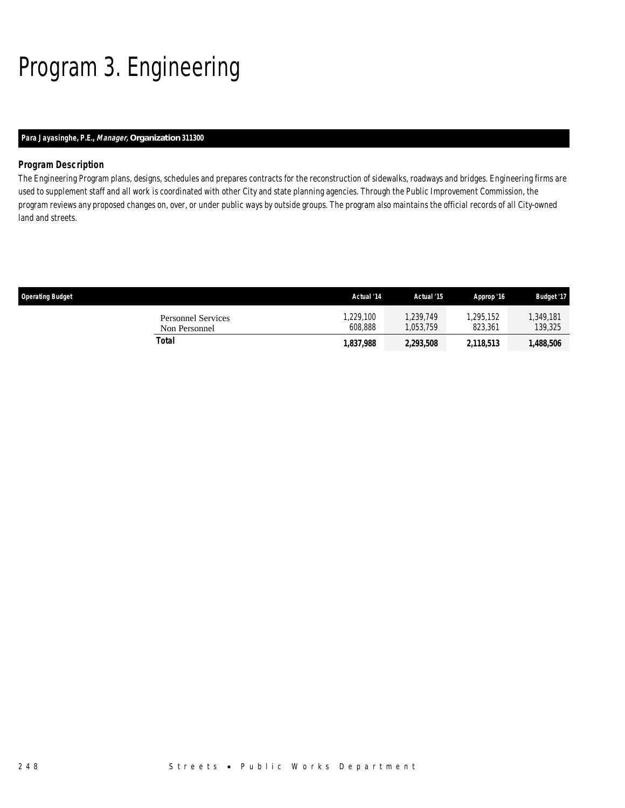# Program 3. Engineering

### *Para Jayasinghe, P.E., Manager, Organization 311300*

### *Program Description*

The Engineering Program plans, designs, schedules and prepares contracts for the reconstruction of sidewalks, roadways and bridges. Engineering firms are used to supplement staff and all work is coordinated with other City and state planning agencies. Through the Public Improvement Commission, the program reviews any proposed changes on, over, or under public ways by outside groups. The program also maintains the official records of all City-owned land and streets.

| <b>Operating Budget</b>                    | Actual '14          | Actual '15             | Approp '16           | <b>Budget '17</b>   |
|--------------------------------------------|---------------------|------------------------|----------------------|---------------------|
| <b>Personnel Services</b><br>Non Personnel | .229.100<br>608.888 | 1.239.749<br>1.053.759 | 1.295.152<br>823.361 | 349,181,<br>139,325 |
| Total                                      | 1,837,988           | 2,293,508              | 2,118,513            | 1,488,506           |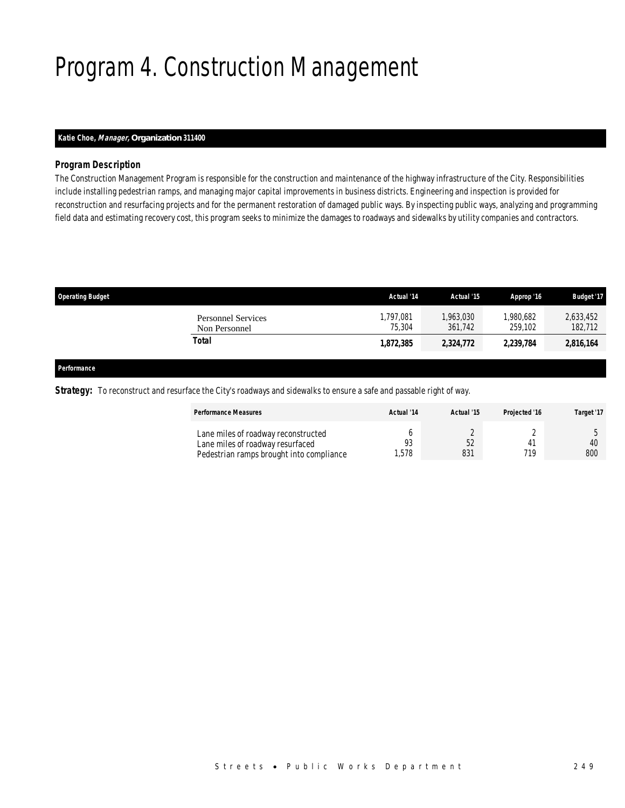# Program 4. Construction Management

### *Katie Choe, Manager, Organization 311400*

### *Program Description*

The Construction Management Program is responsible for the construction and maintenance of the highway infrastructure of the City. Responsibilities include installing pedestrian ramps, and managing major capital improvements in business districts. Engineering and inspection is provided for reconstruction and resurfacing projects and for the permanent restoration of damaged public ways. By inspecting public ways, analyzing and programming field data and estimating recovery cost, this program seeks to minimize the damages to roadways and sidewalks by utility companies and contractors.

| <b>Operating Budget</b>                    | Actual '14          | Actual '15           | Approp '16           | <b>Budget '17</b>    |
|--------------------------------------------|---------------------|----------------------|----------------------|----------------------|
| <b>Personnel Services</b><br>Non Personnel | 1,797,081<br>75,304 | 1,963,030<br>361.742 | 1,980,682<br>259.102 | 2,633,452<br>182,712 |
| Total                                      | 1.872.385           | 2,324,772            | 2,239,784            | 2,816,164            |
|                                            |                     |                      |                      |                      |

#### *Performance*

*Strategy:* To reconstruct and resurface the City's roadways and sidewalks to ensure a safe and passable right of way.

| <b>Performance Measures</b>                                                                                         | Actual '14 | Actual '15 | Projected '16 | Target '17 |
|---------------------------------------------------------------------------------------------------------------------|------------|------------|---------------|------------|
| Lane miles of roadway reconstructed<br>Lane miles of roadway resurfaced<br>Pedestrian ramps brought into compliance | .578       | 52<br>831  | 710           | 40<br>800  |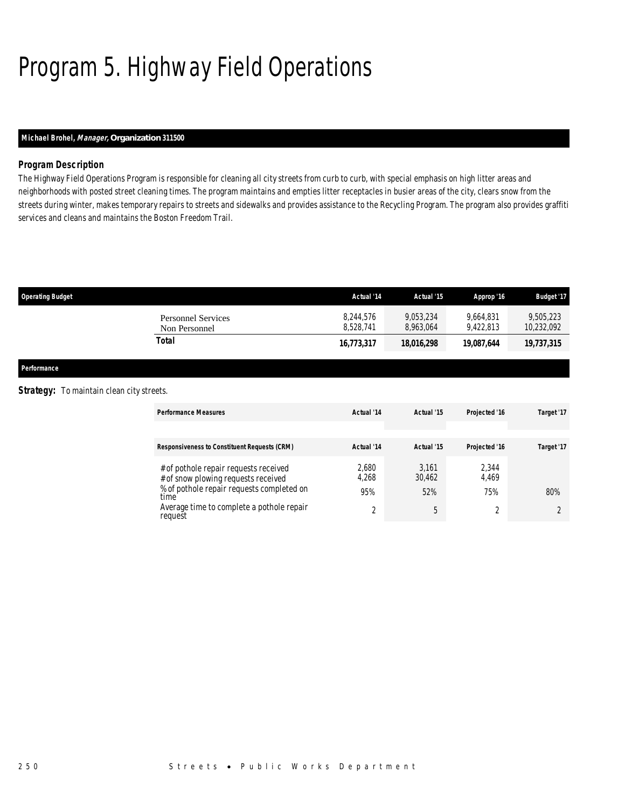# Program 5. Highway Field Operations

### *Michael Brohel, Manager, Organization 311500*

### *Program Description*

The Highway Field Operations Program is responsible for cleaning all city streets from curb to curb, with special emphasis on high litter areas and neighborhoods with posted street cleaning times. The program maintains and empties litter receptacles in busier areas of the city, clears snow from the streets during winter, makes temporary repairs to streets and sidewalks and provides assistance to the Recycling Program. The program also provides graffiti services and cleans and maintains the Boston Freedom Trail.

| <b>Operating Budget</b>                    | Actual '14             | Actual '15             | Approp '16             | <b>Budget '17</b>       |
|--------------------------------------------|------------------------|------------------------|------------------------|-------------------------|
| <b>Personnel Services</b><br>Non Personnel | 8.244.576<br>8.528.741 | 9.053.234<br>8.963.064 | 9.664.831<br>9.422.813 | 9.505.223<br>10,232,092 |
| Total                                      | 16,773,317             | 18,016,298             | 19.087.644             | 19,737,315              |

*Performance* 

#### **Strategy:** To maintain clean city streets.

| <b>Performance Measures</b>                                                  | Actual '14     | Actual '15      | Projected '16  | Target '17 |
|------------------------------------------------------------------------------|----------------|-----------------|----------------|------------|
|                                                                              |                |                 |                |            |
| <b>Responsiveness to Constituent Requests (CRM)</b>                          | Actual '14     | Actual '15      | Projected '16  | Target '17 |
| # of pothole repair requests received<br># of snow plowing requests received | 2,680<br>4,268 | 3.161<br>30,462 | 2.344<br>4,469 |            |
| % of pothole repair requests completed on<br>time                            | 95%            | 52%             | 75%            | 80%        |
| Average time to complete a pothole repair<br>request                         | $\sim$         | 5               |                |            |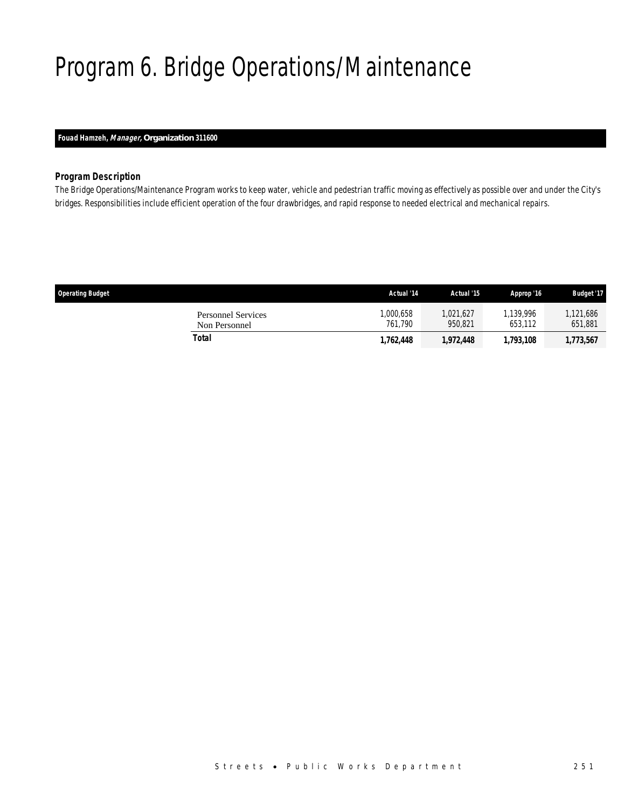# Program 6. Bridge Operations/Maintenance

### *Fouad Hamzeh, Manager, Organization 311600*

### *Program Description*

The Bridge Operations/Maintenance Program works to keep water, vehicle and pedestrian traffic moving as effectively as possible over and under the City's bridges. Responsibilities include efficient operation of the four drawbridges, and rapid response to needed electrical and mechanical repairs.

| <b>Operating Budget</b>                    | Actual '14          | Actual '15           | Approp '16           | <b>Budget '17</b>   |
|--------------------------------------------|---------------------|----------------------|----------------------|---------------------|
| <b>Personnel Services</b><br>Non Personnel | ,000,658<br>761.790 | 1.021.627<br>950.821 | 1.139.996<br>653.112 | ,121,686<br>651,881 |
| Total                                      | 1,762,448           | 1,972,448            | 1,793,108            | 1,773,567           |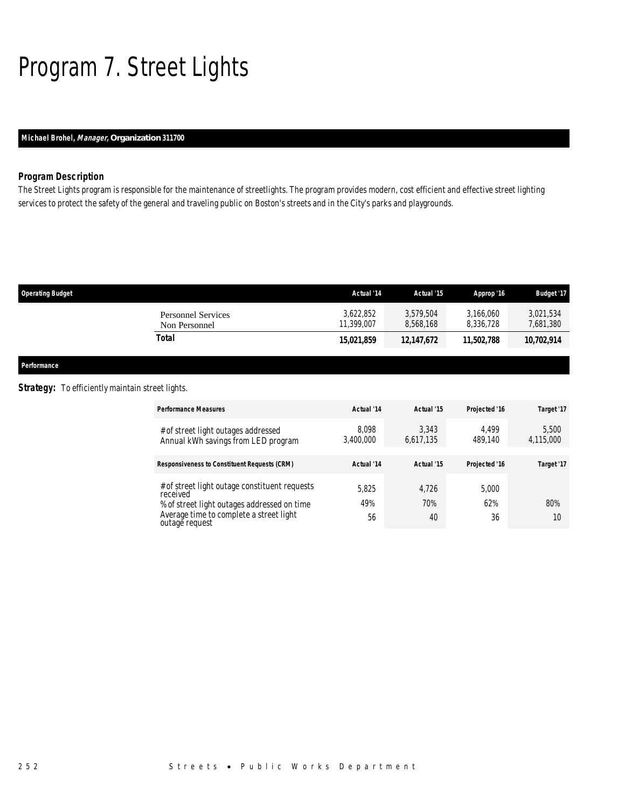# Program 7. Street Lights

### *Michael Brohel, Manager, Organization 311700*

### *Program Description*

The Street Lights program is responsible for the maintenance of streetlights. The program provides modern, cost efficient and effective street lighting services to protect the safety of the general and traveling public on Boston's streets and in the City's parks and playgrounds.

| <b>Operating Budget</b>             | Actual '14              | Actual '15             | Approp '16             | <b>Budget '17</b>      |
|-------------------------------------|-------------------------|------------------------|------------------------|------------------------|
| Personnel Services<br>Non Personnel | 3.622.852<br>11.399.007 | 3.579.504<br>8.568.168 | 3,166,060<br>8.336.728 | 3,021,534<br>7,681,380 |
| Total                               | 15.021.859              | 12,147,672             | 11.502.788             | 10,702,914             |
|                                     |                         |                        |                        |                        |

*Performance* 

### **Strategy:** To efficiently maintain street lights.

| <b>Performance Measures</b>                                                | Actual '14         | Actual '15         | Projected '16    | Target '17         |
|----------------------------------------------------------------------------|--------------------|--------------------|------------------|--------------------|
| # of street light outages addressed<br>Annual kWh savings from LED program | 8.098<br>3,400,000 | 3.343<br>6,617,135 | 4.499<br>489.140 | 5.500<br>4,115,000 |
| <b>Responsiveness to Constituent Requests (CRM)</b>                        | Actual '14         | Actual '15         | Projected '16    | Target '17         |
| # of street light outage constituent requests<br>received                  | 5.825              | 4.726              | 5,000            |                    |
| % of street light outages addressed on time                                | 49%                | 70%                | 62%              | 80%                |
| Average time to complete a street light<br>outage request                  | 56                 | 40                 | 36               | 10                 |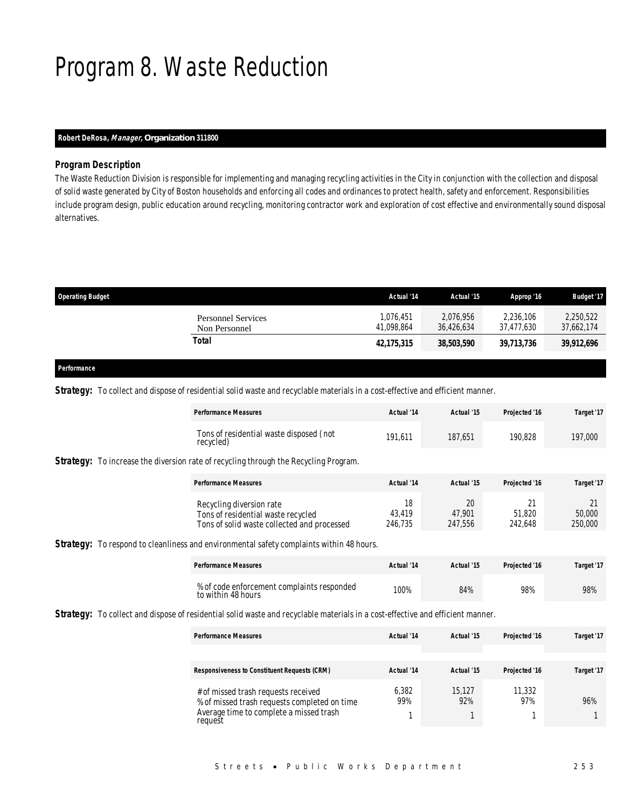### Program 8. Waste Reduction

### *Robert DeRosa, Manager, Organization 311800*

### *Program Description*

The Waste Reduction Division is responsible for implementing and managing recycling activities in the City in conjunction with the collection and disposal of solid waste generated by City of Boston households and enforcing all codes and ordinances to protect health, safety and enforcement. Responsibilities include program design, public education around recycling, monitoring contractor work and exploration of cost effective and environmentally sound disposal alternatives.

| <b>Operating Budget</b>                    | Actual '14              | Actual '15              | Approp '16              | <b>Budget '17</b>       |
|--------------------------------------------|-------------------------|-------------------------|-------------------------|-------------------------|
| <b>Personnel Services</b><br>Non Personnel | 1.076.451<br>41.098.864 | 2.076.956<br>36.426.634 | 2.236.106<br>37.477.630 | 2,250,522<br>37.662.174 |
| Total                                      | 42,175,315              | 38,503,590              | 39,713,736              | 39,912,696              |

#### *Performance*

**Strategy:** To collect and dispose of residential solid waste and recyclable materials in a cost-effective and efficient manner.

| <b>Performance Measures</b>                                                                                   | Actual '14              | Actual '15              | Projected '16     | Target '17              |
|---------------------------------------------------------------------------------------------------------------|-------------------------|-------------------------|-------------------|-------------------------|
| Tons of residential waste disposed (not<br>recycled)                                                          | 191.611                 | 187.651                 | 190.828           | 197,000                 |
| <b>Strategy:</b> To increase the diversion rate of recycling through the Recycling Program.                   |                         |                         |                   |                         |
| <b>Performance Measures</b>                                                                                   | Actual '14              | Actual '15              | Projected '16     | Target '17              |
| Recycling diversion rate<br>Tons of residential waste recycled<br>Tons of solid waste collected and processed | 18<br>43.419<br>246.735 | 20<br>47.901<br>247.556 | 51.820<br>242.648 | 21<br>50,000<br>250,000 |

**Strategy:** To respond to cleanliness and environmental safety complaints within 48 hours.

| <b>Performance Measures</b>                                      | Actual '14 | Actual '15 | Projected '16 | Target '17 |
|------------------------------------------------------------------|------------|------------|---------------|------------|
| % of code enforcement complaints responded<br>to within 48 hours | 100%       | 84%        | 98%           | 98%        |

**Strategy:** To collect and dispose of residential solid waste and recyclable materials in a cost-effective and efficient manner.

| <b>Performance Measures</b>                                                                                                               | Actual '14   | Actual '15    | Projected '16 | Target '17 |
|-------------------------------------------------------------------------------------------------------------------------------------------|--------------|---------------|---------------|------------|
|                                                                                                                                           |              |               |               |            |
| <b>Responsiveness to Constituent Requests (CRM)</b>                                                                                       | Actual '14   | Actual '15    | Projected '16 | Target '17 |
| # of missed trash requests received<br>% of missed trash requests completed on time<br>Average time to complete a missed trash<br>request | 6,382<br>99% | 15.127<br>92% | 11,332<br>97% | 96%        |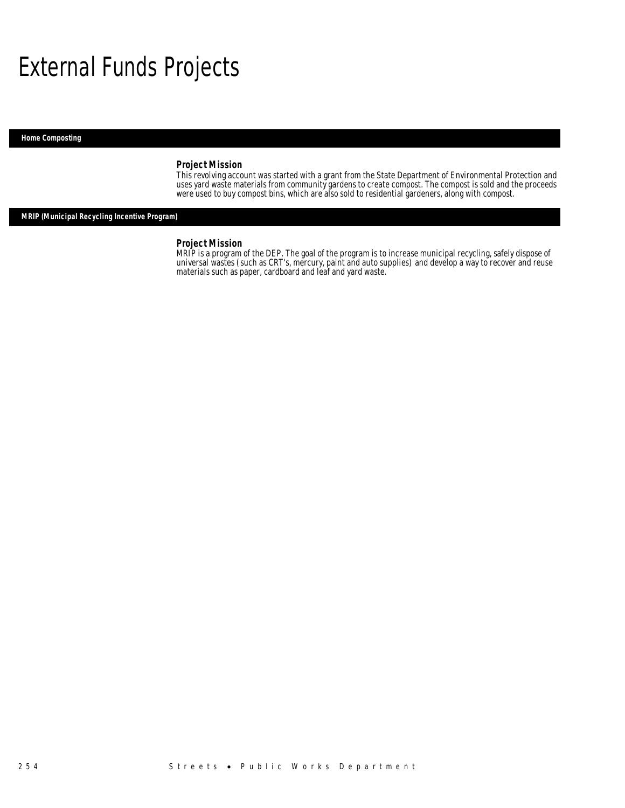## External Funds Projects

*Home Composting* 

### *Project Mission*

This revolving account was started with a grant from the State Department of Environmental Protection and uses yard waste materials from community gardens to create compost. The compost is sold and the proceeds were used to buy compost bins, which are also sold to residential gardeners, along with compost.

### *MRIP (Municipal Recycling Incentive Program)*

#### *Project Mission*

MRIP is a program of the DEP. The goal of the program is to increase municipal recycling, safely dispose of universal wastes (such as CRT's, mercury, paint and auto supplies) and develop a way to recover and reuse materials such as paper, cardboard and leaf and yard waste.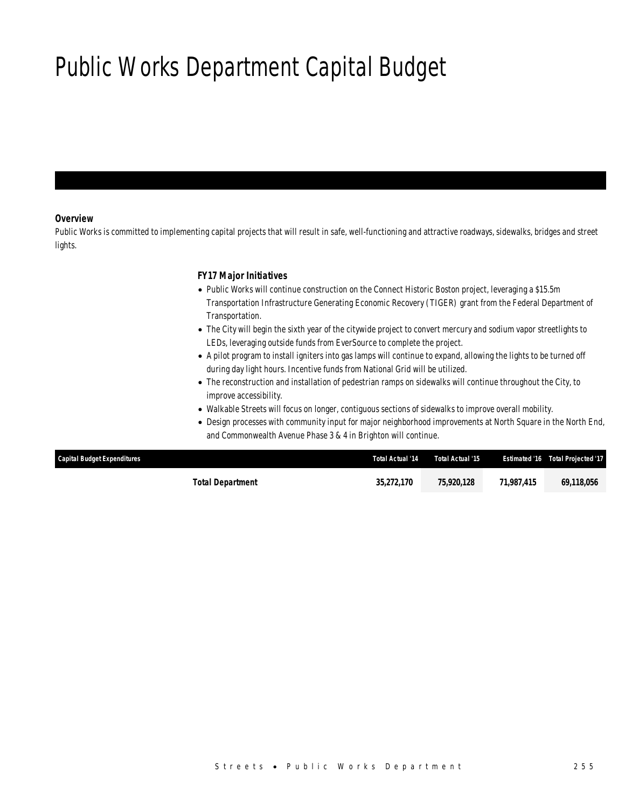# Public Works Department Capital Budget

### *Overview*

Public Works is committed to implementing capital projects that will result in safe, well-functioning and attractive roadways, sidewalks, bridges and street lights.

### *FY17 Major Initiatives*

- Public Works will continue construction on the Connect Historic Boston project, leveraging a \$15.5m Transportation Infrastructure Generating Economic Recovery (TIGER) grant from the Federal Department of Transportation.
- The City will begin the sixth year of the citywide project to convert mercury and sodium vapor streetlights to LEDs, leveraging outside funds from EverSource to complete the project.
- A pilot program to install igniters into gas lamps will continue to expand, allowing the lights to be turned off during day light hours. Incentive funds from National Grid will be utilized.
- The reconstruction and installation of pedestrian ramps on sidewalks will continue throughout the City, to improve accessibility.
- Walkable Streets will focus on longer, contiguous sections of sidewalks to improve overall mobility.
- Design processes with community input for major neighborhood improvements at North Square in the North End, and Commonwealth Avenue Phase 3 & 4 in Brighton will continue.

| <b>Capital Budget Expenditures</b> | Total Actual '14 | Total Actual '15 |            | Estimated '16 Total Projected '17 |
|------------------------------------|------------------|------------------|------------|-----------------------------------|
| Total Department                   | 35.272.170       | 75,920,128       | 71,987,415 | 69.118.056                        |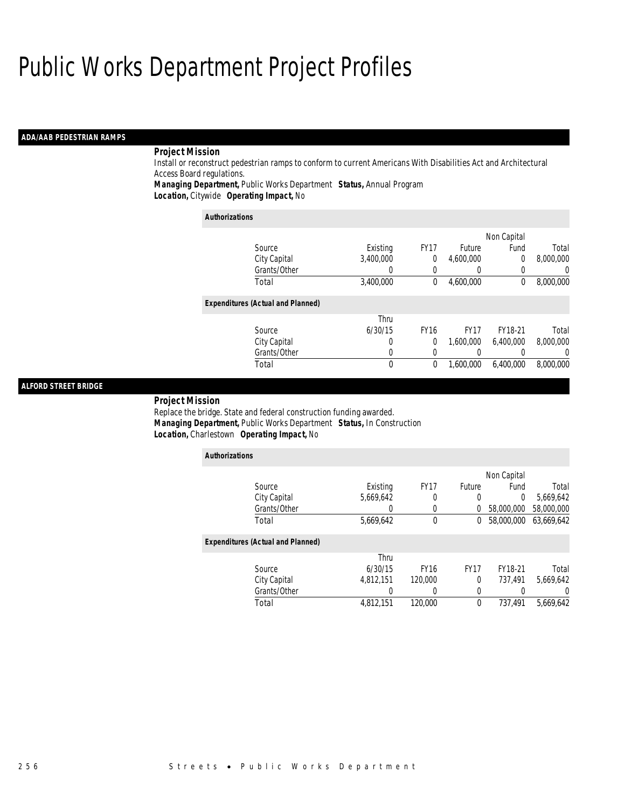## Public Works Department Project Profiles

### *ADA/AAB PEDESTRIAN RAMPS*

### *Project Mission*

Install or reconstruct pedestrian ramps to conform to current Americans With Disabilities Act and Architectural Access Board regulations.

*Managing Department,* Public Works Department *Status,* Annual Program*Location,* Citywide *Operating Impact,* No

| <b>Authorizations</b>                    |           |             |             |                |           |  |
|------------------------------------------|-----------|-------------|-------------|----------------|-----------|--|
|                                          |           |             |             | Non Capital    |           |  |
| Source                                   | Existing  | <b>FY17</b> | Future      | Fund           | Total     |  |
| City Capital                             | 3.400.000 | 0           | 4,600,000   | $\overline{0}$ | 8,000,000 |  |
| Grants/Other                             | O         | 0           |             | 0              | 0         |  |
| Total                                    | 3,400,000 | 0           | 4.600.000   | $^{0}$         | 8,000,000 |  |
| <b>Expenditures (Actual and Planned)</b> |           |             |             |                |           |  |
|                                          | Thru      |             |             |                |           |  |
| Source                                   | 6/30/15   | <b>FY16</b> | <b>FY17</b> | FY18-21        | Total     |  |
| City Capital                             | 0         | 0           | 1.600.000   | 6.400.000      | 8,000,000 |  |
| Grants/Other                             | 0         | 0           |             | 0              | 0         |  |
| Total                                    | 0         | 0           | 1.600.000   | 6.400.000      | 8,000,000 |  |

### *ALFORD STREET BRIDGE*

### *Project Mission*

Replace the bridge. State and federal construction funding awarded. *Managing Department,* Public Works Department *Status,* In Construction*Location,* Charlestown *Operating Impact,* No

| <b>Authorizations</b>                    |           |             |               |             |            |  |
|------------------------------------------|-----------|-------------|---------------|-------------|------------|--|
|                                          |           |             |               | Non Capital |            |  |
| Source                                   | Existing  | <b>FY17</b> | <b>Future</b> | Fund        | Total      |  |
| City Capital                             | 5,669,642 | 0           | $\Omega$      | $\theta$    | 5,669,642  |  |
| Grants/Other                             |           | 0           | 0             | 58,000,000  | 58,000,000 |  |
| Total                                    | 5,669,642 | $\theta$    | 0             | 58,000,000  | 63,669,642 |  |
| <b>Expenditures (Actual and Planned)</b> |           |             |               |             |            |  |
|                                          | Thru      |             |               |             |            |  |
| Source                                   | 6/30/15   | <b>FY16</b> | <b>FY17</b>   | FY18-21     | Total      |  |
| City Capital                             | 4.812.151 | 120,000     | $\theta$      | 737.491     | 5,669,642  |  |
| Grants/Other                             | 0         |             | 0             |             | 0          |  |
| Total                                    | 4.812.151 | 120,000     | 0             | 737.491     | 5.669.642  |  |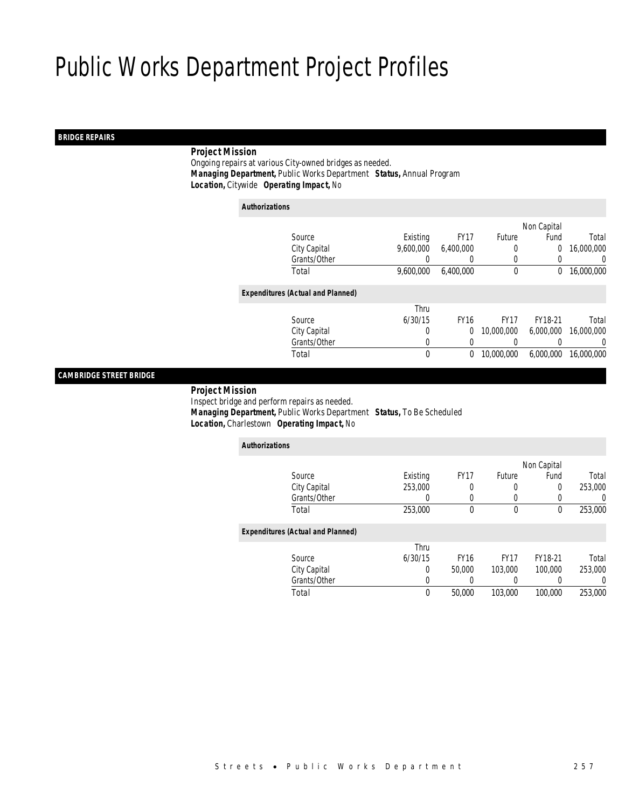## Public Works Department Project Profiles

### *BRIDGE REPAIRS*

### *Project Mission*

 Ongoing repairs at various City-owned bridges as needed. *Managing Department,* Public Works Department *Status,* Annual Program*Location,* Citywide *Operating Impact,* No

| <b>Authorizations</b> |                                          |           |             |             |                |                  |
|-----------------------|------------------------------------------|-----------|-------------|-------------|----------------|------------------|
|                       |                                          |           |             |             | Non Capital    |                  |
|                       | Source                                   | Existing  | <b>FY17</b> | Future      | Fund           | Total            |
|                       | City Capital                             | 9.600.000 | 6.400.000   | 0           | $\overline{0}$ | 16,000,000       |
|                       | Grants/Other                             |           |             | 0           | 0              | 0                |
|                       | Total                                    | 9.600.000 | 6.400.000   | $\mathbf 0$ | 0              | 16,000,000       |
|                       | <b>Expenditures (Actual and Planned)</b> |           |             |             |                |                  |
|                       |                                          | Thru      |             |             |                |                  |
|                       | Source                                   | 6/30/15   | <b>FY16</b> | <b>FY17</b> | FY18-21        | Total            |
|                       | City Capital                             | 0         | $\Omega$    | 10,000,000  | 6,000,000      | 16,000,000       |
|                       | Grants/Other                             | 0         | 0           |             |                | $\left( \right)$ |
|                       | Total                                    | 0         | 0           | 10,000,000  | 6,000,000      | 16.000.000       |
|                       |                                          |           |             |             |                |                  |

### *CAMBRIDGE STREET BRIDGE*

### *Project Mission*

 Inspect bridge and perform repairs as needed. *Managing Department,* Public Works Department *Status,* To Be Scheduled*Location,* Charlestown *Operating Impact,* No

| <b>Authorizations</b>                    |          |             |             |         |         |
|------------------------------------------|----------|-------------|-------------|---------|---------|
|                                          |          |             | Non Capital |         |         |
| Source                                   | Existing | <b>FY17</b> | Future      | Fund    | Total   |
| City Capital                             | 253,000  | 0           | 0           | 0       | 253,000 |
| Grants/Other                             | 0        | 0           | 0           | 0       | 0       |
| Total                                    | 253,000  | 0           | $\mathbf 0$ | 0       | 253,000 |
| <b>Expenditures (Actual and Planned)</b> |          |             |             |         |         |
|                                          | Thru     |             |             |         |         |
| Source                                   | 6/30/15  | <b>FY16</b> | <b>FY17</b> | FY18-21 | Total   |
| City Capital                             | 0        | 50,000      | 103,000     | 100,000 | 253,000 |
| Grants/Other                             | 0        | $\left($    | 0           | 0       | 0       |
| Total                                    | 0        | 50,000      | 103,000     | 100,000 | 253,000 |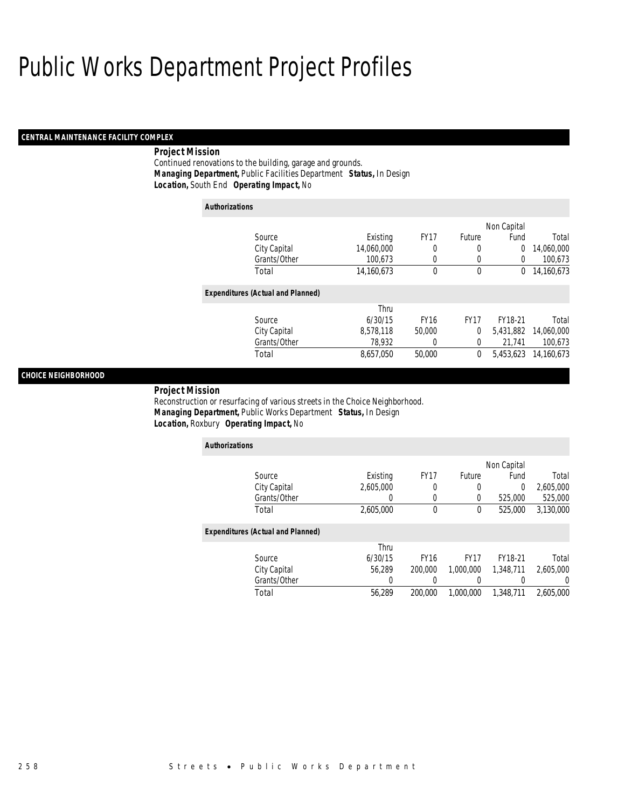## Public Works Department Project Profiles

### *CENTRAL MAINTENANCE FACILITY COMPLEX*

### *Project Mission*

Continued renovations to the building, garage and grounds. *Managing Department,* Public Facilities Department *Status,* In Design*Location,* South End *Operating Impact,* No

| <b>Authorizations</b> |                                          |            |             |             |           |            |  |
|-----------------------|------------------------------------------|------------|-------------|-------------|-----------|------------|--|
|                       |                                          |            |             | Non Capital |           |            |  |
|                       | Source                                   | Existing   | <b>FY17</b> | Future      | Fund      | Total      |  |
|                       | City Capital                             | 14,060,000 | 0           | 0           | 0         | 14,060,000 |  |
|                       | Grants/Other                             | 100,673    | 0           | 0           | $\Omega$  | 100,673    |  |
|                       | Total                                    | 14,160,673 | 0           | 0           | 0         | 14,160,673 |  |
|                       | <b>Expenditures (Actual and Planned)</b> |            |             |             |           |            |  |
|                       |                                          | Thru       |             |             |           |            |  |
|                       | Source                                   | 6/30/15    | <b>FY16</b> | <b>FY17</b> | FY18-21   | Total      |  |
|                       | City Capital                             | 8.578.118  | 50,000      | 0           | 5.431.882 | 14,060,000 |  |
|                       | Grants/Other                             | 78,932     | 0           | 0           | 21,741    | 100,673    |  |
|                       | Total                                    | 8,657,050  | 50,000      | 0           | 5.453.623 | 14,160,673 |  |

### *CHOICE NEIGHBORHOOD*

*Project Mission* 

Reconstruction or resurfacing of various streets in the Choice Neighborhood. *Managing Department,* Public Works Department *Status,* In Design*Location,* Roxbury *Operating Impact,* No

| <b>Authorizations</b>                    |           |             |               |           |           |  |  |
|------------------------------------------|-----------|-------------|---------------|-----------|-----------|--|--|
|                                          |           |             | Non Capital   |           |           |  |  |
| Source                                   | Existing  | <b>FY17</b> | <b>Future</b> | Fund      | Total     |  |  |
| City Capital                             | 2.605.000 | 0           | 0             | 0         | 2,605,000 |  |  |
| Grants/Other                             |           | $\left($    | 0             | 525,000   | 525,000   |  |  |
| Total                                    | 2,605,000 | $\theta$    | 0             | 525,000   | 3,130,000 |  |  |
| <b>Expenditures (Actual and Planned)</b> |           |             |               |           |           |  |  |
|                                          | Thru      |             |               |           |           |  |  |
| Source                                   | 6/30/15   | <b>FY16</b> | <b>FY17</b>   | FY18-21   | Total     |  |  |
| City Capital                             | 56.289    | 200,000     | 1.000.000     | 1.348.711 | 2.605.000 |  |  |
| Grants/Other                             | 0         |             |               | 0         | 0         |  |  |
| Total                                    | 56.289    | 200,000     | 1.000.000     | 1.348.711 | 2.605.000 |  |  |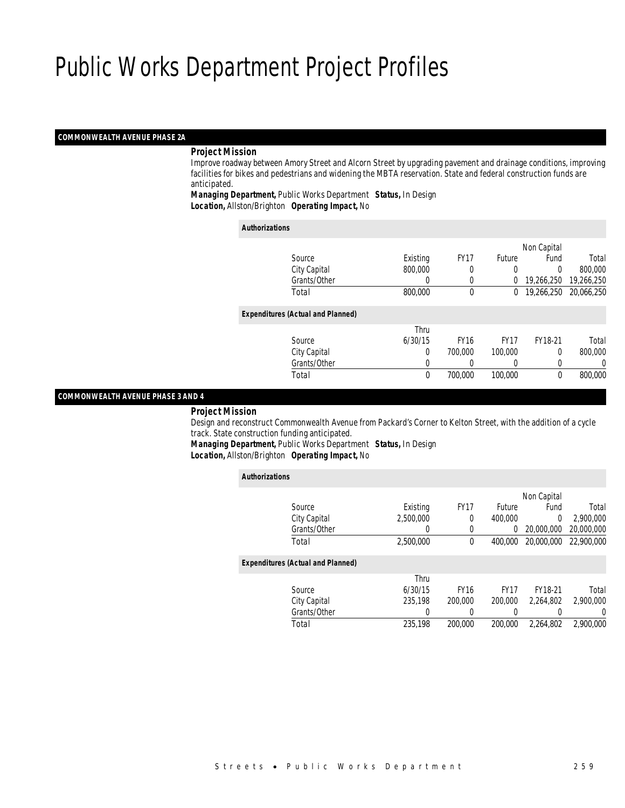#### *COMMONWEALTH AVENUE PHASE 2A*

#### *Project Mission*

 Improve roadway between Amory Street and Alcorn Street by upgrading pavement and drainage conditions, improving facilities for bikes and pedestrians and widening the MBTA reservation. State and federal construction funds are anticipated.

*Managing Department,* Public Works Department *Status,* In Design

*Location,* Allston/Brighton *Operating Impact,* No

| <b>Authorizations</b>                    |          |             |               |             |            |
|------------------------------------------|----------|-------------|---------------|-------------|------------|
|                                          |          |             |               | Non Capital |            |
| Source                                   | Existing | <b>FY17</b> | <b>Future</b> | Fund        | Total      |
| City Capital                             | 800,000  | 0           | 0             | 0           | 800,000    |
| Grants/Other                             |          | $\left($    | 0             | 19,266,250  | 19,266,250 |
| Total                                    | 800,000  | 0           | 0             | 19,266,250  | 20,066,250 |
| <b>Expenditures (Actual and Planned)</b> |          |             |               |             |            |
|                                          | Thru     |             |               |             |            |
| Source                                   | 6/30/15  | <b>FY16</b> | <b>FY17</b>   | FY18-21     | Total      |
| City Capital                             | 0        | 700,000     | 100,000       | 0           | 800,000    |
| Grants/Other                             | 0        |             | $\left($      | 0           | 0          |
| Total                                    | 0        | 700,000     | 100,000       | $\theta$    | 800,000    |

#### *COMMONWEALTH AVENUE PHASE 3 AND 4*

#### *Project Mission*

 Design and reconstruct Commonwealth Avenue from Packard's Corner to Kelton Street, with the addition of a cycle track. State construction funding anticipated.

*Managing Department,* Public Works Department *Status,* In Design

*Location,* Allston/Brighton *Operating Impact,* No

| <b>Authorizations</b> |                                          |           |             |             |             |            |
|-----------------------|------------------------------------------|-----------|-------------|-------------|-------------|------------|
|                       |                                          |           |             |             | Non Capital |            |
|                       | Source                                   | Existing  | <b>FY17</b> | Future      | Fund        | Total      |
|                       | City Capital                             | 2.500.000 | 0           | 400.000     | $\Omega$    | 2.900.000  |
|                       | Grants/Other                             | 0         | 0           | 0           | 20,000,000  | 20,000,000 |
|                       | Total                                    | 2,500,000 | $\theta$    | 400,000     | 20,000,000  | 22,900,000 |
|                       | <b>Expenditures (Actual and Planned)</b> |           |             |             |             |            |
|                       |                                          | Thru      |             |             |             |            |
|                       | Source                                   | 6/30/15   | <b>FY16</b> | <b>FY17</b> | FY18-21     | Total      |
|                       | City Capital                             | 235.198   | 200,000     | 200,000     | 2.264.802   | 2,900,000  |
|                       | Grants/Other                             | 0         | 0           | 0           | 0           | 0          |
|                       | Total                                    | 235.198   | 200,000     | 200,000     | 2.264.802   | 2.900.000  |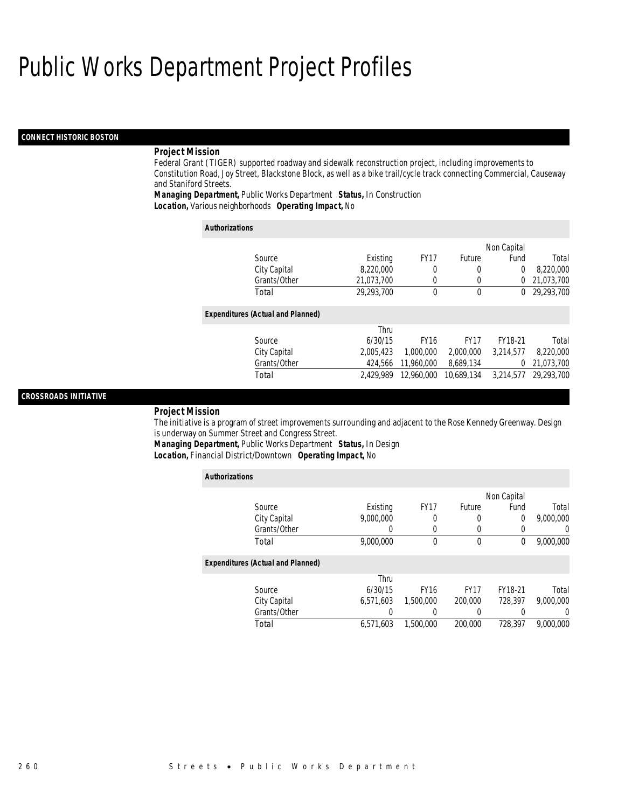#### *CONNECT HISTORIC BOSTON*

#### *Project Mission*

Federal Grant (TIGER) supported roadway and sidewalk reconstruction project, including improvements to Constitution Road, Joy Street, Blackstone Block, as well as a bike trail/cycle track connecting Commercial, Causeway and Staniford Streets.

*Managing Department,* Public Works Department *Status,* In Construction*Location,* Various neighborhoods *Operating Impact,* No

| <b>Authorizations</b>                    |            |             |              |             |            |
|------------------------------------------|------------|-------------|--------------|-------------|------------|
|                                          |            |             |              | Non Capital |            |
| Source                                   | Existing   | <b>FY17</b> | Future       | Fund        | Total      |
| City Capital                             | 8,220,000  | 0           | 0            | $\theta$    | 8,220,000  |
| Grants/Other                             | 21,073,700 | 0           | 0            | 0           | 21,073,700 |
| Total                                    | 29.293.700 | $\theta$    | $\mathbf{0}$ | 0           | 29,293,700 |
| <b>Expenditures (Actual and Planned)</b> |            |             |              |             |            |
|                                          | Thru       |             |              |             |            |
| Source                                   | 6/30/15    | <b>FY16</b> | <b>FY17</b>  | FY18-21     | Total      |
| City Capital                             | 2.005.423  | 1,000,000   | 2,000,000    | 3.214.577   | 8,220,000  |
| Grants/Other                             | 424.566    | 11,960,000  | 8,689,134    | 0           | 21,073,700 |
| Total                                    | 2.429.989  | 12.960.000  | 10.689.134   | 3.214.577   | 29,293,700 |

#### *CROSSROADS INITIATIVE*

#### *Project Mission*

The initiative is a program of street improvements surrounding and adjacent to the Rose Kennedy Greenway. Design is underway on Summer Street and Congress Street.

*Managing Department,* Public Works Department *Status,* In Design

*Location,* Financial District/Downtown *Operating Impact,* No

| <b>Authorizations</b>                    |           |             |             |             |                  |
|------------------------------------------|-----------|-------------|-------------|-------------|------------------|
|                                          |           |             |             | Non Capital |                  |
| Source                                   | Existing  | <b>FY17</b> | Future      | Fund        | Total            |
| City Capital                             | 9.000.000 | 0           | 0           | $\Omega$    | 9,000,000        |
| Grants/Other                             | 0         | 0           |             |             | $\left( \right)$ |
| Total                                    | 9,000,000 | 0           | $\mathbf 0$ | 0           | 9,000,000        |
| <b>Expenditures (Actual and Planned)</b> |           |             |             |             |                  |
|                                          | Thru      |             |             |             |                  |
| Source                                   | 6/30/15   | <b>FY16</b> | <b>FY17</b> | FY18-21     | Total            |
| City Capital                             | 6.571.603 | 1,500,000   | 200,000     | 728.397     | 9.000.000        |
| Grants/Other                             | 0         | 0           |             |             | 0                |
| Total                                    | 6.571.603 | 1,500,000   | 200,000     | 728.397     | 9.000.000        |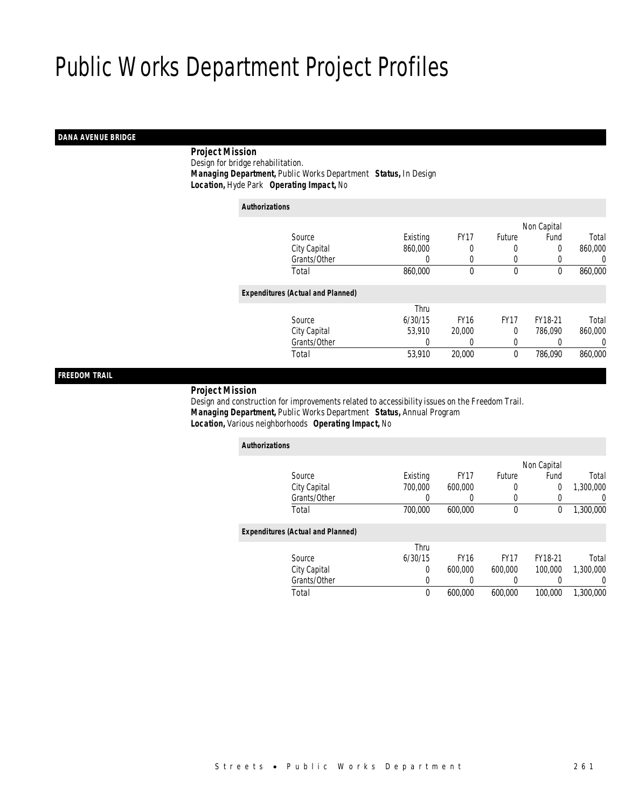## *DANA AVENUE BRIDGE*

 *Project Mission*Design for bridge rehabilitation.

*Managing Department,* Public Works Department *Status,* In Design

*Location,* Hyde Park *Operating Impact,* No

| <b>Authorizations</b>                    |          |             |             |             |         |
|------------------------------------------|----------|-------------|-------------|-------------|---------|
|                                          |          |             |             | Non Capital |         |
| Source                                   | Existing | <b>FY17</b> | Future      | Fund        | Total   |
| City Capital                             | 860,000  |             |             | 0           | 860,000 |
| Grants/Other                             | $\Omega$ | 0           | $\left($    | 0           | 0       |
| Total                                    | 860,000  | $\theta$    | $\mathbf 0$ | 0           | 860,000 |
| <b>Expenditures (Actual and Planned)</b> |          |             |             |             |         |
|                                          | Thru     |             |             |             |         |
| Source                                   | 6/30/15  | <b>FY16</b> | <b>FY17</b> | FY18-21     | Total   |
| City Capital                             | 53,910   | 20,000      | 0           | 786,090     | 860,000 |
| Grants/Other                             | 0        |             | 0           |             | 0       |
| Total                                    | 53,910   | 20,000      | 0           | 786,090     | 860,000 |
|                                          |          |             |             |             |         |

## *FREEDOM TRAIL*

#### *Project Mission*

 Design and construction for improvements related to accessibility issues on the Freedom Trail. *Managing Department,* Public Works Department *Status,* Annual Program*Location,* Various neighborhoods *Operating Impact,* No

| <b>Authorizations</b>                    |          |             |             |             |           |
|------------------------------------------|----------|-------------|-------------|-------------|-----------|
|                                          |          |             |             | Non Capital |           |
| Source                                   | Existing | <b>FY17</b> | Future      | Fund        | Total     |
| City Capital                             | 700,000  | 600.000     | 0           | 0           | 1.300.000 |
| Grants/Other                             | 0        | 0           | 0           | 0           | 0         |
| Total                                    | 700.000  | 600.000     | $\mathbf 0$ | 0           | 1,300,000 |
| <b>Expenditures (Actual and Planned)</b> |          |             |             |             |           |
|                                          | Thru     |             |             |             |           |
| Source                                   | 6/30/15  | <b>FY16</b> | <b>FY17</b> | FY18-21     | Total     |
| City Capital                             | $\Omega$ | 600.000     | 600,000     | 100,000     | 1.300.000 |
| Grants/Other                             | 0        | 0           | 0           |             | $\Omega$  |
| Total                                    | 0        | 600.000     | 600.000     | 100,000     | 1,300,000 |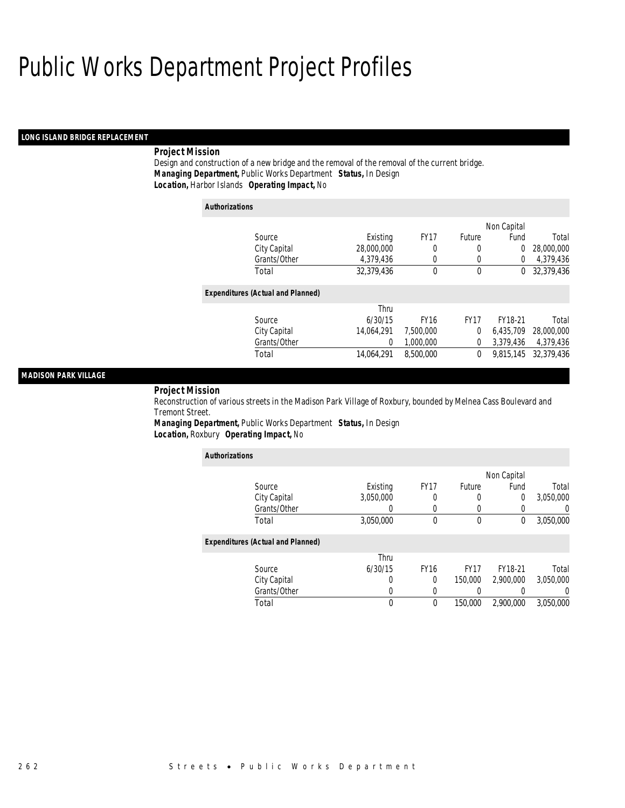#### *LONG ISLAND BRIDGE REPLACEMENT*

## *Project Mission*

Design and construction of a new bridge and the removal of the removal of the current bridge. *Managing Department,* Public Works Department *Status,* In Design*Location,* Harbor Islands *Operating Impact,* No

| <b>Authorizations</b> |                                          |            |             |               |             |            |
|-----------------------|------------------------------------------|------------|-------------|---------------|-------------|------------|
|                       |                                          |            |             |               | Non Capital |            |
|                       | Source                                   | Existing   | <b>FY17</b> | <b>Future</b> | Fund        | Total      |
|                       | City Capital                             | 28,000,000 | 0           | 0             | 0           | 28,000,000 |
|                       | Grants/Other                             | 4,379,436  | 0           | 0             | $\Omega$    | 4,379,436  |
|                       | Total                                    | 32.379.436 | 0           | $\mathbf 0$   | 0           | 32.379.436 |
|                       | <b>Expenditures (Actual and Planned)</b> |            |             |               |             |            |
|                       |                                          | Thru       |             |               |             |            |
|                       | Source                                   | 6/30/15    | <b>FY16</b> | <b>FY17</b>   | FY18-21     | Total      |
|                       | City Capital                             | 14,064,291 | 7,500,000   | 0             | 6.435.709   | 28,000,000 |
|                       | Grants/Other                             | 0          | 1.000.000   | 0             | 3,379,436   | 4,379,436  |
|                       | Total                                    | 14.064.291 | 8,500,000   | 0             | 9.815.145   | 32,379,436 |
|                       |                                          |            |             |               |             |            |

## *MADISON PARK VILLAGE*

#### *Project Mission*

Reconstruction of various streets in the Madison Park Village of Roxbury, bounded by Melnea Cass Boulevard and Tremont Street.

*Managing Department,* Public Works Department *Status,* In Design*Location,* Roxbury *Operating Impact,* No

| <b>Authorizations</b>                    |           |             |             |             |                  |
|------------------------------------------|-----------|-------------|-------------|-------------|------------------|
|                                          |           |             |             | Non Capital |                  |
| Source                                   | Existing  | <b>FY17</b> | Future      | Fund        | Total            |
| City Capital                             | 3,050,000 | 0           | 0           | 0           | 3,050,000        |
| Grants/Other                             |           |             | 0           | 0           | $\left( \right)$ |
| Total                                    | 3,050,000 | $\theta$    | $\mathbf 0$ | 0           | 3,050,000        |
| <b>Expenditures (Actual and Planned)</b> |           |             |             |             |                  |
|                                          | Thru      |             |             |             |                  |
| Source                                   | 6/30/15   | <b>FY16</b> | <b>FY17</b> | FY18-21     | Total            |
| City Capital                             | U         | $\Omega$    | 150,000     | 2.900.000   | 3,050,000        |
| Grants/Other                             | 0         | 0           |             |             | 0                |
| Total                                    | 0         | 0           | 150,000     | 2.900.000   | 3.050.000        |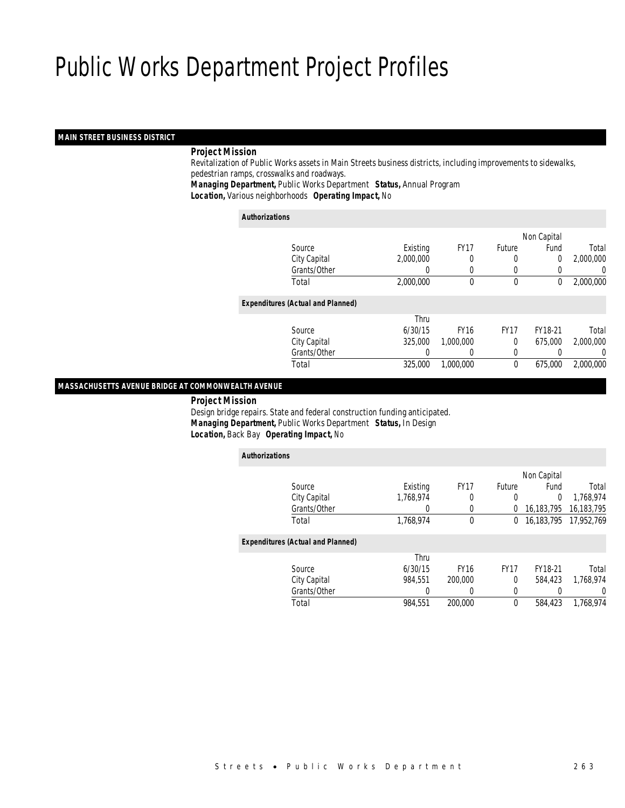#### *MAIN STREET BUSINESS DISTRICT*

#### *Project Mission*

 Revitalization of Public Works assets in Main Streets business districts, including improvements to sidewalks, pedestrian ramps, crosswalks and roadways.

*Managing Department,* Public Works Department *Status,* Annual Program

*Location,* Various neighborhoods *Operating Impact,* No

#### *Authorizations*

*Authorizations*

|                                          |                  |             |               | Non Capital |           |
|------------------------------------------|------------------|-------------|---------------|-------------|-----------|
| Source                                   | Existing         | <b>FY17</b> | <b>Future</b> | Fund        | Total     |
| City Capital                             | 2,000,000        | 0           | 0             | 0           | 2,000,000 |
| Grants/Other                             | $\left( \right)$ | 0           | 0             |             | 0         |
| Total                                    | 2,000,000        | 0           | $\mathbf 0$   | 0           | 2,000,000 |
| <b>Expenditures (Actual and Planned)</b> |                  |             |               |             |           |
|                                          | Thru             |             |               |             |           |
| Source                                   | 6/30/15          | <b>FY16</b> | <b>FY17</b>   | FY18-21     | Total     |
| City Capital                             | 325,000          | 1,000,000   | 0             | 675,000     | 2,000,000 |
| Grants/Other                             | 0                |             | 0             |             | 0         |
| Total                                    | 325,000          | 1,000,000   | 0             | 675,000     | 2,000,000 |
|                                          |                  |             |               |             |           |

## *MASSACHUSETTS AVENUE BRIDGE AT COMMONWEALTH AVENUE*

*Project Mission*

 Design bridge repairs. State and federal construction funding anticipated. *Managing Department,* Public Works Department *Status,* In Design*Location,* Back Bay *Operating Impact,* No

| AUUNULLAUUNS                             |              |           |             |             |             |            |
|------------------------------------------|--------------|-----------|-------------|-------------|-------------|------------|
|                                          |              |           |             |             | Non Capital |            |
|                                          | Source       | Existing  | <b>FY17</b> | Future      | Fund        | Total      |
|                                          | City Capital | 1,768,974 | 0           | 0           | 0           | 1.768.974  |
|                                          | Grants/Other |           |             | 0           | 16,183,795  | 16,183,795 |
| Total                                    |              | 1,768,974 | 0           | 0           | 16.183.795  | 17,952,769 |
| <b>Expenditures (Actual and Planned)</b> |              |           |             |             |             |            |
|                                          |              | Thru      |             |             |             |            |
|                                          | Source       | 6/30/15   | <b>FY16</b> | <b>FY17</b> | FY18-21     | Total      |
|                                          | City Capital | 984.551   | 200,000     | 0           | 584,423     | 1.768.974  |
|                                          | Grants/Other |           |             | 0           |             | 0          |
| Total                                    |              | 984.551   | 200,000     | 0           | 584,423     | 1.768.974  |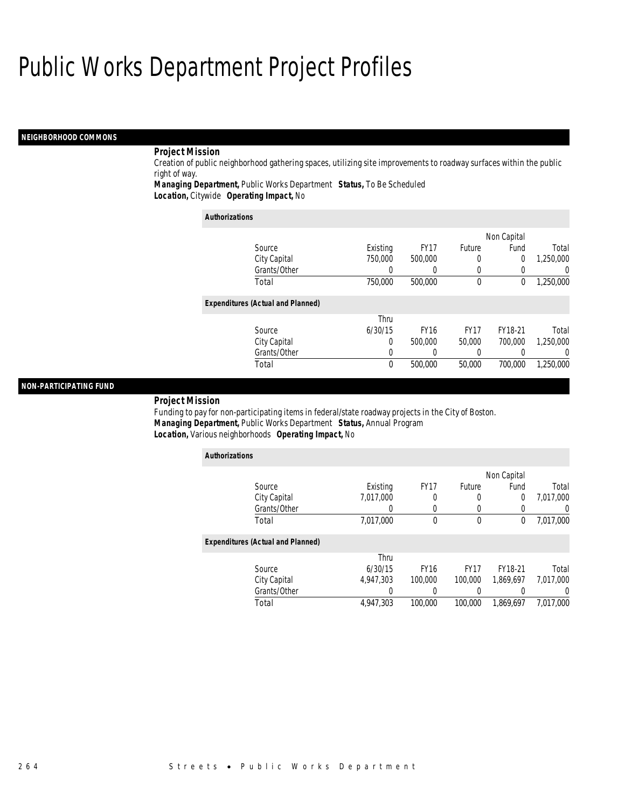#### *NEIGHBORHOOD COMMONS*

## *Project Mission*

Creation of public neighborhood gathering spaces, utilizing site improvements to roadway surfaces within the public right of way.

*Managing Department,* Public Works Department *Status,* To Be Scheduled*Location,* Citywide *Operating Impact,* No

| <b>Authorizations</b>                    |          |             |             |             |                  |
|------------------------------------------|----------|-------------|-------------|-------------|------------------|
|                                          |          |             |             | Non Capital |                  |
| Source                                   | Existing | <b>FY17</b> | Future      | Fund        | Total            |
| City Capital                             | 750,000  | 500,000     | 0           | 0           | 1,250,000        |
| Grants/Other                             | 0        |             | 0           | $\Omega$    | $\left( \right)$ |
| Total                                    | 750,000  | 500,000     | 0           | 0           | 1,250,000        |
| <b>Expenditures (Actual and Planned)</b> |          |             |             |             |                  |
|                                          | Thru     |             |             |             |                  |
| Source                                   | 6/30/15  | <b>FY16</b> | <b>FY17</b> | FY18-21     | Total            |
| City Capital                             | 0        | 500,000     | 50,000      | 700,000     | 1.250.000        |
| Grants/Other                             | 0        |             | 0           | O           | 0                |
| Total                                    | $\theta$ | 500,000     | 50,000      | 700,000     | 1.250.000        |

#### *NON-PARTICIPATING FUND*

### *Project Mission*

Funding to pay for non-participating items in federal/state roadway projects in the City of Boston. *Managing Department,* Public Works Department *Status,* Annual Program*Location,* Various neighborhoods *Operating Impact,* No

| <b>Authorizations</b>                    |           |             |             |                |           |
|------------------------------------------|-----------|-------------|-------------|----------------|-----------|
|                                          |           |             |             | Non Capital    |           |
| Source                                   | Existing  | <b>FY17</b> | Future      | Fund           | Total     |
| City Capital                             | 7,017,000 | 0           | 0           | $\overline{0}$ | 7,017,000 |
| Grants/Other                             |           | $\left($    |             | 0              |           |
| Total                                    | 7,017,000 | $\theta$    | $\mathbf 0$ | 0              | 7,017,000 |
| <b>Expenditures (Actual and Planned)</b> |           |             |             |                |           |
|                                          | Thru      |             |             |                |           |
| Source                                   | 6/30/15   | <b>FY16</b> | <b>FY17</b> | FY18-21        | Total     |
| City Capital                             | 4.947.303 | 100,000     | 100,000     | 1,869,697      | 7,017,000 |
| Grants/Other                             |           |             |             |                |           |
| Total                                    | 4.947.303 | 100,000     | 100,000     | 1.869.697      | 7.017.000 |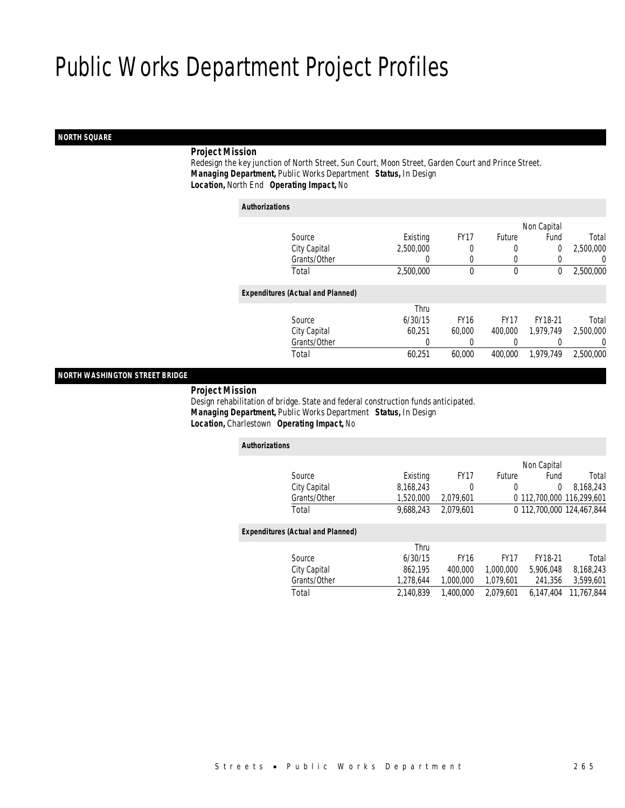## *NORTH SQUARE*

## *Project Mission*

 Redesign the key junction of North Street, Sun Court, Moon Street, Garden Court and Prince Street. *Managing Department,* Public Works Department *Status,* In Design*Location,* North End *Operating Impact,* No

| <b>Authorizations</b>                    |           |             |             |             |                  |
|------------------------------------------|-----------|-------------|-------------|-------------|------------------|
|                                          |           |             |             | Non Capital |                  |
| Source                                   | Existing  | <b>FY17</b> | Future      | Fund        | Total            |
| City Capital                             | 2.500.000 | 0           | 0           | 0           | 2,500,000        |
| Grants/Other                             | 0         | 0           | 0           | 0           | $\left( \right)$ |
| Total                                    | 2,500,000 | $\theta$    | $\mathbf 0$ | 0           | 2,500,000        |
| <b>Expenditures (Actual and Planned)</b> |           |             |             |             |                  |
|                                          | Thru      |             |             |             |                  |
| Source                                   | 6/30/15   | <b>FY16</b> | <b>FY17</b> | FY18-21     | Total            |
| City Capital                             | 60.251    | 60,000      | 400,000     | 1.979.749   | 2.500.000        |
| Grants/Other                             | 0         |             |             | 0           | $\left( \right)$ |
| Total                                    | 60,251    | 60.000      | 400,000     | 1.979.749   | 2,500,000        |

*NORTH WASHINGTON STREET BRIDGE* 

#### *Project Mission*

 Design rehabilitation of bridge. State and federal construction funds anticipated. *Managing Department,* Public Works Department *Status,* In Design*Location,* Charlestown *Operating Impact,* No

| <b>Authorizations</b>                    |           |             |               |                           |            |
|------------------------------------------|-----------|-------------|---------------|---------------------------|------------|
|                                          |           |             |               | Non Capital               |            |
| Source                                   | Existing  | <b>FY17</b> | <b>Future</b> | Fund                      | Total      |
| City Capital                             | 8,168,243 | 0           | 0             | $\Omega$                  | 8,168,243  |
| Grants/Other                             | 1,520,000 | 2.079.601   |               | 0 112.700.000 116.299.601 |            |
| Total                                    | 9.688.243 | 2.079.601   |               | 0 112.700.000 124.467.844 |            |
| <b>Expenditures (Actual and Planned)</b> |           |             |               |                           |            |
|                                          | Thru      |             |               |                           |            |
| Source                                   | 6/30/15   | <b>FY16</b> | <b>FY17</b>   | FY18-21                   | Total      |
| City Capital                             | 862.195   | 400.000     | 1.000.000     | 5.906.048                 | 8,168,243  |
| Grants/Other                             | 1,278,644 | 1.000.000   | 1.079.601     | 241.356                   | 3,599,601  |
| Total                                    | 2,140,839 | 1.400.000   | 2.079.601     | 6.147.404                 | 11,767,844 |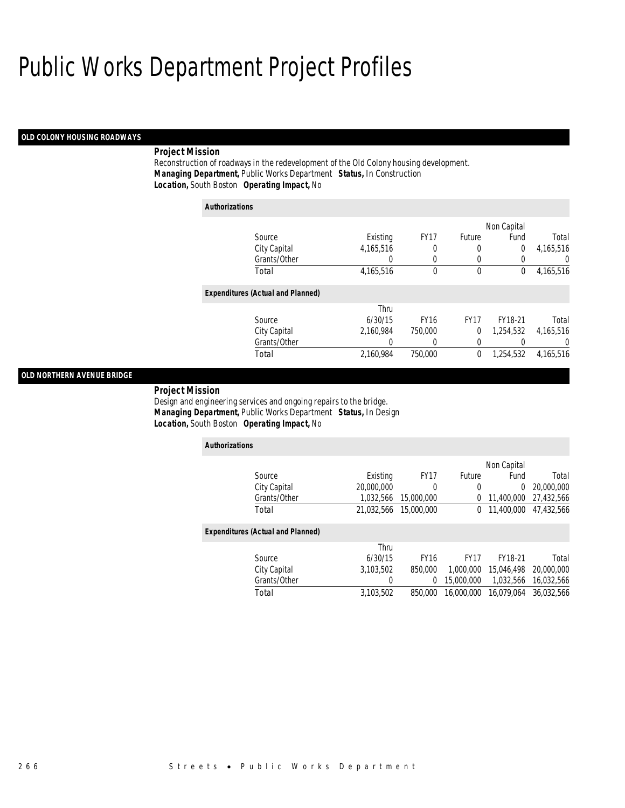#### *OLD COLONY HOUSING ROADWAYS*

#### *Project Mission*

Reconstruction of roadways in the redevelopment of the Old Colony housing development. *Managing Department,* Public Works Department *Status,* In Construction*Location,* South Boston *Operating Impact,* No

## *Authorizations* Source **Existing** FY17 Future Non Capital City Capital 4,165,516 0 0 0 4,165,516 Grants/Other 0 0 0 0 0 0 Total 4,165,516 0 0 0 4,165,516*Expenditures (Actual and Planned)* Source Thru 6/30/15 FY16 FY17 FY18-21 Total City Capital 2,160,984 750,000 0 1,254,532 4,165,516

Fund Total

#### *OLD NORTHERN AVENUE BRIDGE*

*Project Mission* 

Design and engineering services and ongoing repairs to the bridge. *Managing Department,* Public Works Department *Status,* In Design*Location,* South Boston *Operating Impact,* No

| <b>Authorizations</b>                    |            |                  |               |             |            |
|------------------------------------------|------------|------------------|---------------|-------------|------------|
|                                          |            |                  |               | Non Capital |            |
| Source                                   | Existing   | FY <sub>17</sub> | <b>Future</b> | Fund        | Total      |
| City Capital                             | 20,000,000 | 0                | 0             | 0           | 20,000,000 |
| Grants/Other                             | 1,032,566  | 15,000,000       | 0             | 11,400,000  | 27.432.566 |
| Total                                    | 21.032.566 | 15,000,000       | 0             | 11,400,000  | 47.432.566 |
| <b>Expenditures (Actual and Planned)</b> |            |                  |               |             |            |
|                                          | Thru       |                  |               |             |            |
| Source                                   | 6/30/15    | <b>FY16</b>      | <b>FY17</b>   | FY18-21     | Total      |
| City Capital                             | 3.103.502  | 850,000          | 1.000.000     | 15,046,498  | 20,000,000 |
| Grants/Other                             | 0          | 0                | 15,000,000    | 1,032,566   | 16,032,566 |
| Total                                    | 3,103,502  | 850,000          | 16,000,000    | 16.079.064  | 36.032.566 |

Grants/Other 0 0 0 0 0 0

Total 2,160,984 750,000 0 1,254,532 4,165,516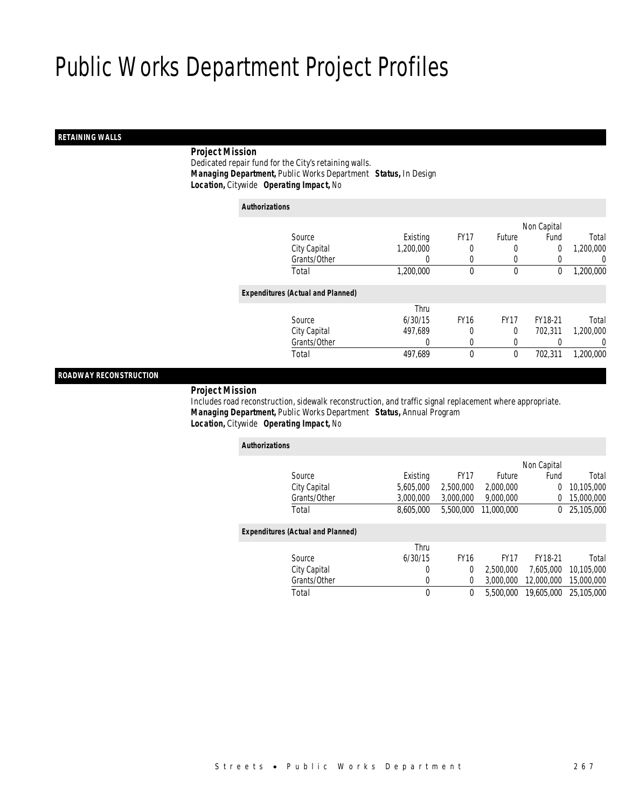## *RETAINING WALLS*

## *Project Mission*

 Dedicated repair fund for the City's retaining walls. *Managing Department,* Public Works Department *Status,* In Design*Location,* Citywide *Operating Impact,* No

| <b>Authorizations</b> |                                          |           |             |             |                |           |
|-----------------------|------------------------------------------|-----------|-------------|-------------|----------------|-----------|
|                       |                                          |           |             |             | Non Capital    |           |
|                       | Source                                   | Existing  | <b>FY17</b> | Future      | Fund           | Total     |
|                       | City Capital                             | 1,200,000 | 0           | 0           | $\overline{0}$ | 1,200,000 |
|                       | Grants/Other                             |           | 0           | $\left($    |                | 0         |
|                       | Total                                    | 1,200,000 | $\theta$    | $\mathbf 0$ | 0              | 1,200,000 |
|                       | <b>Expenditures (Actual and Planned)</b> |           |             |             |                |           |
|                       |                                          | Thru      |             |             |                |           |
|                       | Source                                   | 6/30/15   | <b>FY16</b> | <b>FY17</b> | FY18-21        | Total     |
|                       | City Capital                             | 497,689   | 0           | 0           | 702.311        | 1,200,000 |
|                       | Grants/Other                             | 0         | 0           | $\left($    |                | 0         |
|                       | Total                                    | 497,689   | $\theta$    | 0           | 702,311        | 1,200,000 |
|                       |                                          |           |             |             |                |           |

## *ROADWAY RECONSTRUCTION*

#### *Project Mission*

 Includes road reconstruction, sidewalk reconstruction, and traffic signal replacement where appropriate. *Managing Department,* Public Works Department *Status,* Annual Program*Location,* Citywide *Operating Impact,* No

| <b>Authorizations</b>                    |           |                |             |             |            |
|------------------------------------------|-----------|----------------|-------------|-------------|------------|
|                                          |           |                |             | Non Capital |            |
| Source                                   | Existing  | <b>FY17</b>    | Future      | Fund        | Total      |
| City Capital                             | 5,605,000 | 2,500,000      | 2,000,000   | 0           | 10,105,000 |
| Grants/Other                             | 3,000,000 | 3,000,000      | 9.000.000   | 0           | 15,000,000 |
| Total                                    | 8.605.000 | 5,500,000      | 11.000.000  | 0           | 25,105,000 |
| <b>Expenditures (Actual and Planned)</b> |           |                |             |             |            |
|                                          | Thru      |                |             |             |            |
| Source                                   | 6/30/15   | <b>FY16</b>    | <b>FY17</b> | FY18-21     | Total      |
| City Capital                             | 0         | $\overline{0}$ | 2,500,000   | 7.605.000   | 10.105.000 |
| Grants/Other                             | 0         | $\Omega$       | 3.000.000   | 12,000,000  | 15,000,000 |
| Total                                    | 0         | 0              | 5,500,000   | 19,605,000  | 25,105,000 |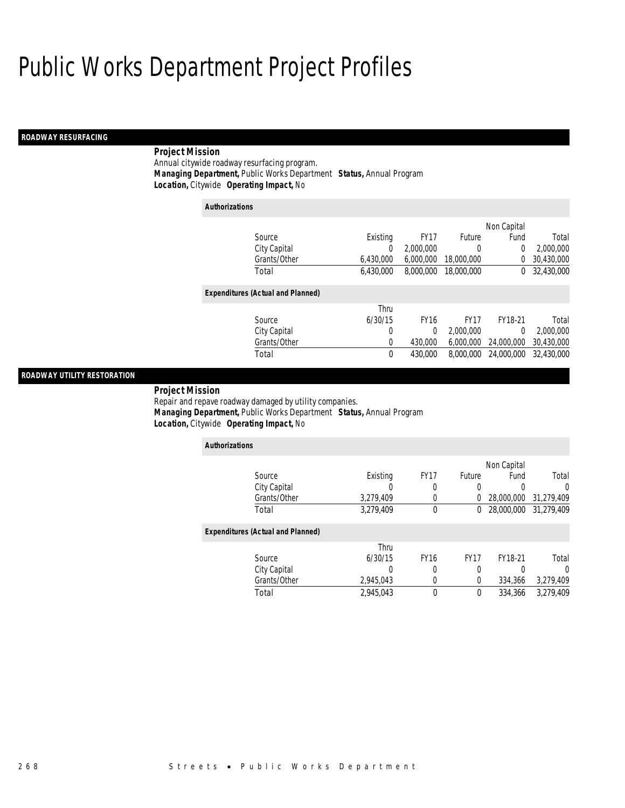## *ROADWAY RESURFACING*

## *Project Mission*

Annual citywide roadway resurfacing program. *Managing Department,* Public Works Department *Status,* Annual Program*Location,* Citywide *Operating Impact,* No

#### *Authorizations*

|                                          |           |             |             | Non Capital |            |
|------------------------------------------|-----------|-------------|-------------|-------------|------------|
| Source                                   | Existing  | <b>FY17</b> | Future      | Fund        | Total      |
| City Capital                             | 0         | 2,000,000   | 0           | 0           | 2,000,000  |
| Grants/Other                             | 6,430,000 | 6,000,000   | 18,000,000  | 0           | 30,430,000 |
| Total                                    | 6,430,000 | 8,000,000   | 18,000,000  | 0           | 32,430,000 |
|                                          |           |             |             |             |            |
| <b>Expenditures (Actual and Planned)</b> |           |             |             |             |            |
|                                          | Thru      |             |             |             |            |
| Source                                   | 6/30/15   | <b>FY16</b> | <b>FY17</b> | FY18-21     | Total      |
| City Capital                             | 0         | $\Omega$    | 2,000,000   | 0           | 2,000,000  |
| Grants/Other                             | $\Omega$  | 430,000     | 6.000.000   | 24,000,000  | 30,430,000 |
| Total                                    | $\theta$  | 430,000     | 8,000,000   | 24,000,000  | 32,430,000 |
|                                          |           |             |             |             |            |

## *ROADWAY UTILITY RESTORATION*

 *Project Mission* Repair and repave roadway damaged by utility companies. *Managing Department,* Public Works Department *Status,* Annual Program*Location,* Citywide *Operating Impact,* No

| <b>Authorizations</b>                    |           |                  |             |             |            |
|------------------------------------------|-----------|------------------|-------------|-------------|------------|
|                                          |           |                  |             | Non Capital |            |
| Source                                   | Existing  | FY <sub>17</sub> | Future      | Fund        | Total      |
| City Capital                             |           | 0                | 0           | 0           | 0          |
| Grants/Other                             | 3,279,409 |                  | 0           | 28,000,000  | 31,279,409 |
| Total                                    | 3,279,409 | $\mathbf 0$      | 0           | 28,000,000  | 31,279,409 |
| <b>Expenditures (Actual and Planned)</b> |           |                  |             |             |            |
|                                          | Thru      |                  |             |             |            |
| Source                                   | 6/30/15   | <b>FY16</b>      | <b>FY17</b> | FY18-21     | Total      |
| City Capital                             |           | 0                | 0           |             | O          |
| Grants/Other                             | 2,945,043 | 0                | 0           | 334,366     | 3,279,409  |
| Total                                    | 2.945.043 | $\theta$         | 0           | 334,366     | 3,279,409  |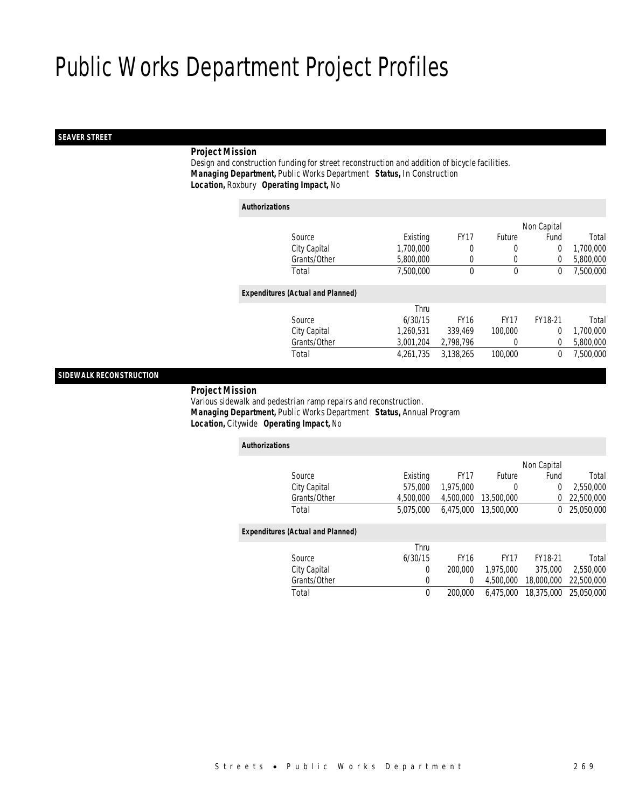## *SEAVER STREET*

## *Project Mission*

 Design and construction funding for street reconstruction and addition of bicycle facilities. *Managing Department,* Public Works Department *Status,* In Construction*Location,* Roxbury *Operating Impact,* No

| <b>Authorizations</b> |                                          |           |             |              |                |           |
|-----------------------|------------------------------------------|-----------|-------------|--------------|----------------|-----------|
|                       |                                          |           |             |              | Non Capital    |           |
|                       | Source                                   | Existing  | <b>FY17</b> | Future       | Fund           | Total     |
|                       | City Capital                             | 1,700,000 | 0           | 0            | $\overline{0}$ | 1,700,000 |
|                       | Grants/Other                             | 5,800,000 | 0           | 0            | $\Omega$       | 5,800,000 |
|                       | Total                                    | 7.500.000 | 0           | $\mathbf{0}$ | 0              | 7.500.000 |
|                       | <b>Expenditures (Actual and Planned)</b> |           |             |              |                |           |
|                       |                                          | Thru      |             |              |                |           |
|                       | Source                                   | 6/30/15   | <b>FY16</b> | <b>FY17</b>  | FY18-21        | Total     |
|                       | City Capital                             | 1.260.531 | 339.469     | 100,000      | $\theta$       | 1,700,000 |
|                       | Grants/Other                             | 3,001,204 | 2,798,796   | 0            | $\Omega$       | 5,800,000 |
|                       | Total                                    | 4,261,735 | 3,138,265   | 100,000      | $\mathbf 0$    | 7,500,000 |

## *SIDEWALK RECONSTRUCTION*

#### *Project Mission*

 Various sidewalk and pedestrian ramp repairs and reconstruction. *Managing Department,* Public Works Department *Status,* Annual Program*Location,* Citywide *Operating Impact,* No

| <b>Authorizations</b>                    |           |             |             |             |            |
|------------------------------------------|-----------|-------------|-------------|-------------|------------|
|                                          |           |             |             | Non Capital |            |
| Source                                   | Existing  | <b>FY17</b> | Future      | Fund        | Total      |
| City Capital                             | 575,000   | 1.975.000   | 0           | 0           | 2,550,000  |
| Grants/Other                             | 4.500.000 | 4.500.000   | 13,500,000  | 0           | 22,500,000 |
| Total                                    | 5.075.000 | 6.475.000   | 13,500,000  | 0           | 25,050,000 |
| <b>Expenditures (Actual and Planned)</b> |           |             |             |             |            |
|                                          | Thru      |             |             |             |            |
| Source                                   | 6/30/15   | <b>FY16</b> | <b>FY17</b> | FY18-21     | Total      |
| City Capital                             | $\Omega$  | 200,000     | 1.975.000   | 375,000     | 2.550.000  |
| Grants/Other                             | 0         | 0           | 4.500.000   | 18,000,000  | 22,500,000 |
| Total                                    | $\theta$  | 200,000     | 6.475.000   | 18,375,000  | 25.050.000 |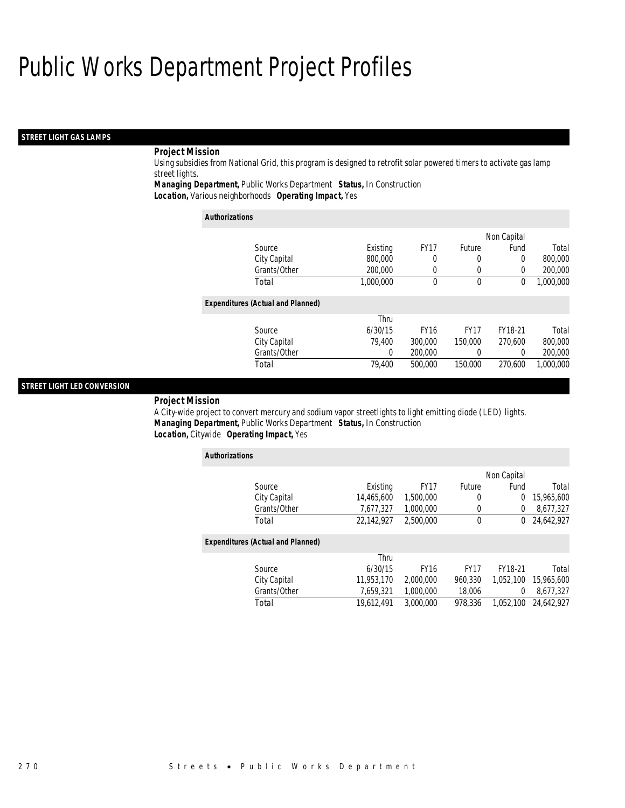#### *STREET LIGHT GAS LAMPS*

## *Project Mission*

Using subsidies from National Grid, this program is designed to retrofit solar powered timers to activate gas lamp street lights.

*Managing Department,* Public Works Department *Status,* In Construction

*Location,* Various neighborhoods *Operating Impact,* Yes

| <b>Authorizations</b>                    |           |             |               |             |           |
|------------------------------------------|-----------|-------------|---------------|-------------|-----------|
|                                          |           |             |               | Non Capital |           |
| Source                                   | Existing  | <b>FY17</b> | <b>Future</b> | Fund        | Total     |
| City Capital                             | 800,000   | 0           | 0             | $\Omega$    | 800,000   |
| Grants/Other                             | 200,000   | 0           | 0             | $\Omega$    | 200,000   |
| Total                                    | 1,000,000 | 0           | 0             | 0           | 1,000,000 |
| <b>Expenditures (Actual and Planned)</b> |           |             |               |             |           |
|                                          | Thru      |             |               |             |           |
| Source                                   | 6/30/15   | <b>FY16</b> | <b>FY17</b>   | FY18-21     | Total     |
| City Capital                             | 79.400    | 300,000     | 150,000       | 270.600     | 800,000   |
| Grants/Other                             | 0         | 200,000     | 0             | $\Omega$    | 200,000   |
| Total                                    | 79.400    | 500,000     | 150,000       | 270.600     | 1,000,000 |

#### *STREET LIGHT LED CONVERSION*

#### *Project Mission*

A City-wide project to convert mercury and sodium vapor streetlights to light emitting diode (LED) lights. *Managing Department,* Public Works Department *Status,* In Construction*Location,* Citywide *Operating Impact,* Yes

| <b>Authorizations</b>                    |            |             |             |             |            |
|------------------------------------------|------------|-------------|-------------|-------------|------------|
|                                          |            |             |             | Non Capital |            |
| Source                                   | Existing   | <b>FY17</b> | Future      | Fund        | Total      |
| City Capital                             | 14,465,600 | 1,500,000   | 0           | 0           | 15,965,600 |
| Grants/Other                             | 7,677,327  | 1.000.000   | 0           | 0           | 8,677,327  |
| Total                                    | 22.142.927 | 2.500.000   | $\theta$    | $^{0}$      | 24,642,927 |
| <b>Expenditures (Actual and Planned)</b> |            |             |             |             |            |
|                                          | Thru       |             |             |             |            |
| Source                                   | 6/30/15    | <b>FY16</b> | <b>FY17</b> | FY18-21     | Total      |
| City Capital                             | 11.953.170 | 2,000,000   | 960.330     | 1.052.100   | 15,965,600 |
| Grants/Other                             | 7.659.321  | 1.000.000   | 18,006      | 0           | 8,677,327  |
| Total                                    | 19.612.491 | 3.000.000   | 978.336     | 1.052.100   | 24.642.927 |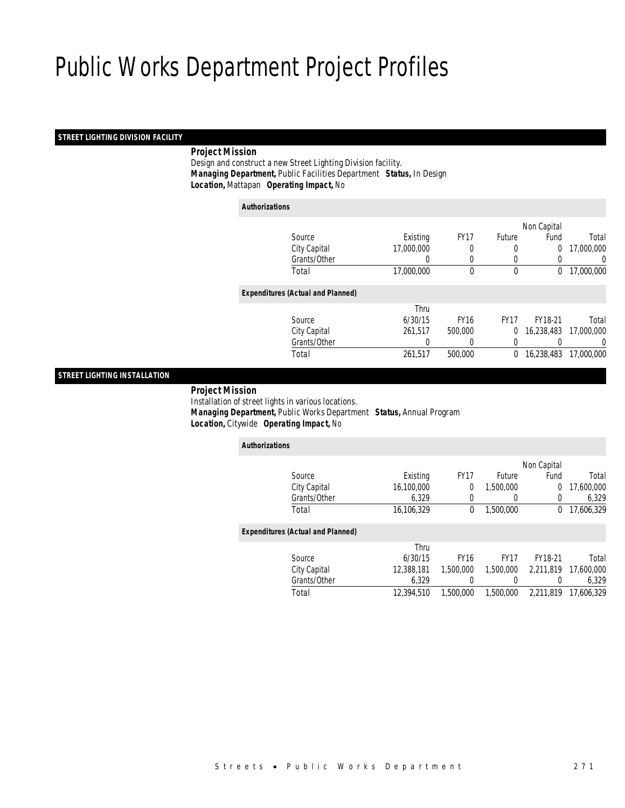## *STREET LIGHTING DIVISION FACILITY*

## *Project Mission*

 Design and construct a new Street Lighting Division facility. *Managing Department,* Public Facilities Department *Status,* In Design*Location,* Mattapan *Operating Impact,* No

| <b>Authorizations</b>                    |            |             |             |                |                  |
|------------------------------------------|------------|-------------|-------------|----------------|------------------|
|                                          |            |             |             | Non Capital    |                  |
| Source                                   | Existing   | <b>FY17</b> | Future      | Fund           | Total            |
| City Capital                             | 17,000,000 | 0           | 0           | $\overline{0}$ | 17,000,000       |
| Grants/Other                             | 0          | 0           | $\Omega$    | 0              | $\left( \right)$ |
| Total                                    | 17,000,000 | $\mathbf 0$ | $\mathbf 0$ | 0              | 17,000,000       |
| <b>Expenditures (Actual and Planned)</b> |            |             |             |                |                  |
|                                          | Thru       |             |             |                |                  |
| Source                                   | 6/30/15    | <b>FY16</b> | <b>FY17</b> | FY18-21        | Total            |
| City Capital                             | 261,517    | 500,000     | 0           | 16,238,483     | 17,000,000       |
| Grants/Other                             | 0          | 0           | 0           | 0              | 0                |
| Total                                    | 261,517    | 500,000     | 0           | 16,238,483     | 17,000,000       |

## *STREET LIGHTING INSTALLATION*

## *Project Mission*

 Installation of street lights in various locations. *Managing Department,* Public Works Department *Status,* Annual Program*Location,* Citywide *Operating Impact,* No

| <b>Authorizations</b>                    |              |            |             |             |             |            |
|------------------------------------------|--------------|------------|-------------|-------------|-------------|------------|
|                                          |              |            |             |             | Non Capital |            |
| Source                                   |              | Existing   | <b>FY17</b> | Future      | Fund        | Total      |
| City Capital                             |              | 16.100.000 | 0           | 1.500.000   | 0           | 17,600,000 |
|                                          | Grants/Other | 6.329      | 0           | 0           | 0           | 6,329      |
| Total                                    |              | 16.106.329 | 0           | 1.500.000   | 0           | 17.606.329 |
| <b>Expenditures (Actual and Planned)</b> |              |            |             |             |             |            |
|                                          |              | Thru       |             |             |             |            |
| Source                                   |              | 6/30/15    | <b>FY16</b> | <b>FY17</b> | FY18-21     | Total      |
| City Capital                             |              | 12.388.181 | 1.500.000   | 1,500,000   | 2.211.819   | 17,600,000 |
|                                          | Grants/Other | 6,329      | 0           |             | 0           | 6,329      |
| Total                                    |              | 12.394.510 | 1,500,000   | 1.500.000   | 2.211.819   | 17.606.329 |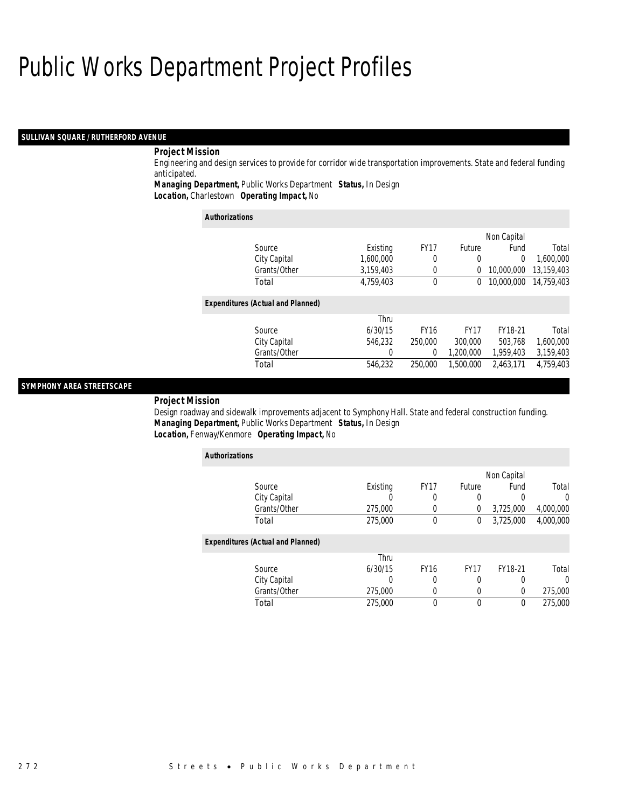#### *SULLIVAN SQUARE / RUTHERFORD AVENUE*

## *Project Mission*

Engineering and design services to provide for corridor wide transportation improvements. State and federal funding anticipated.

*Managing Department,* Public Works Department *Status,* In Design

*Location,* Charlestown *Operating Impact,* No

| <b>Authorizations</b>                    |           |             |             |                |            |
|------------------------------------------|-----------|-------------|-------------|----------------|------------|
|                                          |           |             |             | Non Capital    |            |
| Source                                   | Existing  | <b>FY17</b> | Future      | Fund           | Total      |
| City Capital                             | 1.600.000 | 0           | 0           | $\overline{0}$ | 1.600.000  |
| Grants/Other                             | 3.159.403 | 0           | 0           | 10,000,000     | 13,159,403 |
| Total                                    | 4,759,403 | $\theta$    | 0           | 10,000,000     | 14,759,403 |
| <b>Expenditures (Actual and Planned)</b> |           |             |             |                |            |
|                                          | Thru      |             |             |                |            |
| Source                                   | 6/30/15   | <b>FY16</b> | <b>FY17</b> | FY18-21        | Total      |
| City Capital                             | 546.232   | 250,000     | 300,000     | 503.768        | 1,600,000  |
| Grants/Other                             | 0         | 0           | 1.200.000   | 1,959,403      | 3,159,403  |
| Total                                    | 546.232   | 250,000     | 1.500.000   | 2.463.171      | 4.759.403  |

## *SYMPHONY AREA STREETSCAPE*

#### *Project Mission*

Design roadway and sidewalk improvements adjacent to Symphony Hall. State and federal construction funding. *Managing Department,* Public Works Department *Status,* In Design*Location,* Fenway/Kenmore *Operating Impact,* No

| <b>Authorizations</b>                    |          |             |             |             |           |
|------------------------------------------|----------|-------------|-------------|-------------|-----------|
|                                          |          |             |             | Non Capital |           |
| Source                                   | Existing | <b>FY17</b> | Future      | Fund        | Total     |
| City Capital                             | U        | 0           | 0           | 0           | $\Omega$  |
| Grants/Other                             | 275,000  | 0           | 0           | 3,725,000   | 4,000,000 |
| Total                                    | 275,000  | $\theta$    | 0           | 3,725,000   | 4,000,000 |
| <b>Expenditures (Actual and Planned)</b> |          |             |             |             |           |
|                                          | Thru     |             |             |             |           |
| Source                                   | 6/30/15  | <b>FY16</b> | <b>FY17</b> | FY18-21     | Total     |
| City Capital                             | 0        | 0           | 0           | 0           | $\Omega$  |
| Grants/Other                             | 275,000  | 0           | 0           | $\Omega$    | 275,000   |
| Total                                    | 275,000  | 0           | 0           | 0           | 275,000   |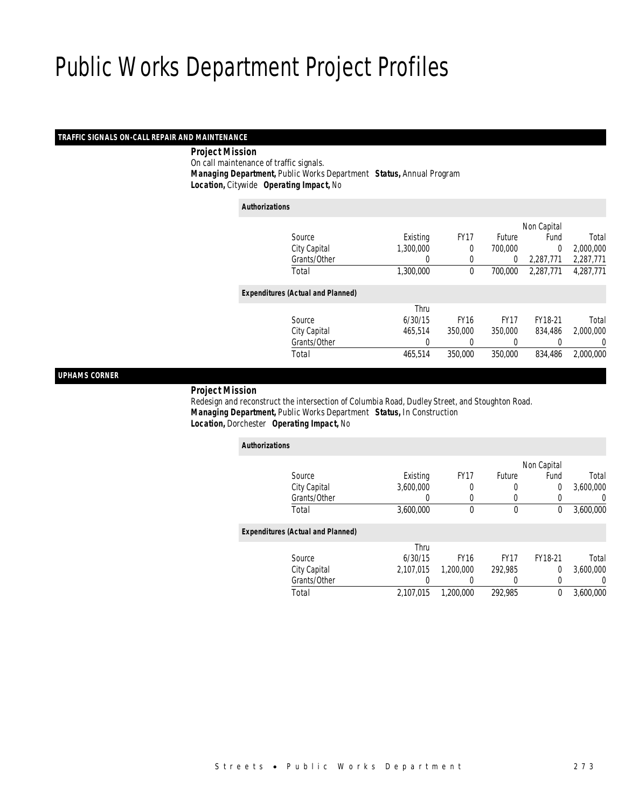## *TRAFFIC SIGNALS ON-CALL REPAIR AND MAINTENANCE*

## *Project Mission*

On call maintenance of traffic signals.

*Managing Department,* Public Works Department *Status,* Annual Program

*Location,* Citywide *Operating Impact,* No

| <b>Authorizations</b>                    |           |             |               |             |           |
|------------------------------------------|-----------|-------------|---------------|-------------|-----------|
|                                          |           |             |               | Non Capital |           |
| Source                                   | Existing  | <b>FY17</b> | <b>Future</b> | Fund        | Total     |
| City Capital                             | 1,300,000 | $\Omega$    | 700,000       | $\Omega$    | 2,000,000 |
| Grants/Other                             | 0         | 0           | 0             | 2,287,771   | 2,287,771 |
| Total                                    | 1,300,000 | 0           | 700,000       | 2,287,771   | 4,287,771 |
| <b>Expenditures (Actual and Planned)</b> |           |             |               |             |           |
|                                          | Thru      |             |               |             |           |
| Source                                   | 6/30/15   | <b>FY16</b> | <b>FY17</b>   | FY18-21     | Total     |
| City Capital                             | 465.514   | 350,000     | 350,000       | 834,486     | 2,000,000 |
| Grants/Other                             | 0         |             | 0             |             | 0         |
| Total                                    | 465,514   | 350,000     | 350,000       | 834,486     | 2.000.000 |
|                                          |           |             |               |             |           |

## *UPHAMS CORNER*

#### *Project Mission*

 Redesign and reconstruct the intersection of Columbia Road, Dudley Street, and Stoughton Road. *Managing Department,* Public Works Department *Status,* In Construction*Location,* Dorchester *Operating Impact,* No

| <b>Authorizations</b>                    |           |             |             |             |           |
|------------------------------------------|-----------|-------------|-------------|-------------|-----------|
|                                          |           |             |             | Non Capital |           |
| Source                                   | Existing  | <b>FY17</b> | Future      | Fund        | Total     |
| City Capital                             | 3,600,000 | 0           | 0           | $\Omega$    | 3,600,000 |
| Grants/Other                             | 0         | 0           | 0           |             | 0         |
| Total                                    | 3,600,000 | 0           | $\mathbf 0$ | 0           | 3,600,000 |
| <b>Expenditures (Actual and Planned)</b> |           |             |             |             |           |
|                                          | Thru      |             |             |             |           |
| Source                                   | 6/30/15   | <b>FY16</b> | <b>FY17</b> | FY18-21     | Total     |
| City Capital                             | 2.107.015 | 1,200,000   | 292,985     | $\Omega$    | 3.600.000 |
| Grants/Other                             | 0         | 0           |             | 0           | $\Omega$  |
| Total                                    | 2.107.015 | 1,200,000   | 292,985     | $\theta$    | 3,600,000 |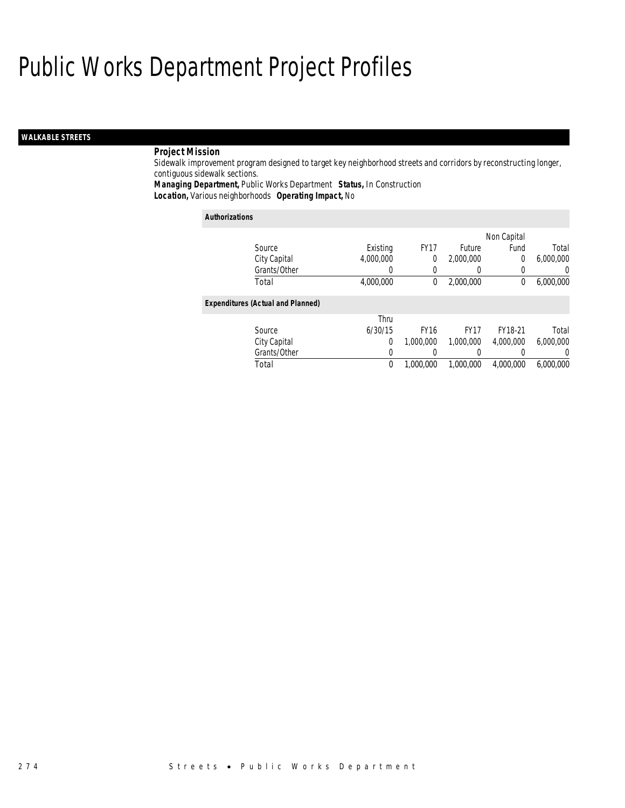## *WALKABLE STREETS*

## *Project Mission*

Sidewalk improvement program designed to target key neighborhood streets and corridors by reconstructing longer, contiguous sidewalk sections.

*Managing Department,* Public Works Department *Status,* In Construction

*Location,* Various neighborhoods *Operating Impact,* No

| <b>Authorizations</b>                    |           |             |             |             |                |
|------------------------------------------|-----------|-------------|-------------|-------------|----------------|
|                                          |           |             |             | Non Capital |                |
| Source                                   | Existing  | <b>FY17</b> | Future      | Fund        | Total          |
| City Capital                             | 4.000.000 | 0           | 2,000,000   | 0           | 6,000,000      |
| Grants/Other                             | 0         | 0           | 0           | 0           | $\overline{0}$ |
| Total                                    | 4.000.000 | 0           | 2,000,000   | $\theta$    | 6.000.000      |
| <b>Expenditures (Actual and Planned)</b> |           |             |             |             |                |
|                                          | Thru      |             |             |             |                |
| Source                                   | 6/30/15   | <b>FY16</b> | <b>FY17</b> | FY18-21     | Total          |
| City Capital                             | 0         | 1.000.000   | 1.000.000   | 4.000.000   | 6.000.000      |
| Grants/Other                             | 0         |             | 0           | 0           | $\Omega$       |
| Total                                    | 0         | 1.000.000   | 1.000.000   | 4.000.000   | 6.000.000      |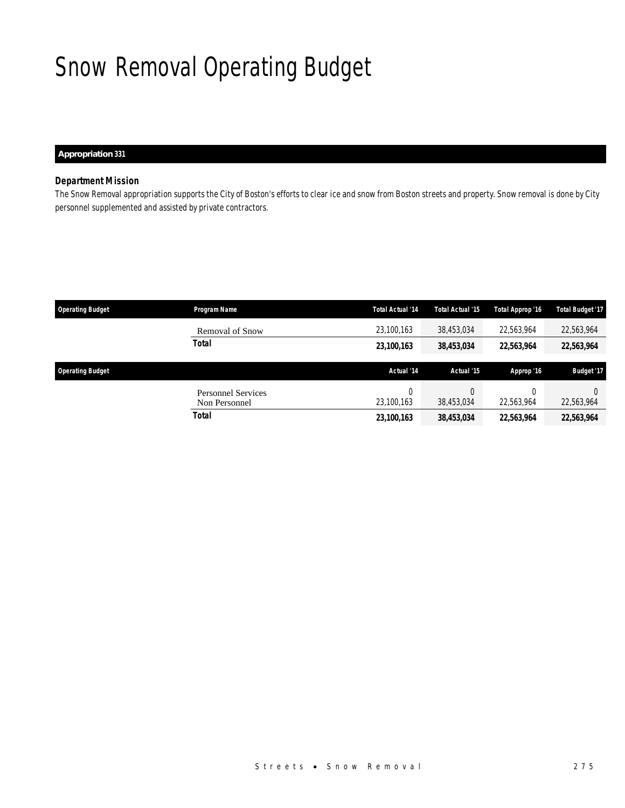# Snow Removal Operating Budget

*Appropriation 331* 

## *Department Mission*

The Snow Removal appropriation supports the City of Boston's efforts to clear ice and snow from Boston streets and property. Snow removal is done by City personnel supplemented and assisted by private contractors.

| <b>Operating Budget</b> | Program Name                               | <b>Total Actual '14</b> | Total Actual '15 | Total Approp '16 | <b>Total Budget '17</b> |
|-------------------------|--------------------------------------------|-------------------------|------------------|------------------|-------------------------|
|                         | <b>Removal of Snow</b>                     | 23,100,163              | 38,453,034       | 22,563,964       | 22,563,964              |
|                         | Total                                      | 23,100,163              | 38,453,034       | 22,563,964       | 22,563,964              |
|                         |                                            |                         |                  |                  |                         |
| <b>Operating Budget</b> |                                            | Actual '14              | Actual '15       | Approp '16       | <b>Budget '17</b>       |
|                         | <b>Personnel Services</b><br>Non Personnel | 23,100,163              | 0<br>38.453.034  | 22,563,964       | 22,563,964              |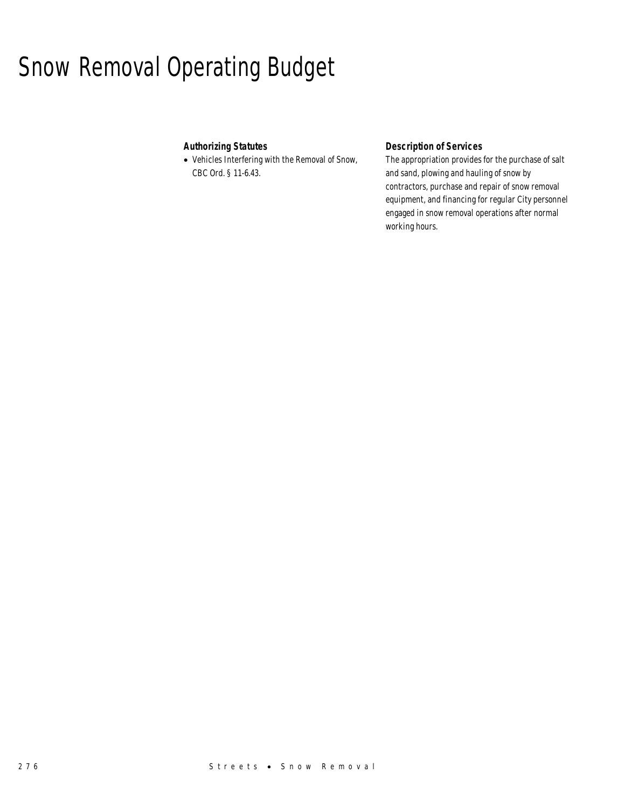## Snow Removal Operating Budget

## *Authorizing Statutes*

• Vehicles Interfering with the Removal of Snow, CBC Ord. § 11-6.43.

## *Description of Services*

The appropriation provides for the purchase of salt and sand, plowing and hauling of snow by contractors, purchase and repair of snow removal equipment, and financing for regular City personnel engaged in snow removal operations after normal working hours.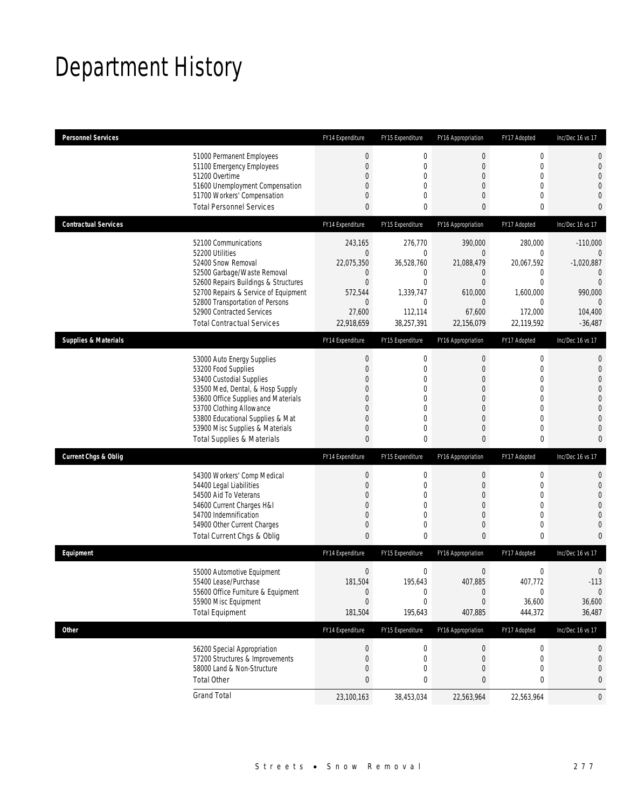# Department History

| <b>Personnel Services</b>                                                                                                                                                                                                                                                                            | FY14 Expenditure                                                                                             | FY15 Expenditure                                                                                     | FY16 Appropriation                                                                                                              | FY17 Adopted                                                                                                                                   | Inc/Dec 16 vs 17                                                                                                     |
|------------------------------------------------------------------------------------------------------------------------------------------------------------------------------------------------------------------------------------------------------------------------------------------------------|--------------------------------------------------------------------------------------------------------------|------------------------------------------------------------------------------------------------------|---------------------------------------------------------------------------------------------------------------------------------|------------------------------------------------------------------------------------------------------------------------------------------------|----------------------------------------------------------------------------------------------------------------------|
| 51000 Permanent Employees<br>51100 Emergency Employees<br>51200 Overtime<br>51600 Unemployment Compensation<br>51700 Workers' Compensation<br><b>Total Personnel Services</b>                                                                                                                        | $\boldsymbol{0}$<br>$\theta$<br>0<br>0<br>0<br>0                                                             | $\boldsymbol{0}$<br>$\mathbf{0}$<br>$\mathbf{0}$<br>$\mathbf{0}$<br>$\mathbf{0}$<br>0                | $\mathbf 0$<br>$\mathbf 0$<br>$\mathbf 0$<br>$\mathbf{0}$<br>$\mathbf{0}$<br>$\bf{0}$                                           | $\mathbf 0$<br>$\mathbf 0$<br>$\mathbf 0$<br>$\overline{0}$<br>$\overline{0}$<br>$\mathbf 0$                                                   | 0<br>0<br>$\overline{0}$<br>0<br>0<br>0                                                                              |
| <b>Contractual Services</b>                                                                                                                                                                                                                                                                          | FY14 Expenditure                                                                                             | FY15 Expenditure                                                                                     | FY16 Appropriation                                                                                                              | FY17 Adopted                                                                                                                                   | Inc/Dec 16 vs 17                                                                                                     |
| 52100 Communications<br>52200 Utilities<br>52400 Snow Removal<br>52500 Garbage/Waste Removal<br>52600 Repairs Buildings & Structures<br>52700 Repairs & Service of Equipment<br>52800 Transportation of Persons<br>52900 Contracted Services<br><b>Total Contractual Services</b>                    | 243,165<br>$\mathbf{0}$<br>22,075,350<br>0<br>$\mathbf{0}$<br>572,544<br>$\mathbf 0$<br>27,600<br>22,918,659 | 276,770<br>$\mathbf 0$<br>36,528,760<br>0<br>$\mathbf{0}$<br>1,339,747<br>0<br>112,114<br>38,257,391 | 390,000<br>$\boldsymbol{0}$<br>21,088,479<br>$\mathbf 0$<br>$\mathbf{0}$<br>610,000<br>$\mathbf{0}$<br>67,600<br>22,156,079     | 280,000<br>$\mathbf 0$<br>20,067,592<br>0<br>$\overline{0}$<br>1,600,000<br>0<br>172,000<br>22,119,592                                         | $-110,000$<br>$\mathbf{0}$<br>$-1,020,887$<br>0<br>$\overline{0}$<br>990,000<br>$\mathbf{0}$<br>104,400<br>$-36,487$ |
| <b>Supplies &amp; Materials</b>                                                                                                                                                                                                                                                                      | FY14 Expenditure                                                                                             | FY15 Expenditure                                                                                     | FY16 Appropriation                                                                                                              | FY17 Adopted                                                                                                                                   | Inc/Dec 16 vs 17                                                                                                     |
| 53000 Auto Energy Supplies<br>53200 Food Supplies<br>53400 Custodial Supplies<br>53500 Med, Dental, & Hosp Supply<br>53600 Office Supplies and Materials<br>53700 Clothing Allowance<br>53800 Educational Supplies & Mat<br>53900 Misc Supplies & Materials<br><b>Total Supplies &amp; Materials</b> | $\boldsymbol{0}$<br>0<br>0<br>0<br>0<br>0<br>0<br>0<br>$\bf{0}$                                              | 0<br>$\mathbf{0}$<br>0<br>$\mathbf 0$<br>0<br>$\mathbf{0}$<br>$\mathbf{0}$<br>$\mathbf{0}$<br>0      | $\bf{0}$<br>$\mathbf{0}$<br>$\theta$<br>$\mathbf 0$<br>$\theta$<br>$\mathbf{0}$<br>$\mathbf{0}$<br>$\mathbf{0}$<br>$\mathbf{0}$ | 0<br>$\overline{0}$<br>$\overline{0}$<br>$\overline{0}$<br>$\overline{0}$<br>$\overline{0}$<br>$\overline{0}$<br>$\overline{0}$<br>$\mathbf 0$ | 0<br>$\mathbf 0$<br>0<br>0<br>0<br>$\overline{0}$<br>0<br>0<br>0                                                     |
| <b>Current Chgs &amp; Oblig</b>                                                                                                                                                                                                                                                                      | FY14 Expenditure                                                                                             | FY15 Expenditure                                                                                     | FY16 Appropriation                                                                                                              | FY17 Adopted                                                                                                                                   | Inc/Dec 16 vs 17                                                                                                     |
| 54300 Workers' Comp Medical<br>54400 Legal Liabilities<br>54500 Aid To Veterans<br>54600 Current Charges H&I<br>54700 Indemnification<br>54900 Other Current Charges<br>Total Current Chgs & Oblig                                                                                                   | $\boldsymbol{0}$<br>$\boldsymbol{0}$<br>0<br>0<br>0<br>$\mathbf 0$<br>0                                      | 0<br>$\mathbf 0$<br>0<br>$\mathbf 0$<br>$\mathbf 0$<br>0<br>0                                        | $\bf{0}$<br>$\mathbf 0$<br>$\mathbf{0}$<br>$\mathbf 0$<br>$\mathbf{0}$<br>$\mathbf 0$<br>$\mathbf{0}$                           | 0<br>$\mathbf{0}$<br>$\overline{0}$<br>$\overline{0}$<br>$\overline{0}$<br>$\mathbf 0$<br>$\mathbf 0$                                          | 0<br>$\mathbf 0$<br>0<br>0<br>0<br>0<br>0                                                                            |
| Equipment                                                                                                                                                                                                                                                                                            | FY14 Expenditure                                                                                             | FY15 Expenditure                                                                                     | FY16 Appropriation                                                                                                              | FY17 Adopted                                                                                                                                   | Inc/Dec 16 vs 17                                                                                                     |
| 55000 Automotive Equipment<br>55400 Lease/Purchase<br>55600 Office Furniture & Equipment<br>55900 Misc Equipment<br><b>Total Equipment</b>                                                                                                                                                           | 0<br>181,504<br>$\boldsymbol{0}$<br>$\boldsymbol{0}$<br>181,504                                              | 0<br>195,643<br>$\boldsymbol{0}$<br>0<br>195,643                                                     | $\mathbf 0$<br>407,885<br>$\bf{0}$<br>$\mathbf 0$<br>407,885                                                                    | 0<br>407,772<br>0<br>36,600<br>444,372                                                                                                         | 0<br>$-113$<br>$\theta$<br>36,600<br>36,487                                                                          |
| <b>Other</b>                                                                                                                                                                                                                                                                                         | FY14 Expenditure                                                                                             | FY15 Expenditure                                                                                     | FY16 Appropriation                                                                                                              | FY17 Adopted                                                                                                                                   | Inc/Dec 16 vs 17                                                                                                     |
| 56200 Special Appropriation<br>57200 Structures & Improvements<br>58000 Land & Non-Structure<br><b>Total Other</b>                                                                                                                                                                                   | $\boldsymbol{0}$<br>0<br>0<br>0                                                                              | 0<br>0<br>0<br>0                                                                                     | $\pmb{0}$<br>$\mathbf 0$<br>$\mathbf 0$<br>0                                                                                    | 0<br>0<br>0<br>0                                                                                                                               | 0<br>0<br>0<br>0                                                                                                     |
| <b>Grand Total</b>                                                                                                                                                                                                                                                                                   | 23,100,163                                                                                                   | 38,453,034                                                                                           | 22,563,964                                                                                                                      | 22,563,964                                                                                                                                     | 0                                                                                                                    |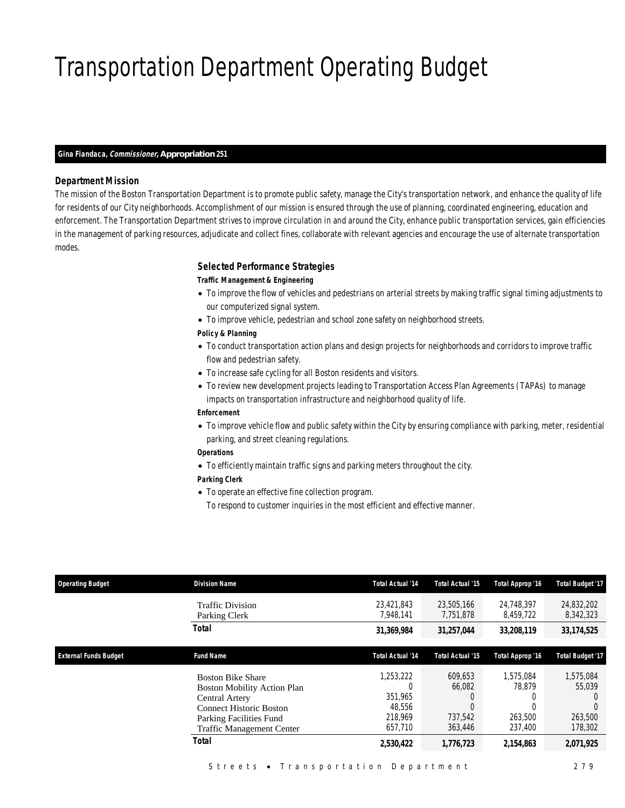# Transportation Department Operating Budget

#### *Gina Fiandaca, Commissioner, Appropriation 251*

### *Department Mission*

The mission of the Boston Transportation Department is to promote public safety, manage the City's transportation network, and enhance the quality of life for residents of our City neighborhoods. Accomplishment of our mission is ensured through the use of planning, coordinated engineering, education and enforcement. The Transportation Department strives to improve circulation in and around the City, enhance public transportation services, gain efficiencies in the management of parking resources, adjudicate and collect fines, collaborate with relevant agencies and encourage the use of alternate transportation modes.

#### *Selected Performance Strategies*

#### *Traffic Management & Engineering*

- To improve the flow of vehicles and pedestrians on arterial streets by making traffic signal timing adjustments to our computerized signal system.
- To improve vehicle, pedestrian and school zone safety on neighborhood streets.

#### *Policy & Planning*

- To conduct transportation action plans and design projects for neighborhoods and corridors to improve traffic flow and pedestrian safety.
- To increase safe cycling for all Boston residents and visitors.
- To review new development projects leading to Transportation Access Plan Agreements (TAPAs) to manage impacts on transportation infrastructure and neighborhood quality of life.

### *Enforcement*

• To improve vehicle flow and public safety within the City by ensuring compliance with parking, meter, residential parking, and street cleaning regulations.

#### *Operations*

• To efficiently maintain traffic signs and parking meters throughout the city.

#### *Parking Clerk*

- To operate an effective fine collection program.
	- To respond to customer inquiries in the most efficient and effective manner.

| <b>Operating Budget</b>      | <b>Division Name</b>                                                                                                                                                              | <b>Total Actual '14</b>                              | Total Actual '15                                  | Total Approp '16                          | <b>Total Budget '17</b>                   |
|------------------------------|-----------------------------------------------------------------------------------------------------------------------------------------------------------------------------------|------------------------------------------------------|---------------------------------------------------|-------------------------------------------|-------------------------------------------|
|                              | <b>Traffic Division</b><br>Parking Clerk                                                                                                                                          | 23,421,843<br>7.948.141                              | 23,505,166<br>7.751.878                           | 24.748.397<br>8.459.722                   | 24,832,202<br>8,342,323                   |
|                              | Total                                                                                                                                                                             | 31,369,984                                           | 31,257,044                                        | 33,208,119                                | 33,174,525                                |
| <b>External Funds Budget</b> | <b>Fund Name</b>                                                                                                                                                                  | <b>Total Actual '14</b>                              | Total Actual '15                                  | Total Approp '16                          | <b>Total Budget '17</b>                   |
|                              | <b>Boston Bike Share</b><br><b>Boston Mobility Action Plan</b><br>Central Artery<br><b>Connect Historic Boston</b><br>Parking Facilities Fund<br><b>Traffic Management Center</b> | 1,253,222<br>351.965<br>48.556<br>218,969<br>657.710 | 609,653<br>66.082<br>C<br>C<br>737.542<br>363,446 | 1.575.084<br>78.879<br>263,500<br>237.400 | 1,575,084<br>55,039<br>263,500<br>178,302 |
|                              | Total                                                                                                                                                                             | 2,530,422                                            | 1,776,723                                         | 2,154,863                                 | 2,071,925                                 |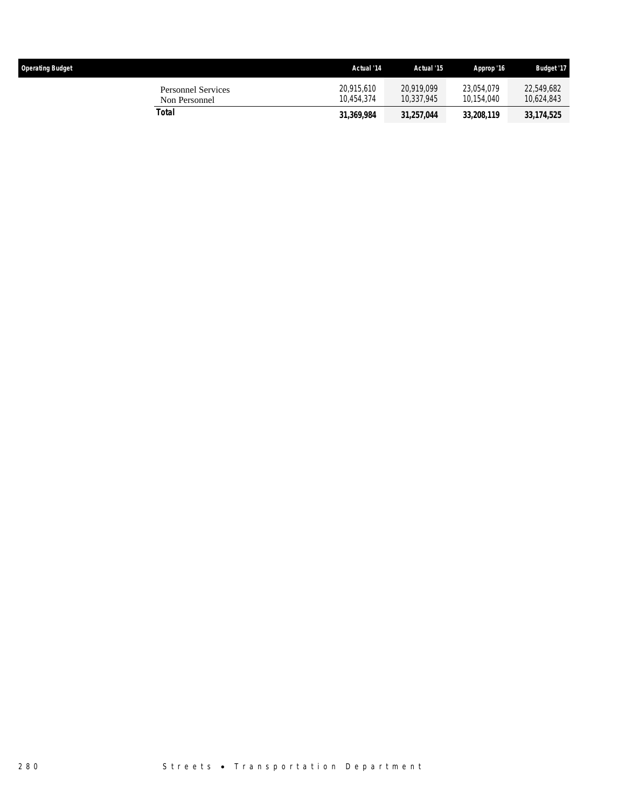| <b>Operating Budget</b> |                                     | Actual '14               | Actual '15               | Approp '16               | <b>Budget '17</b>        |
|-------------------------|-------------------------------------|--------------------------|--------------------------|--------------------------|--------------------------|
|                         | Personnel Services<br>Non Personnel | 20.915.610<br>10.454.374 | 20.919.099<br>10.337.945 | 23.054.079<br>10.154.040 | 22,549,682<br>10,624,843 |
|                         | Total                               | 31,369,984               | 31.257.044               | 33,208,119               | 33,174,525               |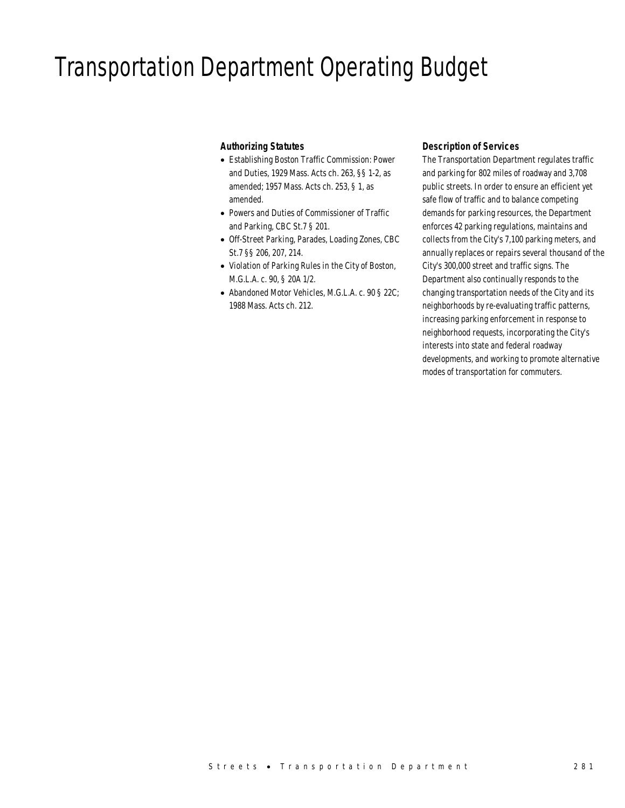## Transportation Department Operating Budget

## *Authorizing Statutes*

- Establishing Boston Traffic Commission: Power and Duties, 1929 Mass. Acts ch. 263, §§ 1-2, as amended; 1957 Mass. Acts ch. 253, § 1, as amended.
- Powers and Duties of Commissioner of Traffic and Parking, CBC St.7 § 201.
- Off-Street Parking, Parades, Loading Zones, CBC St.7 §§ 206, 207, 214.
- Violation of Parking Rules in the City of Boston, M.G.L.A. c. 90, § 20A 1/2.
- Abandoned Motor Vehicles, M.G.L.A. c. 90 § 22C; 1988 Mass. Acts ch. 212.

## *Description of Services*

The Transportation Department regulates traffic and parking for 802 miles of roadway and 3,708 public streets. In order to ensure an efficient yet safe flow of traffic and to balance competing demands for parking resources, the Department enforces 42 parking regulations, maintains and collects from the City's 7,100 parking meters, and annually replaces or repairs several thousand of the City's 300,000 street and traffic signs. The Department also continually responds to the changing transportation needs of the City and its neighborhoods by re-evaluating traffic patterns, increasing parking enforcement in response to neighborhood requests, incorporating the City's interests into state and federal roadway developments, and working to promote alternative modes of transportation for commuters.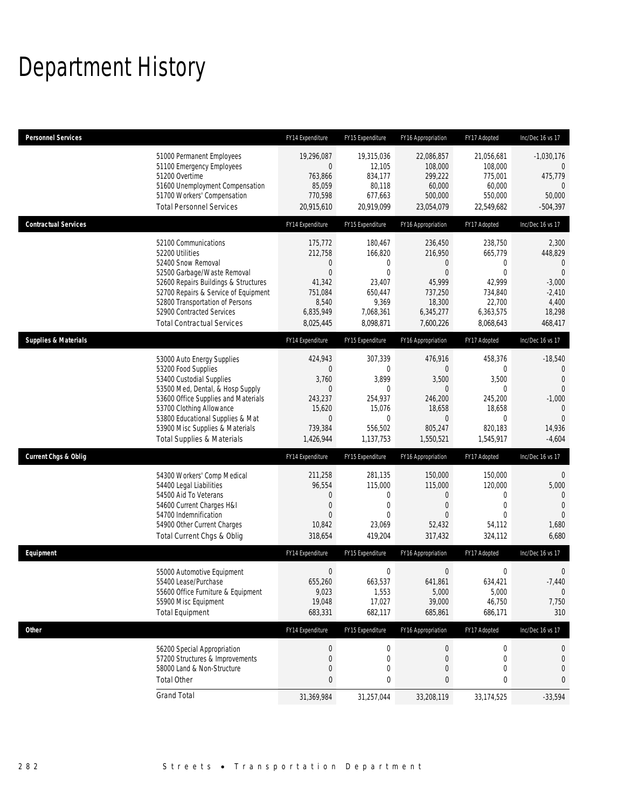# Department History

| <b>Personnel Services</b>       |                                                                                                                                                                                                                                                                                                      | FY14 Expenditure                                                                                            | FY15 Expenditure                                                                                             | FY16 Appropriation                                                                                                | FY17 Adopted                                                                                                 | Inc/Dec 16 vs 17                                                                                                                 |
|---------------------------------|------------------------------------------------------------------------------------------------------------------------------------------------------------------------------------------------------------------------------------------------------------------------------------------------------|-------------------------------------------------------------------------------------------------------------|--------------------------------------------------------------------------------------------------------------|-------------------------------------------------------------------------------------------------------------------|--------------------------------------------------------------------------------------------------------------|----------------------------------------------------------------------------------------------------------------------------------|
|                                 | 51000 Permanent Employees<br>51100 Emergency Employees<br>51200 Overtime<br>51600 Unemployment Compensation<br>51700 Workers' Compensation<br><b>Total Personnel Services</b>                                                                                                                        | 19,296,087<br>0<br>763,866<br>85,059<br>770,598<br>20,915,610                                               | 19,315,036<br>12,105<br>834,177<br>80,118<br>677,663<br>20,919,099                                           | 22,086,857<br>108,000<br>299,222<br>60,000<br>500,000<br>23,054,079                                               | 21,056,681<br>108,000<br>775,001<br>60,000<br>550,000<br>22,549,682                                          | $-1,030,176$<br>$\mathbf{0}$<br>475,779<br>$\mathbf{0}$<br>50,000<br>$-504,397$                                                  |
| <b>Contractual Services</b>     |                                                                                                                                                                                                                                                                                                      | FY14 Expenditure                                                                                            | FY15 Expenditure                                                                                             | FY16 Appropriation                                                                                                | FY17 Adopted                                                                                                 | Inc/Dec 16 vs 17                                                                                                                 |
|                                 | 52100 Communications<br>52200 Utilities<br>52400 Snow Removal<br>52500 Garbage/Waste Removal<br>52600 Repairs Buildings & Structures<br>52700 Repairs & Service of Equipment<br>52800 Transportation of Persons<br>52900 Contracted Services<br><b>Total Contractual Services</b>                    | 175,772<br>212,758<br>$\mathbf 0$<br>$\overline{0}$<br>41,342<br>751,084<br>8,540<br>6,835,949<br>8,025,445 | 180,467<br>166,820<br>$\mathbf 0$<br>$\mathbf{0}$<br>23,407<br>650,447<br>9,369<br>7,068,361<br>8,098,871    | 236,450<br>216,950<br>$\mathbf 0$<br>$\mathbf{0}$<br>45,999<br>737,250<br>18,300<br>6,345,277<br>7,600,226        | 238,750<br>665,779<br>$\mathbf 0$<br>$\mathbf{0}$<br>42,999<br>734,840<br>22,700<br>6,363,575<br>8,068,643   | 2,300<br>448,829<br>$\mathbf{0}$<br>$\mathbf{0}$<br>$-3,000$<br>$-2,410$<br>4,400<br>18,298<br>468,417                           |
| <b>Supplies &amp; Materials</b> |                                                                                                                                                                                                                                                                                                      | FY14 Expenditure                                                                                            | FY15 Expenditure                                                                                             | FY16 Appropriation                                                                                                | FY17 Adopted                                                                                                 | Inc/Dec 16 vs 17                                                                                                                 |
|                                 | 53000 Auto Energy Supplies<br>53200 Food Supplies<br>53400 Custodial Supplies<br>53500 Med, Dental, & Hosp Supply<br>53600 Office Supplies and Materials<br>53700 Clothing Allowance<br>53800 Educational Supplies & Mat<br>53900 Misc Supplies & Materials<br><b>Total Supplies &amp; Materials</b> | 424,943<br>0<br>3,760<br>$\mathbf 0$<br>243,237<br>15,620<br>$\mathbf 0$<br>739,384<br>1,426,944            | 307,339<br>$\mathbf{0}$<br>3,899<br>$\mathbf 0$<br>254.937<br>15,076<br>$\mathbf{0}$<br>556,502<br>1,137,753 | 476,916<br>$\mathbf{0}$<br>3,500<br>$\mathbf{0}$<br>246,200<br>18,658<br>$\boldsymbol{0}$<br>805,247<br>1,550,521 | 458,376<br>$\mathbf 0$<br>3,500<br>$\mathbf{0}$<br>245,200<br>18,658<br>$\mathbf{0}$<br>820,183<br>1,545,917 | $-18,540$<br>$\mathbf 0$<br>$\overline{0}$<br>$\mathbf{0}$<br>$-1,000$<br>$\overline{0}$<br>$\overline{0}$<br>14,936<br>$-4,604$ |
| <b>Current Chgs &amp; Oblig</b> |                                                                                                                                                                                                                                                                                                      | FY14 Expenditure                                                                                            | FY15 Expenditure                                                                                             | FY16 Appropriation                                                                                                | FY17 Adopted                                                                                                 | Inc/Dec 16 vs 17                                                                                                                 |
|                                 | 54300 Workers' Comp Medical<br>54400 Legal Liabilities<br>54500 Aid To Veterans<br>54600 Current Charges H&I<br>54700 Indemnification<br>54900 Other Current Charges<br>Total Current Chgs & Oblig                                                                                                   | 211,258<br>96,554<br>$\overline{0}$<br>$\mathbf 0$<br>$\overline{0}$<br>10,842<br>318,654                   | 281,135<br>115,000<br>$\mathbf 0$<br>$\mathbf 0$<br>$\Omega$<br>23,069<br>419,204                            | 150,000<br>115,000<br>0<br>$\boldsymbol{0}$<br>$\theta$<br>52,432<br>317,432                                      | 150,000<br>120,000<br>$\mathbf 0$<br>$\mathbf 0$<br>$\Omega$<br>54,112<br>324,112                            | $\overline{0}$<br>5,000<br>$\mathbf{0}$<br>$\overline{0}$<br>$\mathbf{0}$<br>1,680<br>6,680                                      |
| Equipment                       |                                                                                                                                                                                                                                                                                                      | FY14 Expenditure                                                                                            | FY15 Expenditure                                                                                             | FY16 Appropriation                                                                                                | FY17 Adopted                                                                                                 | Inc/Dec 16 vs 17                                                                                                                 |
|                                 | 55000 Automotive Equipment<br>55400 Lease/Purchase<br>55600 Office Furniture & Equipment<br>55900 Misc Equipment<br><b>Total Equipment</b>                                                                                                                                                           | $\mathbf 0$<br>655,260<br>9,023<br>19,048<br>683,331                                                        | $\mathbf 0$<br>663,537<br>1,553<br>17,027<br>682,117                                                         | $\boldsymbol{0}$<br>641,861<br>5,000<br>39,000<br>685,861                                                         | 0<br>634,421<br>5,000<br>46,750<br>686,171                                                                   | $\mathbf 0$<br>$-7,440$<br>$\mathbf{0}$<br>7,750<br>310                                                                          |
| Other                           |                                                                                                                                                                                                                                                                                                      | FY14 Expenditure                                                                                            | FY15 Expenditure                                                                                             | FY16 Appropriation                                                                                                | FY17 Adopted                                                                                                 | Inc/Dec 16 vs 17                                                                                                                 |
|                                 | 56200 Special Appropriation<br>57200 Structures & Improvements<br>58000 Land & Non-Structure<br><b>Total Other</b>                                                                                                                                                                                   | $\pmb{0}$<br>0<br>$\mathbf 0$<br>0                                                                          | $\boldsymbol{0}$<br>$\mathbf 0$<br>$\mathbf 0$<br>0                                                          | $\boldsymbol{0}$<br>$\mathbf 0$<br>$\mathbf 0$<br>0                                                               | 0<br>0<br>0<br>0                                                                                             | $\theta$<br>$\mathbf 0$<br>0<br>0                                                                                                |
|                                 | <b>Grand Total</b>                                                                                                                                                                                                                                                                                   | 31,369,984                                                                                                  | 31,257,044                                                                                                   | 33,208,119                                                                                                        | 33,174,525                                                                                                   | $-33,594$                                                                                                                        |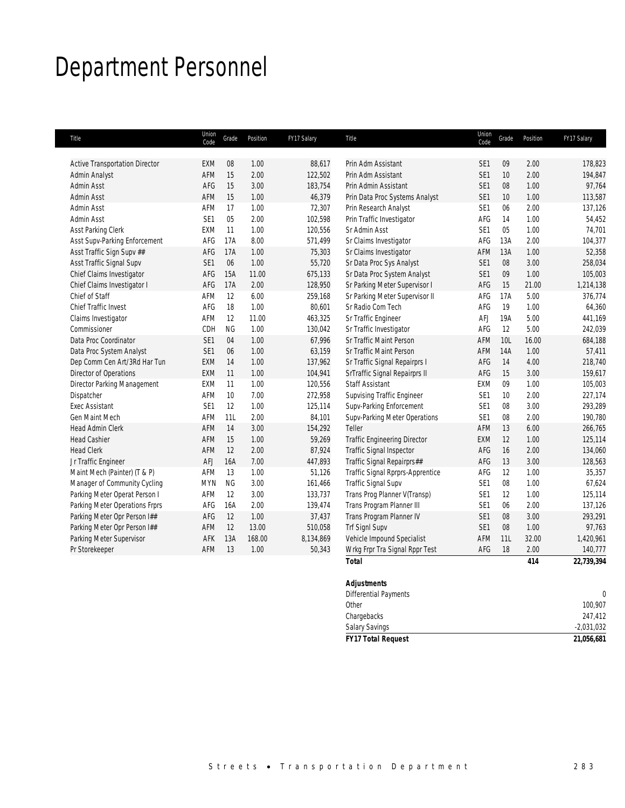# Department Personnel

| Title                                 | Union<br>Code   | Grade     | Position | FY17 Salary | Title                               | Union<br>Code   | Grade | Position | FY17 Salary |
|---------------------------------------|-----------------|-----------|----------|-------------|-------------------------------------|-----------------|-------|----------|-------------|
| <b>Active Transportation Director</b> | <b>EXM</b>      | 08        | 1.00     | 88,617      | Prin Adm Assistant                  | SE <sub>1</sub> | 09    | 2.00     | 178,823     |
| Admin Analyst                         | AFM             | 15        | 2.00     | 122,502     | Prin Adm Assistant                  | SE <sub>1</sub> | 10    | 2.00     | 194,847     |
| <b>Admin Asst</b>                     | AFG             | 15        | 3.00     | 183,754     | Prin Admin Assistant                | SE <sub>1</sub> | 08    | 1.00     | 97,764      |
| Admin Asst                            | AFM             | 15        | 1.00     | 46,379      | Prin Data Proc Systems Analyst      | SE <sub>1</sub> | 10    | 1.00     | 113,587     |
| Admin Asst                            | AFM             | 17        | 1.00     | 72,307      | Prin Research Analyst               | SE <sub>1</sub> | 06    | 2.00     | 137,126     |
| Admin Asst                            | SE <sub>1</sub> | 05        | 2.00     | 102,598     | Prin Traffic Investigator           | AFG             | 14    | 1.00     | 54,452      |
| Asst Parking Clerk                    | EXM             | 11        | 1.00     | 120,556     | Sr Admin Asst                       | SE <sub>1</sub> | 05    | 1.00     | 74,701      |
| Asst Supv-Parking Enforcement         | AFG             | 17A       | 8.00     | 571,499     | Sr Claims Investigator              | AFG             | 13A   | 2.00     | 104,377     |
| Asst Traffic Sign Supv ##             | AFG             | 17A       | 1.00     | 75,303      | Sr Claims Investigator              | AFM             | 13A   | 1.00     | 52,358      |
| Asst Traffic Signal Supv              | SE1             | 06        | 1.00     | 55,720      | Sr Data Proc Sys Analyst            | SE <sub>1</sub> | 08    | 3.00     | 258,034     |
| Chief Claims Investigator             | AFG             | 15A       | 11.00    | 675,133     | Sr Data Proc System Analyst         | SE <sub>1</sub> | 09    | 1.00     | 105,003     |
| Chief Claims Investigator I           | AFG             | 17A       | 2.00     | 128,950     | Sr Parking Meter Supervisor I       | AFG             | 15    | 21.00    | 1,214,138   |
| Chief of Staff                        | AFM             | 12        | 6.00     | 259,168     | Sr Parking Meter Supervisor II      | AFG             | 17A   | 5.00     | 376,774     |
| <b>Chief Traffic Invest</b>           | AFG             | 18        | 1.00     | 80,601      | Sr Radio Com Tech                   | AFG             | 19    | 1.00     | 64,360      |
| Claims Investigator                   | AFM             | 12        | 11.00    | 463,325     | Sr Traffic Engineer                 | AFJ             | 19A   | 5.00     | 441,169     |
| Commissioner                          | CDH             | <b>NG</b> | 1.00     | 130,042     | Sr Traffic Investigator             | AFG             | 12    | 5.00     | 242,039     |
| Data Proc Coordinator                 | SE1             | 04        | 1.00     | 67,996      | Sr Traffic Maint Person             | AFM             | 10L   | 16.00    | 684,188     |
| Data Proc System Analyst              | SE1             | 06        | 1.00     | 63,159      | Sr Traffic Maint Person             | <b>AFM</b>      | 14A   | 1.00     | 57,411      |
| Dep Comm Cen Art/3Rd Har Tun          | EXM             | 14        | 1.00     | 137,962     | Sr Traffic Signal Repairprs I       | AFG             | 14    | 4.00     | 218,740     |
| Director of Operations                | <b>EXM</b>      | 11        | 1.00     | 104,941     | SrTraffic Signal Repairprs II       | AFG             | 15    | 3.00     | 159,617     |
| Director Parking Management           | <b>EXM</b>      | 11        | 1.00     | 120,556     | <b>Staff Assistant</b>              | EXM             | 09    | 1.00     | 105,003     |
| Dispatcher                            | AFM             | 10        | 7.00     | 272,958     | <b>Supvising Traffic Engineer</b>   | SE <sub>1</sub> | 10    | 2.00     | 227,174     |
| <b>Exec Assistant</b>                 | SE <sub>1</sub> | 12        | 1.00     | 125,114     | Supv-Parking Enforcement            | SE <sub>1</sub> | 08    | 3.00     | 293,289     |
| Gen Maint Mech                        | AFM             | 11L       | 2.00     | 84,101      | Supv-Parking Meter Operations       | SE <sub>1</sub> | 08    | 2.00     | 190,780     |
| <b>Head Admin Clerk</b>               | AFM             | 14        | 3.00     | 154,292     | Teller                              | AFM             | 13    | 6.00     | 266,765     |
| <b>Head Cashier</b>                   | AFM             | 15        | 1.00     | 59,269      | <b>Traffic Engineering Director</b> | EXM             | 12    | 1.00     | 125,114     |
| <b>Head Clerk</b>                     | AFM             | 12        | 2.00     | 87,924      | Traffic Signal Inspector            | AFG             | 16    | 2.00     | 134,060     |
| Jr Traffic Engineer                   | AFJ             | 16A       | 7.00     | 447,893     | Traffic Signal Repairprs##          | AFG             | 13    | 3.00     | 128,563     |
| Maint Mech (Painter) (T & P)          | AFM             | 13        | 1.00     | 51,126      | Traffic Signal Rprprs-Apprentice    | AFG             | 12    | 1.00     | 35,357      |
| Manager of Community Cycling          | <b>MYN</b>      | <b>NG</b> | 3.00     | 161,466     | Traffic Signal Supv                 | SE <sub>1</sub> | 08    | 1.00     | 67,624      |
| Parking Meter Operat Person I         | AFM             | 12        | 3.00     | 133,737     | Trans Prog Planner V(Transp)        | SE <sub>1</sub> | 12    | 1.00     | 125,114     |
| Parking Meter Operations Frprs        | AFG             | 16A       | 2.00     | 139,474     | Trans Program Planner III           | SE <sub>1</sub> | 06    | 2.00     | 137,126     |
| Parking Meter Opr Person I##          | AFG             | 12        | 1.00     | 37,437      | Trans Program Planner IV            | SE <sub>1</sub> | 08    | 3.00     | 293,291     |
| Parking Meter Opr Person I##          | AFM             | 12        | 13.00    | 510,058     | <b>Trf SignI Supv</b>               | SE <sub>1</sub> | 08    | 1.00     | 97,763      |
| Parking Meter Supervisor              | AFK             | 13A       | 168.00   | 8,134,869   | Vehicle Impound Specialist          | AFM             | 11L   | 32.00    | 1,420,961   |
| Pr Storekeeper                        | AFM             | 13        | 1.00     | 50,343      | Wrkg Frpr Tra Signal Rppr Test      | AFG             | 18    | 2.00     | 140,777     |
|                                       |                 |           |          |             | <b>Total</b>                        |                 |       | 414      | 22,739,394  |

| <b>FY17 Total Request</b>    | 21,056,681   |
|------------------------------|--------------|
| <b>Salary Savings</b>        | $-2,031,032$ |
| Chargebacks                  | 247,412      |
| Other                        | 100,907      |
| <b>Differential Payments</b> |              |
| <b>Adjustments</b>           |              |
|                              |              |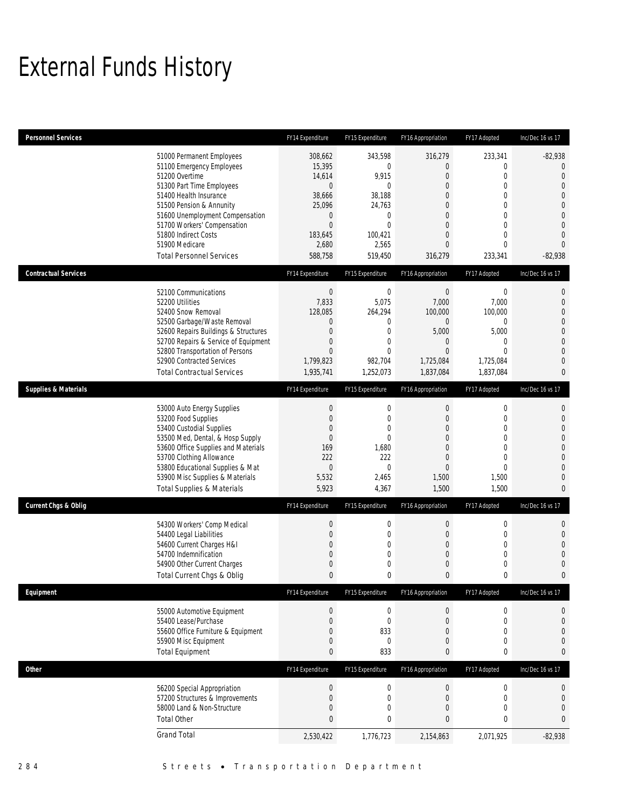## External Funds History

| <b>Personnel Services</b>       |                                                                                                                                                                                                                                                                                                            | FY14 Expenditure                                                                                                                | FY15 Expenditure                                                                                                                  | FY16 Appropriation                                                                                                                                              | FY17 Adopted                                                                                                                                                | Inc/Dec 16 vs 17                                                                                                                                                 |
|---------------------------------|------------------------------------------------------------------------------------------------------------------------------------------------------------------------------------------------------------------------------------------------------------------------------------------------------------|---------------------------------------------------------------------------------------------------------------------------------|-----------------------------------------------------------------------------------------------------------------------------------|-----------------------------------------------------------------------------------------------------------------------------------------------------------------|-------------------------------------------------------------------------------------------------------------------------------------------------------------|------------------------------------------------------------------------------------------------------------------------------------------------------------------|
|                                 | 51000 Permanent Employees<br>51100 Emergency Employees<br>51200 Overtime<br>51300 Part Time Employees<br>51400 Health Insurance<br>51500 Pension & Annunity<br>51600 Unemployment Compensation<br>51700 Workers' Compensation<br>51800 Indirect Costs<br>51900 Medicare<br><b>Total Personnel Services</b> | 308,662<br>15,395<br>14,614<br>$\bf 0$<br>38,666<br>25,096<br>$\boldsymbol{0}$<br>$\overline{0}$<br>183,645<br>2,680<br>588,758 | 343,598<br>$\mathbf 0$<br>9,915<br>$\mathbf 0$<br>38,188<br>24,763<br>$\mathbf{0}$<br>$\mathbf{0}$<br>100,421<br>2,565<br>519,450 | 316,279<br>$\mathbf{0}$<br>$\overline{0}$<br>$\overline{0}$<br>0<br>$\mathbf{0}$<br>$\overline{0}$<br>$\mathbf{0}$<br>$\overline{0}$<br>$\mathbf{0}$<br>316,279 | 233,341<br>0<br>$\mathbf{0}$<br>$\overline{0}$<br>$\mathbf{0}$<br>$\mathbf{0}$<br>$\overline{0}$<br>$\mathbf{0}$<br>$\mathbf{0}$<br>$\mathbf{0}$<br>233,341 | $-82,938$<br>$\theta$<br>$\mathbf{0}$<br>$\overline{0}$<br>$\overline{0}$<br>$\overline{0}$<br>$\mathbf 0$<br>$\overline{0}$<br>$\overline{0}$<br>0<br>$-82,938$ |
| <b>Contractual Services</b>     |                                                                                                                                                                                                                                                                                                            | FY14 Expenditure                                                                                                                | FY15 Expenditure                                                                                                                  | FY16 Appropriation                                                                                                                                              | FY17 Adopted                                                                                                                                                | Inc/Dec 16 vs 17                                                                                                                                                 |
|                                 | 52100 Communications<br>52200 Utilities<br>52400 Snow Removal<br>52500 Garbage/Waste Removal<br>52600 Repairs Buildings & Structures<br>52700 Repairs & Service of Equipment<br>52800 Transportation of Persons<br>52900 Contracted Services<br><b>Total Contractual Services</b>                          | $\theta$<br>7,833<br>128,085<br>0<br>$\boldsymbol{0}$<br>$\overline{0}$<br>$\boldsymbol{0}$<br>1,799,823<br>1,935,741           | $\mathbf 0$<br>5,075<br>264,294<br>0<br>$\mathbf{0}$<br>$\mathbf 0$<br>$\mathbf{0}$<br>982,704<br>1,252,073                       | $\mathbf 0$<br>7,000<br>100,000<br>$\mathbf 0$<br>5,000<br>$\mathbf 0$<br>$\mathbf 0$<br>1,725,084<br>1,837,084                                                 | $\boldsymbol{0}$<br>7,000<br>100,000<br>0<br>5,000<br>$\mathbf{0}$<br>$\mathbf{0}$<br>1,725,084<br>1,837,084                                                | 0<br>$\mathbf 0$<br>0<br>$\mathbf 0$<br>$\mathbf 0$<br>0<br>0<br>0<br>0                                                                                          |
| <b>Supplies &amp; Materials</b> |                                                                                                                                                                                                                                                                                                            | FY14 Expenditure                                                                                                                | FY15 Expenditure                                                                                                                  | FY16 Appropriation                                                                                                                                              | FY17 Adopted                                                                                                                                                | Inc/Dec 16 vs 17                                                                                                                                                 |
|                                 | 53000 Auto Energy Supplies<br>53200 Food Supplies<br>53400 Custodial Supplies<br>53500 Med, Dental, & Hosp Supply<br>53600 Office Supplies and Materials<br>53700 Clothing Allowance<br>53800 Educational Supplies & Mat<br>53900 Misc Supplies & Materials<br><b>Total Supplies &amp; Materials</b>       | $\boldsymbol{0}$<br>$\mathbf 0$<br>$\overline{0}$<br>$\overline{0}$<br>169<br>222<br>$\mathbf 0$<br>5,532<br>5,923              | $\boldsymbol{0}$<br>$\mathbf 0$<br>$\overline{0}$<br>$\mathbf{0}$<br>1,680<br>222<br>$\mathbf{0}$<br>2,465<br>4,367               | $\boldsymbol{0}$<br>$\mathbf 0$<br>$\overline{0}$<br>$\overline{0}$<br>$\overline{0}$<br>$\overline{0}$<br>$\mathbf 0$<br>1,500<br>1,500                        | 0<br>$\mathbf{0}$<br>$\mathbf{0}$<br>$\mathbf{0}$<br>$\mathbf{0}$<br>$\mathbf{0}$<br>$\mathbf{0}$<br>1,500<br>1,500                                         | 0<br>$\mathbf 0$<br>0<br>$\mathbf 0$<br>$\mathbf 0$<br>$\overline{0}$<br>0<br>0<br>0                                                                             |
| <b>Current Chgs &amp; Oblig</b> |                                                                                                                                                                                                                                                                                                            | FY14 Expenditure                                                                                                                | FY15 Expenditure                                                                                                                  | FY16 Appropriation                                                                                                                                              | FY17 Adopted                                                                                                                                                | Inc/Dec 16 vs 17                                                                                                                                                 |
|                                 | 54300 Workers' Comp Medical<br>54400 Legal Liabilities<br>54600 Current Charges H&I<br>54700 Indemnification<br>54900 Other Current Charges<br>Total Current Chgs & Oblig                                                                                                                                  | $\boldsymbol{0}$<br>$\overline{0}$<br>$\overline{0}$<br>$\overline{0}$<br>$\mathbf 0$<br>$\mathbf{0}$                           | 0<br>0<br>$\overline{0}$<br>0<br>$\mathbf 0$<br>$\bf{0}$                                                                          | $\boldsymbol{0}$<br>$\mathbf 0$<br>$\overline{0}$<br>$\overline{0}$<br>$\mathbf 0$<br>$\mathbf{0}$                                                              | $\boldsymbol{0}$<br>$\mathbf 0$<br>$\mathbf{0}$<br>$\mathbf 0$<br>$\mathbf 0$<br>$\pmb{0}$                                                                  | 0<br>$\mathbf 0$<br>0<br>0<br>$\mathbf 0$<br>0                                                                                                                   |
| Equipment                       |                                                                                                                                                                                                                                                                                                            | FY14 Expenditure                                                                                                                | FY15 Expenditure                                                                                                                  | FY16 Appropriation                                                                                                                                              | FY17 Adopted                                                                                                                                                | Inc/Dec 16 vs 17                                                                                                                                                 |
|                                 | 55000 Automotive Equipment<br>55400 Lease/Purchase<br>55600 Office Furniture & Equipment<br>55900 Misc Equipment<br><b>Total Equipment</b>                                                                                                                                                                 | $\boldsymbol{0}$<br>$\boldsymbol{0}$<br>0<br>0<br>0                                                                             | $\boldsymbol{0}$<br>$\bf 0$<br>833<br>$\mathbf 0$<br>833                                                                          | $\theta$<br>$\mathbf 0$<br>$\mathbf{0}$<br>$\mathbf 0$<br>$\bf{0}$                                                                                              | 0<br>$\boldsymbol{0}$<br>$\mathbf{0}$<br>$\boldsymbol{0}$<br>0                                                                                              | 0<br>$\mathbf 0$<br>0<br>$\mathbf 0$<br>0                                                                                                                        |
| Other                           |                                                                                                                                                                                                                                                                                                            | FY14 Expenditure                                                                                                                | FY15 Expenditure                                                                                                                  | FY16 Appropriation                                                                                                                                              | FY17 Adopted                                                                                                                                                | Inc/Dec 16 vs 17                                                                                                                                                 |
|                                 | 56200 Special Appropriation<br>57200 Structures & Improvements<br>58000 Land & Non-Structure<br><b>Total Other</b>                                                                                                                                                                                         | $\boldsymbol{0}$<br>$\boldsymbol{0}$<br>0<br>$\bf{0}$                                                                           | $\boldsymbol{0}$<br>$\boldsymbol{0}$<br>$\mathbf 0$<br>0                                                                          | $\boldsymbol{0}$<br>$\mathbf 0$<br>$\mathbf 0$<br>0                                                                                                             | $\boldsymbol{0}$<br>$\boldsymbol{0}$<br>$\boldsymbol{0}$<br>$\pmb{0}$                                                                                       | 0<br>0<br>$\mathbf 0$<br>0                                                                                                                                       |
|                                 | <b>Grand Total</b>                                                                                                                                                                                                                                                                                         | 2,530,422                                                                                                                       | 1,776,723                                                                                                                         | 2,154,863                                                                                                                                                       | 2,071,925                                                                                                                                                   | $-82,938$                                                                                                                                                        |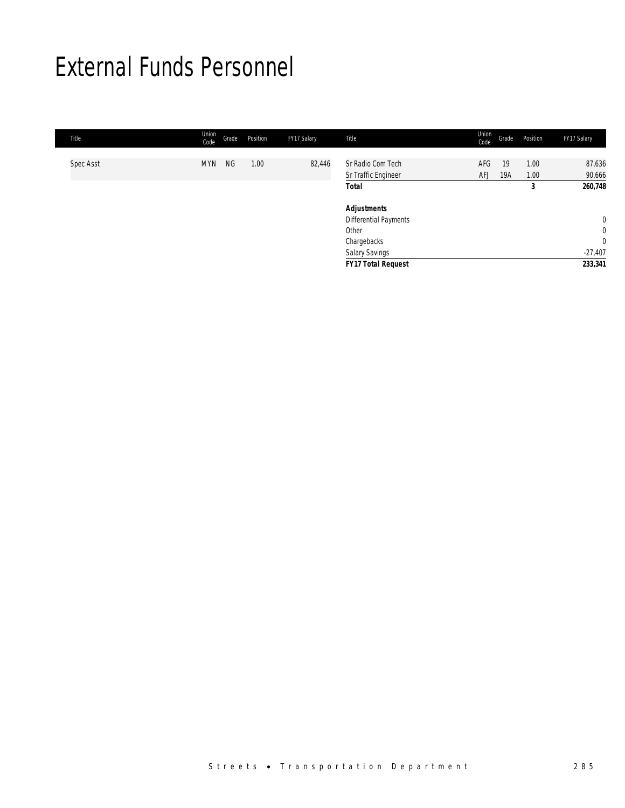## External Funds Personnel

| Title     | Union<br>Code | Grade     | Position | FY17 Salary | Title                                                                                 | Union<br>Code     | Grade     | Position     | FY17 Salary                           |
|-----------|---------------|-----------|----------|-------------|---------------------------------------------------------------------------------------|-------------------|-----------|--------------|---------------------------------------|
| Spec Asst | <b>MYN</b>    | <b>NG</b> | 1.00     | 82,446      | Sr Radio Com Tech<br>Sr Traffic Engineer                                              | AFG<br><b>AFJ</b> | 19<br>19A | 1.00<br>1.00 | 87,636<br>90,666                      |
|           |               |           |          |             | <b>Total</b>                                                                          |                   |           | 3            | 260,748                               |
|           |               |           |          |             | <b>Adjustments</b><br>Differential Payments<br>Other<br>Chargebacks<br>Salary Savings |                   |           |              | $\overline{0}$<br>0<br>0<br>$-27,407$ |
|           |               |           |          |             | <b>FY17 Total Request</b>                                                             |                   |           |              | 233,341                               |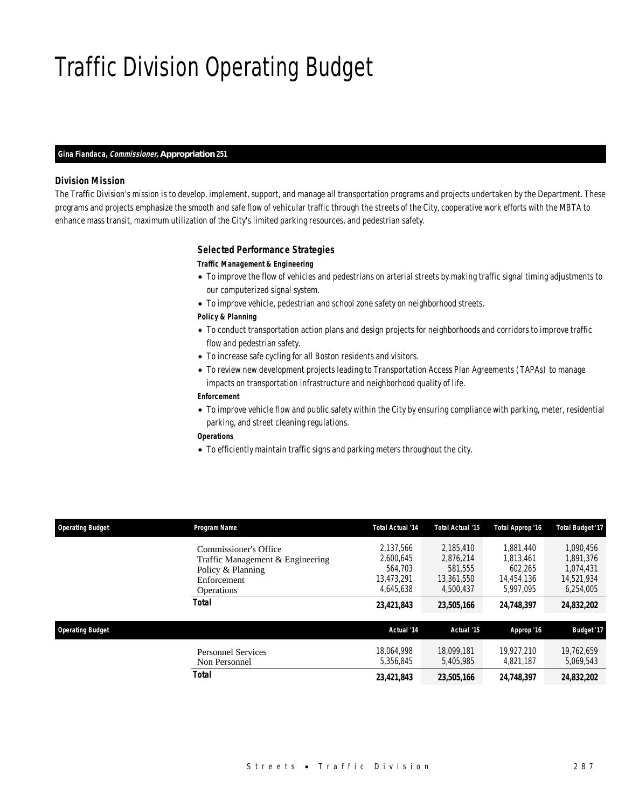# Traffic Division Operating Budget

#### *Gina Fiandaca, Commissioner, Appropriation 251*

#### *Division Mission*

The Traffic Division's mission is to develop, implement, support, and manage all transportation programs and projects undertaken by the Department. These programs and projects emphasize the smooth and safe flow of vehicular traffic through the streets of the City, cooperative work efforts with the MBTA to enhance mass transit, maximum utilization of the City's limited parking resources, and pedestrian safety.

#### *Selected Performance Strategies*

#### *Traffic Management & Engineering*

- To improve the flow of vehicles and pedestrians on arterial streets by making traffic signal timing adjustments to our computerized signal system.
- To improve vehicle, pedestrian and school zone safety on neighborhood streets.
- *Policy & Planning*
- To conduct transportation action plans and design projects for neighborhoods and corridors to improve traffic flow and pedestrian safety.
- To increase safe cycling for all Boston residents and visitors.
- To review new development projects leading to Transportation Access Plan Agreements (TAPAs) to manage impacts on transportation infrastructure and neighborhood quality of life.

## *Enforcement*

- To improve vehicle flow and public safety within the City by ensuring compliance with parking, meter, residential parking, and street cleaning regulations.
- *Operations*
- To efficiently maintain traffic signs and parking meters throughout the city.

| <b>Operating Budget</b> | <b>Program Name</b>                                       | <b>Total Actual '14</b>            | <b>Total Actual '15</b>            | Total Approp '16                   | <b>Total Budget '17</b>              |
|-------------------------|-----------------------------------------------------------|------------------------------------|------------------------------------|------------------------------------|--------------------------------------|
|                         | Commissioner's Office<br>Traffic Management & Engineering | 2.137.566<br>2,600,645             | 2.185.410<br>2,876,214             | 1.881.440<br>1.813.461             | 1.090.456<br>1.891.376               |
|                         | Policy & Planning<br>Enforcement                          | 564,703<br>13,473,291<br>4,645,638 | 581,555<br>13,361,550<br>4.500.437 | 602.265<br>14,454,136<br>5.997.095 | 1.074.431<br>14.521.934<br>6,254,005 |
|                         | Operations<br>Total                                       | 23,421,843                         | 23,505,166                         | 24,748,397                         | 24,832,202                           |
| <b>Operating Budget</b> |                                                           | Actual '14                         | Actual '15                         | Approp '16                         | <b>Budget '17</b>                    |
|                         | <b>Personnel Services</b><br>Non Personnel                | 18.064.998<br>5.356.845            | 18.099.181<br>5.405.985            | 19.927.210<br>4.821.187            | 19,762,659<br>5.069.543              |
|                         | Total                                                     | 23,421,843                         | 23,505,166                         | 24,748,397                         | 24,832,202                           |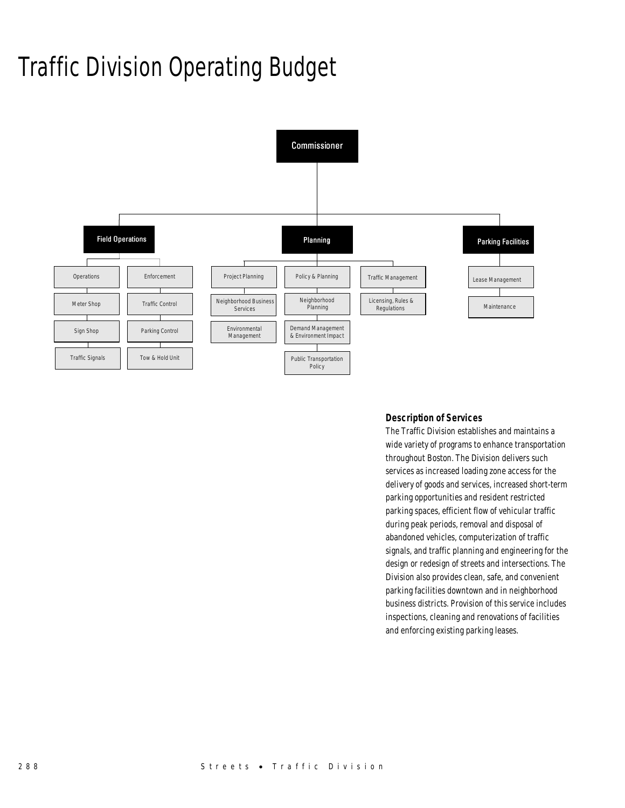# Traffic Division Operating Budget



## *Description of Services*

The Traffic Division establishes and maintains a wide variety of programs to enhance transportation throughout Boston. The Division delivers such services as increased loading zone access for the delivery of goods and services, increased short-term parking opportunities and resident restricted parking spaces, efficient flow of vehicular traffic during peak periods, removal and disposal of abandoned vehicles, computerization of traffic signals, and traffic planning and engineering for the design or redesign of streets and intersections. The Division also provides clean, safe, and convenient parking facilities downtown and in neighborhood business districts. Provision of this service includes inspections, cleaning and renovations of facilities and enforcing existing parking leases.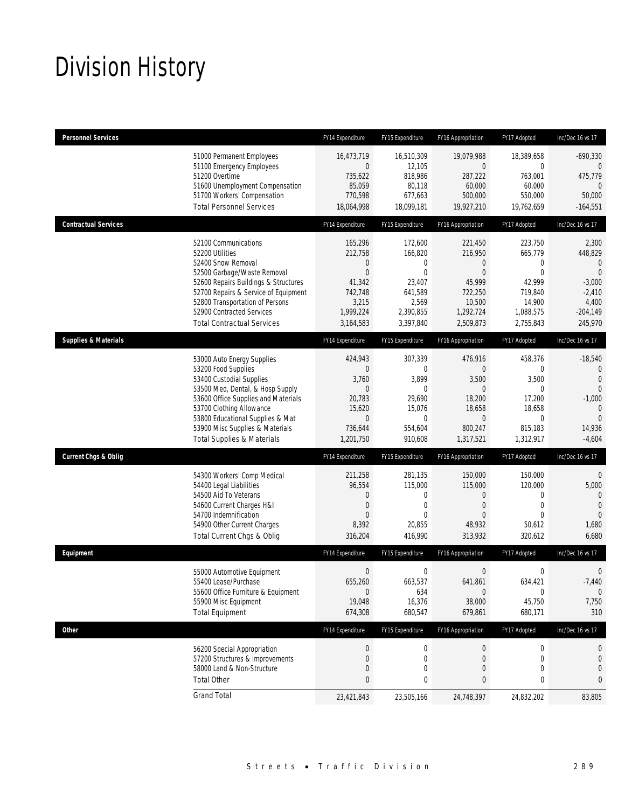# Division History

| <b>Personnel Services</b>       |                                                                                                                                                                                                                                                                                                      | FY14 Expenditure                                                                                               | FY15 Expenditure                                                                                         | FY16 Appropriation                                                                                             | FY17 Adopted                                                                                     | Inc/Dec 16 vs 17                                                                                                       |
|---------------------------------|------------------------------------------------------------------------------------------------------------------------------------------------------------------------------------------------------------------------------------------------------------------------------------------------------|----------------------------------------------------------------------------------------------------------------|----------------------------------------------------------------------------------------------------------|----------------------------------------------------------------------------------------------------------------|--------------------------------------------------------------------------------------------------|------------------------------------------------------------------------------------------------------------------------|
|                                 | 51000 Permanent Employees<br>51100 Emergency Employees<br>51200 Overtime<br>51600 Unemployment Compensation<br>51700 Workers' Compensation<br><b>Total Personnel Services</b>                                                                                                                        | 16,473,719<br>0<br>735,622<br>85,059<br>770,598<br>18,064,998                                                  | 16,510,309<br>12,105<br>818,986<br>80,118<br>677,663<br>18,099,181                                       | 19,079,988<br>$\mathbf 0$<br>287,222<br>60,000<br>500,000<br>19,927,210                                        | 18,389,658<br>0<br>763,001<br>60,000<br>550,000<br>19,762,659                                    | $-690,330$<br>0<br>475,779<br>$\mathbf{0}$<br>50,000<br>$-164,551$                                                     |
| <b>Contractual Services</b>     |                                                                                                                                                                                                                                                                                                      | FY14 Expenditure                                                                                               | FY15 Expenditure                                                                                         | FY16 Appropriation                                                                                             | FY17 Adopted                                                                                     | Inc/Dec 16 vs 17                                                                                                       |
|                                 | 52100 Communications<br>52200 Utilities<br>52400 Snow Removal<br>52500 Garbage/Waste Removal<br>52600 Repairs Buildings & Structures<br>52700 Repairs & Service of Equipment<br>52800 Transportation of Persons<br>52900 Contracted Services<br><b>Total Contractual Services</b>                    | 165,296<br>212,758<br>0<br>0<br>41,342<br>742,748<br>3,215<br>1,999,224<br>3,164,583                           | 172,600<br>166,820<br>0<br>$\overline{0}$<br>23,407<br>641,589<br>2,569<br>2,390,855<br>3,397,840        | 221,450<br>216,950<br>$\theta$<br>$\overline{0}$<br>45,999<br>722,250<br>10,500<br>1,292,724<br>2,509,873      | 223,750<br>665,779<br>0<br>$\mathbf{0}$<br>42,999<br>719,840<br>14,900<br>1,088,575<br>2,755,843 | 2,300<br>448,829<br>$\mathbf{0}$<br>$\Omega$<br>$-3,000$<br>$-2,410$<br>4,400<br>$-204,149$<br>245,970                 |
| <b>Supplies &amp; Materials</b> |                                                                                                                                                                                                                                                                                                      | FY14 Expenditure                                                                                               | FY15 Expenditure                                                                                         | FY16 Appropriation                                                                                             | FY17 Adopted                                                                                     | Inc/Dec 16 vs 17                                                                                                       |
|                                 | 53000 Auto Energy Supplies<br>53200 Food Supplies<br>53400 Custodial Supplies<br>53500 Med, Dental, & Hosp Supply<br>53600 Office Supplies and Materials<br>53700 Clothing Allowance<br>53800 Educational Supplies & Mat<br>53900 Misc Supplies & Materials<br><b>Total Supplies &amp; Materials</b> | 424,943<br>$\mathbf 0$<br>3,760<br>$\mathbf 0$<br>20,783<br>15,620<br>$\boldsymbol{0}$<br>736,644<br>1,201,750 | 307,339<br>$\mathbf 0$<br>3,899<br>$\mathbf{0}$<br>29.690<br>15,076<br>$\mathbf 0$<br>554,604<br>910,608 | 476,916<br>$\theta$<br>3,500<br>$\overline{0}$<br>18,200<br>18,658<br>$\boldsymbol{0}$<br>800,247<br>1,317,521 | 458,376<br>0<br>3,500<br>$\mathbf 0$<br>17,200<br>18,658<br>$\mathbf 0$<br>815,183<br>1,312,917  | $-18,540$<br>$\mathbf 0$<br>$\overline{0}$<br>$\Omega$<br>$-1,000$<br>$\theta$<br>$\overline{0}$<br>14,936<br>$-4,604$ |
| <b>Current Chgs &amp; Oblig</b> |                                                                                                                                                                                                                                                                                                      | FY14 Expenditure                                                                                               | FY15 Expenditure                                                                                         | FY16 Appropriation                                                                                             | FY17 Adopted                                                                                     | Inc/Dec 16 vs 17                                                                                                       |
|                                 | 54300 Workers' Comp Medical<br>54400 Legal Liabilities<br>54500 Aid To Veterans<br>54600 Current Charges H&I<br>54700 Indemnification<br>54900 Other Current Charges<br>Total Current Chgs & Oblig                                                                                                   | 211,258<br>96,554<br>0<br>0<br>$\Omega$<br>8,392<br>316,204                                                    | 281,135<br>115,000<br>0<br>0<br>$\Omega$<br>20,855<br>416,990                                            | 150,000<br>115,000<br>$\mathbf 0$<br>$\theta$<br>$\Omega$<br>48,932<br>313,932                                 | 150,000<br>120,000<br>0<br>$\mathbf 0$<br>$\Omega$<br>50,612<br>320,612                          | $\theta$<br>5,000<br>$\mathbf{0}$<br>$\mathbf{0}$<br>$\theta$<br>1,680<br>6,680                                        |
| Equipment                       |                                                                                                                                                                                                                                                                                                      | FY14 Expenditure                                                                                               | FY15 Expenditure                                                                                         | FY16 Appropriation                                                                                             | FY17 Adopted                                                                                     | Inc/Dec 16 vs 17                                                                                                       |
|                                 | 55000 Automotive Equipment<br>55400 Lease/Purchase<br>55600 Office Furniture & Equipment<br>55900 Misc Equipment<br><b>Total Equipment</b>                                                                                                                                                           | $\boldsymbol{0}$<br>655,260<br>$\mathbf 0$<br>19,048<br>674,308                                                | $\boldsymbol{0}$<br>663,537<br>634<br>16,376<br>680,547                                                  | $\boldsymbol{0}$<br>641,861<br>$\boldsymbol{0}$<br>38,000<br>679,861                                           | $\mathbf 0$<br>634,421<br>0<br>45,750<br>680,171                                                 | $\mathbf 0$<br>$-7,440$<br>$\mathbf{0}$<br>7,750<br>310                                                                |
| <b>Other</b>                    |                                                                                                                                                                                                                                                                                                      | FY14 Expenditure                                                                                               | FY15 Expenditure                                                                                         | FY16 Appropriation                                                                                             | FY17 Adopted                                                                                     | Inc/Dec 16 vs 17                                                                                                       |
|                                 | 56200 Special Appropriation<br>57200 Structures & Improvements<br>58000 Land & Non-Structure<br><b>Total Other</b>                                                                                                                                                                                   | $\bf{0}$<br>0<br>0<br>0                                                                                        | $\boldsymbol{0}$<br>$\mathbf 0$<br>0<br>0                                                                | $\boldsymbol{0}$<br>$\theta$<br>$\mathbf 0$<br>0                                                               | 0<br>0<br>$\mathbf 0$<br>0                                                                       | 0<br>0<br>0<br>0                                                                                                       |
|                                 | <b>Grand Total</b>                                                                                                                                                                                                                                                                                   | 23,421,843                                                                                                     | 23,505,166                                                                                               | 24,748,397                                                                                                     | 24,832,202                                                                                       | 83,805                                                                                                                 |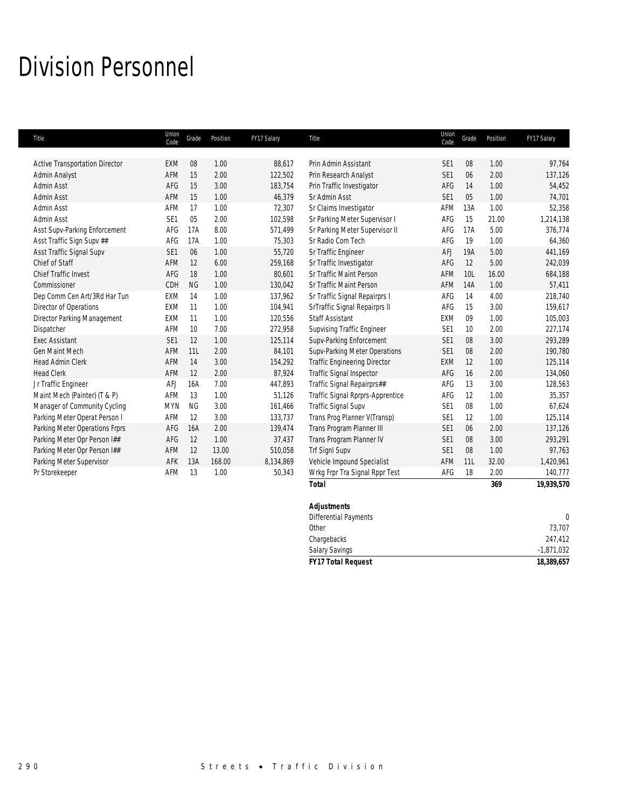## Division Personnel

| Title                                 | Union<br>Code   | Grade     | Position | FY17 Salary | Title                               | Union<br>Code   | Grade | Position | FY17 Salary |
|---------------------------------------|-----------------|-----------|----------|-------------|-------------------------------------|-----------------|-------|----------|-------------|
|                                       |                 |           |          |             |                                     |                 |       |          |             |
| <b>Active Transportation Director</b> | <b>EXM</b>      | 08        | 1.00     | 88,617      | Prin Admin Assistant                | SE <sub>1</sub> | 08    | 1.00     | 97,764      |
| Admin Analyst                         | <b>AFM</b>      | 15        | 2.00     | 122,502     | Prin Research Analyst               | SE <sub>1</sub> | 06    | 2.00     | 137,126     |
| <b>Admin Asst</b>                     | AFG             | 15        | 3.00     | 183,754     | Prin Traffic Investigator           | AFG             | 14    | 1.00     | 54,452      |
| <b>Admin Asst</b>                     | AFM             | 15        | 1.00     | 46,379      | Sr Admin Asst                       | SE <sub>1</sub> | 05    | 1.00     | 74,701      |
| Admin Asst                            | AFM             | 17        | 1.00     | 72,307      | Sr Claims Investigator              | AFM             | 13A   | 1.00     | 52,358      |
| Admin Asst                            | SE <sub>1</sub> | 05        | 2.00     | 102,598     | Sr Parking Meter Supervisor I       | AFG             | 15    | 21.00    | 1,214,138   |
| Asst Supv-Parking Enforcement         | AFG             | 17A       | 8.00     | 571,499     | Sr Parking Meter Supervisor II      | AFG             | 17A   | 5.00     | 376,774     |
| Asst Traffic Sign Supv ##             | AFG             | 17A       | 1.00     | 75,303      | Sr Radio Com Tech                   | AFG             | 19    | 1.00     | 64,360      |
| Asst Traffic Signal Supv              | SE1             | 06        | 1.00     | 55,720      | Sr Traffic Engineer                 | <b>AFJ</b>      | 19A   | 5.00     | 441,169     |
| Chief of Staff                        | AFM             | 12        | 6.00     | 259,168     | Sr Traffic Investigator             | AFG             | 12    | 5.00     | 242,039     |
| <b>Chief Traffic Invest</b>           | AFG             | 18        | 1.00     | 80,601      | Sr Traffic Maint Person             | AFM             | 10L   | 16.00    | 684,188     |
| Commissioner                          | CDH             | <b>NG</b> | 1.00     | 130,042     | Sr Traffic Maint Person             | AFM             | 14A   | 1.00     | 57,411      |
| Dep Comm Cen Art/3Rd Har Tun          | <b>EXM</b>      | 14        | 1.00     | 137,962     | Sr Traffic Signal Repairprs I       | AFG             | 14    | 4.00     | 218,740     |
| Director of Operations                | <b>EXM</b>      | 11        | 1.00     | 104,941     | SrTraffic Signal Repairprs II       | AFG             | 15    | 3.00     | 159,617     |
| Director Parking Management           | <b>EXM</b>      | 11        | 1.00     | 120,556     | <b>Staff Assistant</b>              | <b>EXM</b>      | 09    | 1.00     | 105,003     |
| Dispatcher                            | AFM             | 10        | 7.00     | 272,958     | <b>Supvising Traffic Engineer</b>   | SE <sub>1</sub> | 10    | 2.00     | 227,174     |
| <b>Exec Assistant</b>                 | SE <sub>1</sub> | 12        | 1.00     | 125,114     | Supv-Parking Enforcement            | SE <sub>1</sub> | 08    | 3.00     | 293,289     |
| <b>Gen Maint Mech</b>                 | AFM             | 11L       | 2.00     | 84,101      | Supv-Parking Meter Operations       | SE <sub>1</sub> | 08    | 2.00     | 190,780     |
| <b>Head Admin Clerk</b>               | AFM             | 14        | 3.00     | 154,292     | <b>Traffic Engineering Director</b> | <b>EXM</b>      | 12    | 1.00     | 125,114     |
| <b>Head Clerk</b>                     | <b>AFM</b>      | 12        | 2.00     | 87,924      | <b>Traffic Signal Inspector</b>     | AFG             | 16    | 2.00     | 134,060     |
| Jr Traffic Engineer                   | <b>AFJ</b>      | 16A       | 7.00     | 447,893     | Traffic Signal Repairprs##          | AFG             | 13    | 3.00     | 128,563     |
| Maint Mech (Painter) (T & P)          | AFM             | 13        | 1.00     | 51,126      | Traffic Signal Rprprs-Apprentice    | AFG             | 12    | 1.00     | 35,357      |
| Manager of Community Cycling          | <b>MYN</b>      | <b>NG</b> | 3.00     | 161,466     | <b>Traffic Signal Supv</b>          | SE <sub>1</sub> | 08    | 1.00     | 67,624      |
| Parking Meter Operat Person I         | AFM             | 12        | 3.00     | 133,737     | Trans Prog Planner V(Transp)        | SE <sub>1</sub> | 12    | 1.00     | 125,114     |
| Parking Meter Operations Frprs        | AFG             | 16A       | 2.00     | 139,474     | Trans Program Planner III           | SE <sub>1</sub> | 06    | 2.00     | 137,126     |
| Parking Meter Opr Person I##          | AFG             | 12        | 1.00     | 37,437      | Trans Program Planner IV            | SE <sub>1</sub> | 08    | 3.00     | 293,291     |
| Parking Meter Opr Person I##          | AFM             | 12        | 13.00    | 510,058     | Trf SignI Supv                      | SE <sub>1</sub> | 08    | 1.00     | 97,763      |
| Parking Meter Supervisor              | AFK             | 13A       | 168.00   | 8,134,869   | Vehicle Impound Specialist          | AFM             | 11L   | 32.00    | 1,420,961   |
| Pr Storekeeper                        | AFM             | 13        | 1.00     | 50,343      | Wrkg Frpr Tra Signal Rppr Test      | AFG             | 18    | 2.00     | 140,777     |
|                                       |                 |           |          |             | <b>Total</b>                        |                 |       | 369      | 19,939,570  |
|                                       |                 |           |          |             | <b>Adjustments</b>                  |                 |       |          |             |

| <b>FY17 Total Request</b> | 18,389,657   |
|---------------------------|--------------|
| <b>Salary Savings</b>     | $-1,871,032$ |
| Chargebacks               | 247,412      |
| Other                     | 73.707       |
| Differential Payments     | $\Omega$     |
| <b>Adjustments</b>        |              |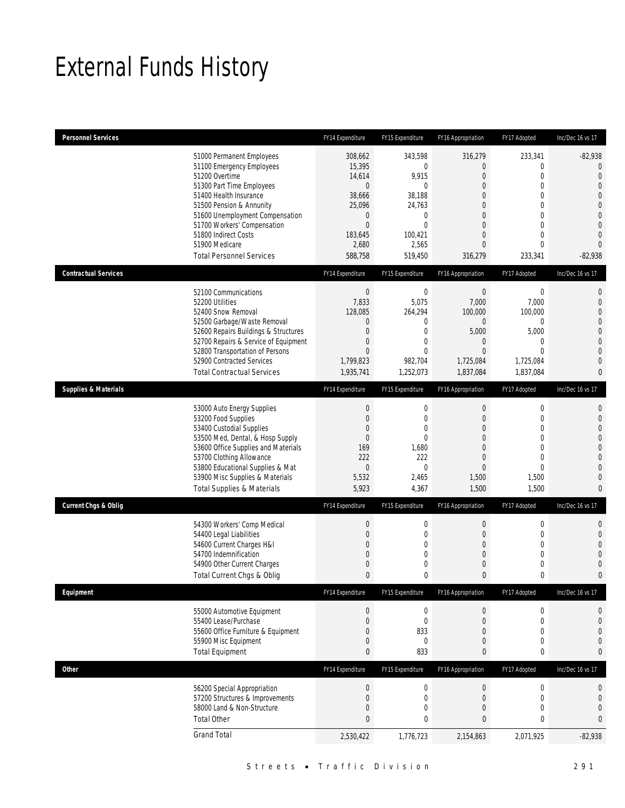# External Funds History

| <b>Personnel Services</b>       |                                                                                                                                                                                                                                                                                                            | FY14 Expenditure                                                                                                                       | FY15 Expenditure                                                                                                             | FY16 Appropriation                                                                     | FY17 Adopted                                                                                                                                           | Inc/Dec 16 vs 17                                                                                                                                                           |
|---------------------------------|------------------------------------------------------------------------------------------------------------------------------------------------------------------------------------------------------------------------------------------------------------------------------------------------------------|----------------------------------------------------------------------------------------------------------------------------------------|------------------------------------------------------------------------------------------------------------------------------|----------------------------------------------------------------------------------------|--------------------------------------------------------------------------------------------------------------------------------------------------------|----------------------------------------------------------------------------------------------------------------------------------------------------------------------------|
|                                 | 51000 Permanent Employees<br>51100 Emergency Employees<br>51200 Overtime<br>51300 Part Time Employees<br>51400 Health Insurance<br>51500 Pension & Annunity<br>51600 Unemployment Compensation<br>51700 Workers' Compensation<br>51800 Indirect Costs<br>51900 Medicare<br><b>Total Personnel Services</b> | 308,662<br>15,395<br>14,614<br>$\mathbf{0}$<br>38,666<br>25,096<br>$\boldsymbol{0}$<br>$\boldsymbol{0}$<br>183.645<br>2,680<br>588,758 | 343,598<br>$\mathbf 0$<br>9,915<br>$\theta$<br>38,188<br>24,763<br>$\mathbf 0$<br>$\mathbf 0$<br>100,421<br>2,565<br>519,450 | 316,279<br>0<br>0<br>$\Omega$<br>0<br>0<br>$\Omega$<br>0<br>0<br>0<br>316,279          | 233,341<br>$\mathbf{0}$<br>$\mathbf{0}$<br>$\theta$<br>$\mathbf{0}$<br>$\mathbf{0}$<br>$\theta$<br>$\mathbf{0}$<br>$\mathbf{0}$<br>$\theta$<br>233,341 | $-82,938$<br>$\Omega$<br>$\overline{0}$<br>$\mathbf{0}$<br>$\overline{0}$<br>$\overline{0}$<br>$\overline{0}$<br>$\overline{0}$<br>$\overline{0}$<br>$\Omega$<br>$-82,938$ |
| <b>Contractual Services</b>     |                                                                                                                                                                                                                                                                                                            | FY14 Expenditure                                                                                                                       | FY15 Expenditure                                                                                                             | FY16 Appropriation                                                                     | FY17 Adopted                                                                                                                                           | Inc/Dec 16 vs 17                                                                                                                                                           |
|                                 | 52100 Communications<br>52200 Utilities<br>52400 Snow Removal<br>52500 Garbage/Waste Removal<br>52600 Repairs Buildings & Structures<br>52700 Repairs & Service of Equipment<br>52800 Transportation of Persons<br>52900 Contracted Services<br><b>Total Contractual Services</b>                          | $\boldsymbol{0}$<br>7,833<br>128,085<br>$\mathbf 0$<br>$\boldsymbol{0}$<br>0<br>$\overline{0}$<br>1,799,823<br>1,935,741               | $\boldsymbol{0}$<br>5,075<br>264,294<br>$\mathbf{0}$<br>$\overline{0}$<br>0<br>$\theta$<br>982,704<br>1,252,073              | $\boldsymbol{0}$<br>7,000<br>100,000<br>0<br>5,000<br>0<br>0<br>1,725,084<br>1,837,084 | $\mathbf 0$<br>7,000<br>100,000<br>$\mathbf{0}$<br>5,000<br>$\mathbf{0}$<br>$\theta$<br>1,725,084<br>1,837,084                                         | $\mathbf{0}$<br>$\mathbf 0$<br>$\overline{0}$<br>$\overline{0}$<br>$\overline{0}$<br>$\overline{0}$<br>$\overline{0}$<br>$\overline{0}$<br>$\mathbf{0}$                    |
| <b>Supplies &amp; Materials</b> |                                                                                                                                                                                                                                                                                                            | FY14 Expenditure                                                                                                                       | FY15 Expenditure                                                                                                             | FY16 Appropriation                                                                     | FY17 Adopted                                                                                                                                           | Inc/Dec 16 vs 17                                                                                                                                                           |
|                                 | 53000 Auto Energy Supplies<br>53200 Food Supplies<br>53400 Custodial Supplies<br>53500 Med, Dental, & Hosp Supply<br>53600 Office Supplies and Materials<br>53700 Clothing Allowance<br>53800 Educational Supplies & Mat<br>53900 Misc Supplies & Materials<br><b>Total Supplies &amp; Materials</b>       | $\boldsymbol{0}$<br>$\boldsymbol{0}$<br>$\boldsymbol{0}$<br>$\boldsymbol{0}$<br>169<br>222<br>$\overline{0}$<br>5,532<br>5,923         | $\boldsymbol{0}$<br>$\boldsymbol{0}$<br>$\mathbf 0$<br>$\overline{0}$<br>1,680<br>222<br>$\Omega$<br>2,465<br>4,367          | $\mathbf 0$<br>0<br>$\mathbf 0$<br>0<br>$\Omega$<br>0<br>0<br>1,500<br>1,500           | $\mathbf 0$<br>$\mathbf{0}$<br>$\mathbf{0}$<br>$\mathbf{0}$<br>$\theta$<br>$\mathbf{0}$<br>$\theta$<br>1,500<br>1,500                                  | $\mathbf{0}$<br>$\mathbf 0$<br>$\overline{0}$<br>$\overline{0}$<br>$\overline{0}$<br>$\overline{0}$<br>$\overline{0}$<br>$\overline{0}$<br>$\overline{0}$                  |
| <b>Current Chgs &amp; Oblig</b> |                                                                                                                                                                                                                                                                                                            | FY14 Expenditure                                                                                                                       | FY15 Expenditure                                                                                                             | FY16 Appropriation                                                                     | FY17 Adopted                                                                                                                                           | Inc/Dec 16 vs 17                                                                                                                                                           |
|                                 | 54300 Workers' Comp Medical<br>54400 Legal Liabilities<br>54600 Current Charges H&I<br>54700 Indemnification<br>54900 Other Current Charges<br>Total Current Chgs & Oblig                                                                                                                                  | $\boldsymbol{0}$<br>$\boldsymbol{0}$<br>$\boldsymbol{0}$<br>0<br>0<br>$\mathbf{0}$                                                     | 0<br>$\mathbf 0$<br>$\boldsymbol{0}$<br>0<br>0<br>0                                                                          | $\boldsymbol{0}$<br>0<br>0<br>0<br>0<br>0                                              | $\mathbf 0$<br>$\mathbf{0}$<br>$\mathbf{0}$<br>$\mathbf{0}$<br>$\mathbf 0$<br>$\mathbf 0$                                                              | $\mathbf{0}$<br>$\mathbf{0}$<br>$\Omega$<br>$\overline{0}$<br>$\overline{0}$<br>$\mathbf{0}$                                                                               |
| Equipment                       |                                                                                                                                                                                                                                                                                                            | FY14 Expenditure                                                                                                                       | FY15 Expenditure                                                                                                             | FY16 Appropriation                                                                     | FY17 Adopted                                                                                                                                           | Inc/Dec 16 vs 17                                                                                                                                                           |
|                                 | 55000 Automotive Equipment<br>55400 Lease/Purchase<br>55600 Office Furniture & Equipment<br>55900 Misc Equipment<br><b>Total Equipment</b>                                                                                                                                                                 | $\boldsymbol{0}$<br>$\boldsymbol{0}$<br>0<br>$\boldsymbol{0}$<br>$\pmb{0}$                                                             | $\boldsymbol{0}$<br>$\boldsymbol{0}$<br>833<br>$\boldsymbol{0}$<br>833                                                       | $\mathbf 0$<br>$\mathbf 0$<br>0<br>0<br>0                                              | $\boldsymbol{0}$<br>$\mathbf 0$<br>$\mathbf{0}$<br>$\mathbf 0$<br>0                                                                                    | 0<br>$\mathbf 0$<br>$\mathbf{0}$<br>$\mathbf{0}$<br>0                                                                                                                      |
| <b>Other</b>                    |                                                                                                                                                                                                                                                                                                            | FY14 Expenditure                                                                                                                       | FY15 Expenditure                                                                                                             | FY16 Appropriation                                                                     | FY17 Adopted                                                                                                                                           | Inc/Dec 16 vs 17                                                                                                                                                           |
|                                 | 56200 Special Appropriation<br>57200 Structures & Improvements<br>58000 Land & Non-Structure<br><b>Total Other</b>                                                                                                                                                                                         | $\boldsymbol{0}$<br>$\boldsymbol{0}$<br>$\boldsymbol{0}$<br>$\pmb{0}$                                                                  | $\pmb{0}$<br>$\boldsymbol{0}$<br>0<br>0                                                                                      | $\mathbf 0$<br>$\mathbf 0$<br>0<br>0                                                   | $\boldsymbol{0}$<br>$\mathbf 0$<br>$\mathbf 0$<br>0                                                                                                    | $\bf{0}$<br>$\mathbf 0$<br>$\mathbf 0$<br>0                                                                                                                                |
|                                 | <b>Grand Total</b>                                                                                                                                                                                                                                                                                         | 2,530,422                                                                                                                              | 1,776,723                                                                                                                    | 2,154,863                                                                              | 2,071,925                                                                                                                                              | $-82,938$                                                                                                                                                                  |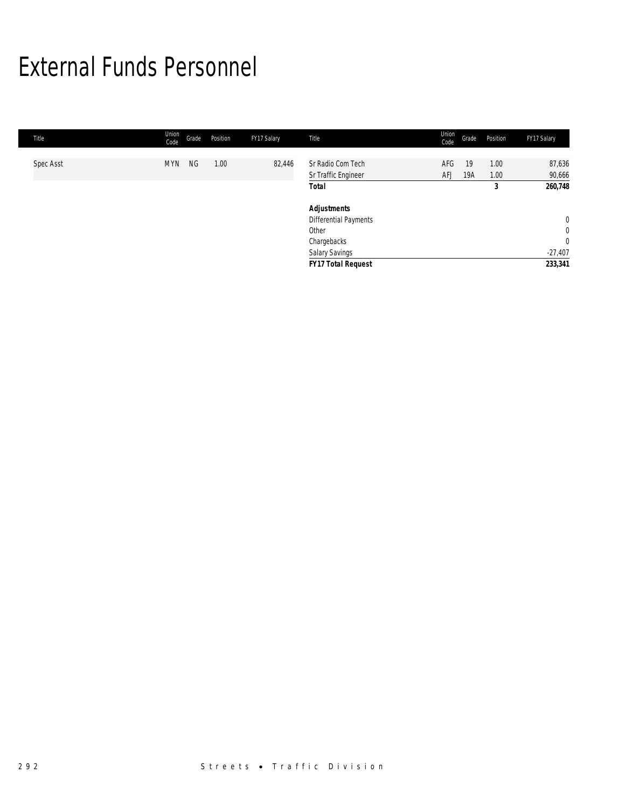## External Funds Personnel

| Title     | Union<br>Code | Grade     | Position | FY17 Salary | Title                                    | Union<br>Code     | Grade     | Position     | FY17 Salary                   |
|-----------|---------------|-----------|----------|-------------|------------------------------------------|-------------------|-----------|--------------|-------------------------------|
| Spec Asst | <b>MYN</b>    | <b>NG</b> | 1.00     | 82,446      | Sr Radio Com Tech<br>Sr Traffic Engineer | AFG<br><b>AFJ</b> | 19<br>19A | 1.00<br>1.00 | 87,636<br>90,666              |
|           |               |           |          |             | <b>Total</b>                             |                   |           | 3            | 260,748                       |
|           |               |           |          |             | <b>Adjustments</b>                       |                   |           |              |                               |
|           |               |           |          |             | Differential Payments<br>Other           |                   |           |              | $\mathbf 0$<br>$\overline{0}$ |
|           |               |           |          |             | Chargebacks                              |                   |           |              | $\overline{0}$                |
|           |               |           |          |             | <b>Salary Savings</b>                    |                   |           |              | $-27,407$                     |
|           |               |           |          |             | FY17 Total Request                       |                   |           |              | 233,341                       |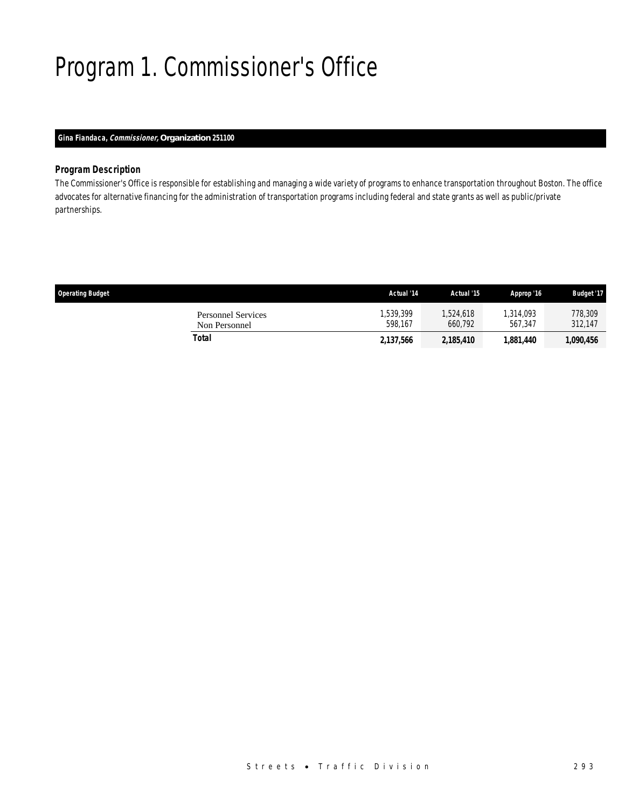# Program 1. Commissioner's Office

## *Gina Fiandaca, Commissioner, Organization 251100*

### *Program Description*

The Commissioner's Office is responsible for establishing and managing a wide variety of programs to enhance transportation throughout Boston. The office advocates for alternative financing for the administration of transportation programs including federal and state grants as well as public/private partnerships.

| <b>Operating Budget</b>             | Actual '14          | Actual '15           | Approp '16           | <b>Budget '17</b>  |
|-------------------------------------|---------------------|----------------------|----------------------|--------------------|
| Personnel Services<br>Non Personnel | ,539,399<br>598.167 | 1,524,618<br>660.792 | 1,314,093<br>567.347 | 778,309<br>312.147 |
| Total                               | 2,137,566           | 2,185,410            | 1,881,440            | 1,090,456          |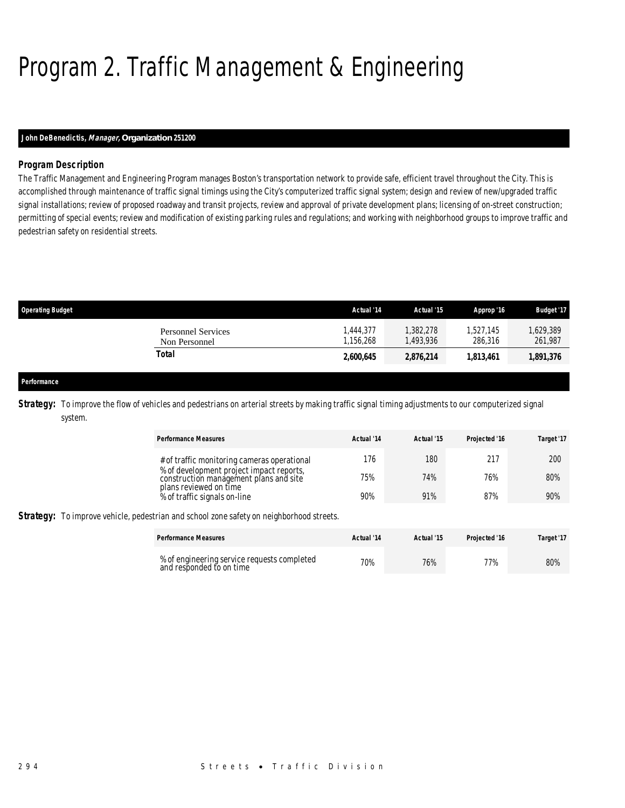# Program 2. Traffic Management & Engineering

### *John DeBenedictis, Manager, Organization 251200*

## *Program Description*

The Traffic Management and Engineering Program manages Boston's transportation network to provide safe, efficient travel throughout the City. This is accomplished through maintenance of traffic signal timings using the City's computerized traffic signal system; design and review of new/upgraded traffic signal installations; review of proposed roadway and transit projects, review and approval of private development plans; licensing of on-street construction; permitting of special events; review and modification of existing parking rules and regulations; and working with neighborhood groups to improve traffic and pedestrian safety on residential streets.

| <b>Operating Budget</b>             | Actual '14             | Actual '15            | Approp '16           | <b>Budget '17</b>   |
|-------------------------------------|------------------------|-----------------------|----------------------|---------------------|
| Personnel Services<br>Non Personnel | 1.444.377<br>1,156,268 | 1,382,278<br>,493,936 | 1.527.145<br>286,316 | ,629,389<br>261,987 |
| Total                               | 2,600,645              | 2,876,214             | 1,813,461            | 1,891,376           |
|                                     |                        |                       |                      |                     |

#### *Performance*

**Strategy:** To improve the flow of vehicles and pedestrians on arterial streets by making traffic signal timing adjustments to our computerized signal system.

| <b>Performance Measures</b>                                                                     | Actual '14 | Actual '15 | Projected '16 | Target '17 |
|-------------------------------------------------------------------------------------------------|------------|------------|---------------|------------|
| # of traffic monitoring cameras operational                                                     | 176        | 180        | 217           | 200        |
| % of development project impact reports,<br>construction management plans and site              | 75%        | 74%        | 76%           | 80%        |
| plans reviewed on time<br>% of traffic signals on-line                                          | 90%        | 91%        | 87%           | 90%        |
| <b>Strategy:</b> To improve vehicle, pedestrian and school zone safety on neighborhood streets. |            |            |               |            |
| <b>Performance Measures</b>                                                                     | Actual '14 | Actual '15 | Projected '16 | Target '17 |
|                                                                                                 |            |            |               |            |

% of engineering service requests completed  $\begin{array}{ccc} 70\% & 76\% \end{array}$  77% 77% 80%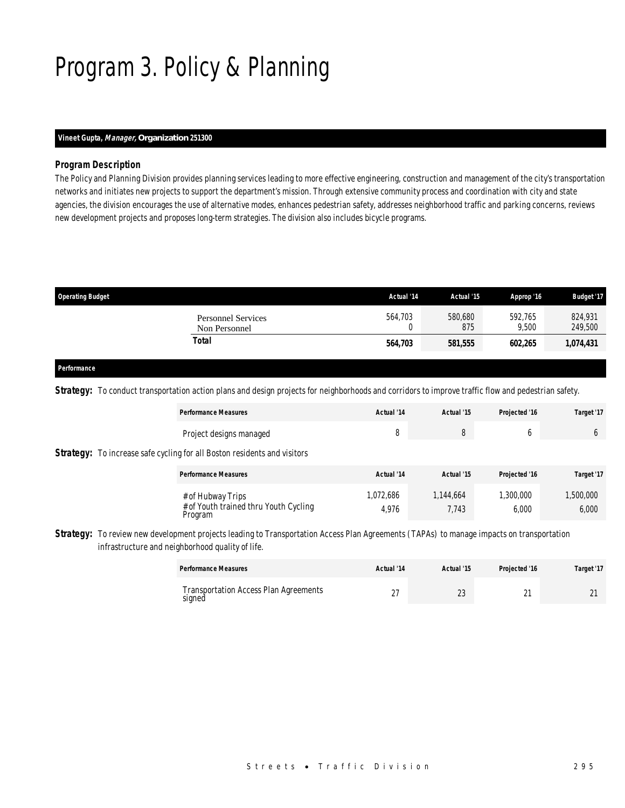# Program 3. Policy & Planning

### *Vineet Gupta, Manager, Organization 251300*

### *Program Description*

The Policy and Planning Division provides planning services leading to more effective engineering, construction and management of the city's transportation networks and initiates new projects to support the department's mission. Through extensive community process and coordination with city and state agencies, the division encourages the use of alternative modes, enhances pedestrian safety, addresses neighborhood traffic and parking concerns, reviews new development projects and proposes long-term strategies. The division also includes bicycle programs.

| <b>Operating Budget</b>             | Actual '14 | Actual '15     | Approp '16       | <b>Budget '17</b>  |
|-------------------------------------|------------|----------------|------------------|--------------------|
| Personnel Services<br>Non Personnel | 564,703    | 580,680<br>875 | 592.765<br>9,500 | 824,931<br>249,500 |
| Total                               | 564,703    | 581,555        | 602.265          | 1,074,431          |
|                                     |            |                |                  |                    |

#### *Performance*

**Strategy:** To conduct transportation action plans and design projects for neighborhoods and corridors to improve traffic flow and pedestrian safety.

| <b>Performance Measures</b>                                                     | Actual '14         | Actual '15         | Projected '16     | Target '17         |
|---------------------------------------------------------------------------------|--------------------|--------------------|-------------------|--------------------|
| Project designs managed                                                         | 8                  | 8                  | O                 | 6                  |
| <b>Strategy:</b> To increase safe cycling for all Boston residents and visitors |                    |                    |                   |                    |
| <b>Performance Measures</b>                                                     | Actual '14         | Actual '15         | Projected '16     | Target '17         |
| # of Hubway Trips<br># of Youth trained thru Youth Cycling<br>Program           | 1,072,686<br>4,976 | 1,144,664<br>7,743 | ,300,000<br>6,000 | 1,500,000<br>6,000 |

**Strategy:** To review new development projects leading to Transportation Access Plan Agreements (TAPAs) to manage impacts on transportation infrastructure and neighborhood quality of life.

| <b>Performance Measures</b>                  | Actual '14 | Actual '15 | Projected '16 | Target '17 |
|----------------------------------------------|------------|------------|---------------|------------|
| <b>Transportation Access Plan Agreements</b> |            | $\sim$     | $\sim$        | $\sim$     |
| signed                                       | $\sim$     | ے          | <u>.</u>      |            |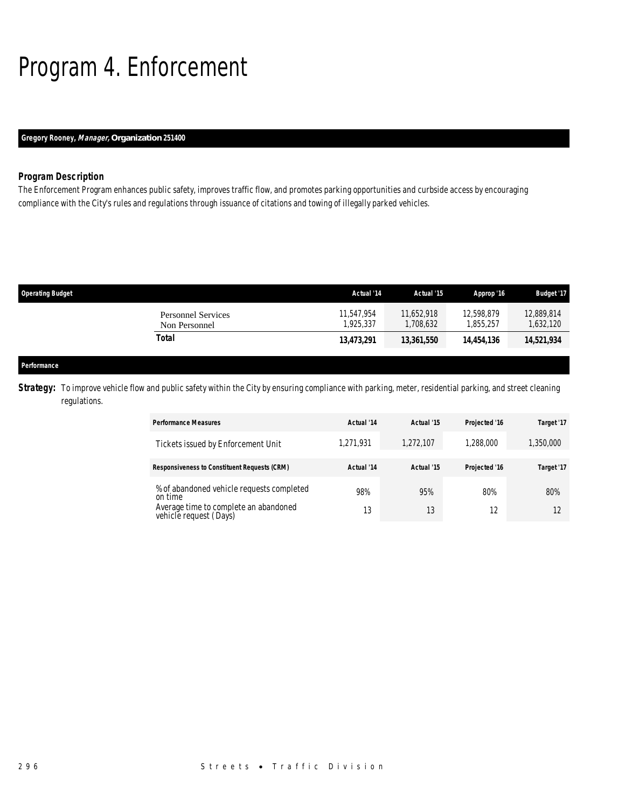# Program 4. Enforcement

## *Gregory Rooney, Manager, Organization 251400*

### *Program Description*

The Enforcement Program enhances public safety, improves traffic flow, and promotes parking opportunities and curbside access by encouraging compliance with the City's rules and regulations through issuance of citations and towing of illegally parked vehicles.

| <b>Operating Budget</b> |                                            | Actual '14             | Actual '15              | Approp '16              | <b>Budget '17</b>     |
|-------------------------|--------------------------------------------|------------------------|-------------------------|-------------------------|-----------------------|
|                         | <b>Personnel Services</b><br>Non Personnel | 11.547.954<br>.925.337 | 11.652.918<br>1,708,632 | 12,598,879<br>1,855,257 | 12.889.814<br>632,120 |
| <b>Total</b>            |                                            | 13,473,291             | 13,361,550              | 14,454,136              | 14,521,934            |
|                         |                                            |                        |                         |                         |                       |
| Performance             |                                            |                        |                         |                         |                       |

**Strategy:** To improve vehicle flow and public safety within the City by ensuring compliance with parking, meter, residential parking, and street cleaning regulations.

| <b>Performance Measures</b>                                     | Actual '14 | Actual '15 | Projected '16 | Target '17 |
|-----------------------------------------------------------------|------------|------------|---------------|------------|
| Tickets issued by Enforcement Unit                              | 1,271,931  | 1,272,107  | 1,288,000     | 1,350,000  |
| <b>Responsiveness to Constituent Requests (CRM)</b>             | Actual '14 | Actual '15 | Projected '16 | Target '17 |
| % of abandoned vehicle requests completed<br>on time            | 98%        | 95%        | 80%           | 80%        |
| Average time to complete an abandoned<br>vehicle request (Days) | 13         | 13         | 12            |            |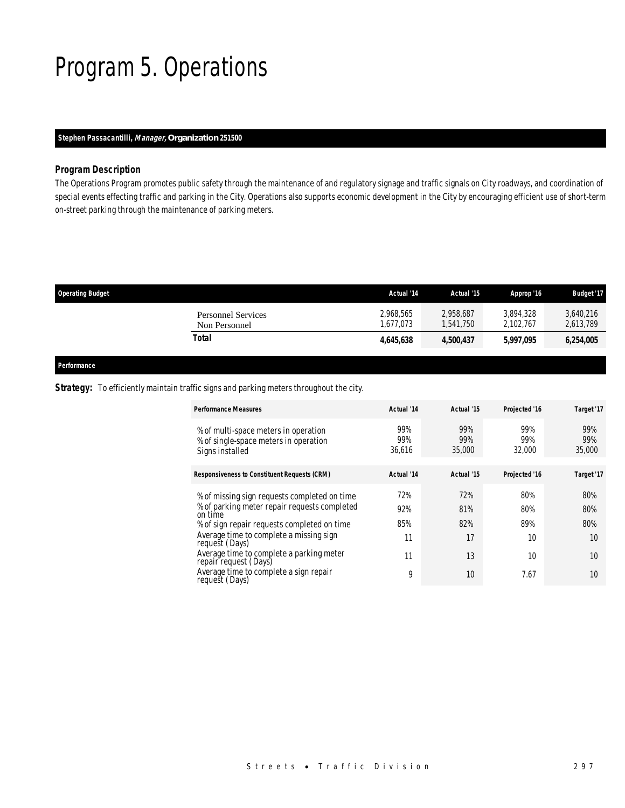# Program 5. Operations

### *Stephen Passacantilli, Manager, Organization 251500*

### *Program Description*

The Operations Program promotes public safety through the maintenance of and regulatory signage and traffic signals on City roadways, and coordination of special events effecting traffic and parking in the City. Operations also supports economic development in the City by encouraging efficient use of short-term on-street parking through the maintenance of parking meters.

| <b>Operating Budget</b>                    | Actual '14             | Actual '15             | Approp '16             | <b>Budget '17</b>      |
|--------------------------------------------|------------------------|------------------------|------------------------|------------------------|
| <b>Personnel Services</b><br>Non Personnel | 2,968,565<br>1.677.073 | 2,958,687<br>1.541.750 | 3,894,328<br>2,102,767 | 3,640,216<br>2,613,789 |
| Total                                      | 4.645.638              | 4,500,437              | 5,997,095              | 6,254,005              |
|                                            |                        |                        |                        |                        |

*Performance* 

### **Strategy:** To efficiently maintain traffic signs and parking meters throughout the city.

| <b>Performance Measures</b>                                                                      | Actual '14           | Actual '15           | Projected '16        | Target '17           |
|--------------------------------------------------------------------------------------------------|----------------------|----------------------|----------------------|----------------------|
| % of multi-space meters in operation<br>% of single-space meters in operation<br>Signs installed | 99%<br>99%<br>36,616 | 99%<br>99%<br>35,000 | 99%<br>99%<br>32,000 | 99%<br>99%<br>35,000 |
| <b>Responsiveness to Constituent Requests (CRM)</b>                                              | Actual '14           | Actual '15           | Projected '16        | Target '17           |
| % of missing sign requests completed on time                                                     | 72%                  | 72%                  | 80%                  | 80%                  |
| % of parking meter repair requests completed<br>on time                                          | 92%                  | 81%                  | 80%                  | 80%                  |
| % of sign repair requests completed on time                                                      | 85%                  | 82%                  | 89%                  | 80%                  |
| Average time to complete a missing sign<br>request (Days)                                        | 11                   | 17                   | 10                   | 10                   |
| Average time to complete a parking meter<br>repair request (Days)                                | 11                   | 13                   | 10                   | 10                   |
| Average time to complete a sign repair<br>request (Days)                                         | 9                    | 10                   | 7.67                 | 10                   |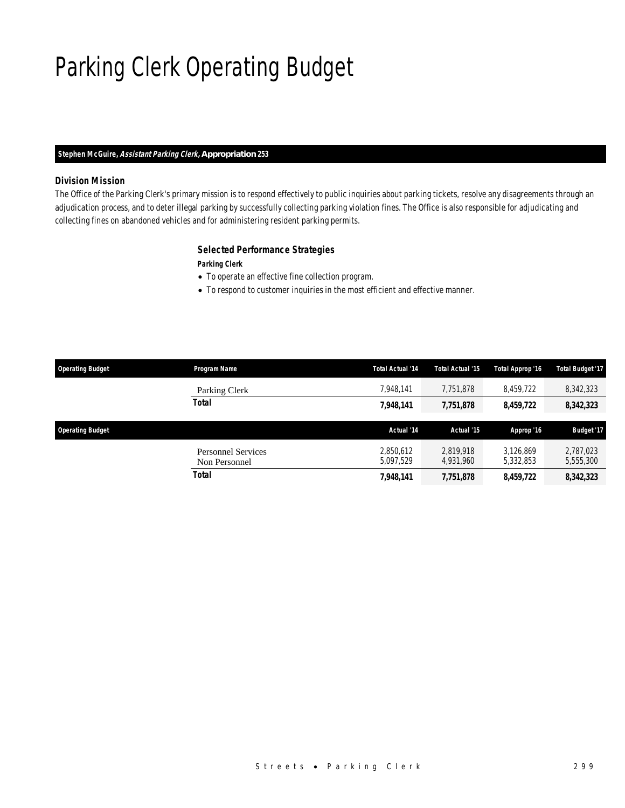# Parking Clerk Operating Budget

### *Stephen McGuire, Assistant Parking Clerk, Appropriation 253*

### *Division Mission*

The Office of the Parking Clerk's primary mission is to respond effectively to public inquiries about parking tickets, resolve any disagreements through an adjudication process, and to deter illegal parking by successfully collecting parking violation fines. The Office is also responsible for adjudicating and collecting fines on abandoned vehicles and for administering resident parking permits.

### *Selected Performance Strategies*

*Parking Clerk* 

- To operate an effective fine collection program.
- To respond to customer inquiries in the most efficient and effective manner.

| <b>Operating Budget</b> | Program Name                               | <b>Total Actual '14</b> | <b>Total Actual '15</b> | Total Approp '16       | <b>Total Budget '17</b> |
|-------------------------|--------------------------------------------|-------------------------|-------------------------|------------------------|-------------------------|
|                         | Parking Clerk                              | 7.948.141               | 7.751.878               | 8,459,722              | 8,342,323               |
|                         | <b>Total</b>                               | 7,948,141               | 7,751,878               | 8,459,722              | 8,342,323               |
| <b>Operating Budget</b> |                                            | Actual '14              | Actual '15              | Approp '16             | <b>Budget '17</b>       |
|                         | <b>Personnel Services</b><br>Non Personnel | 2,850,612<br>5,097,529  | 2.819.918<br>4.931.960  | 3.126.869<br>5,332,853 | 2,787,023<br>5,555,300  |
|                         | <b>Total</b>                               | 7,948,141               | 7,751,878               | 8,459,722              | 8,342,323               |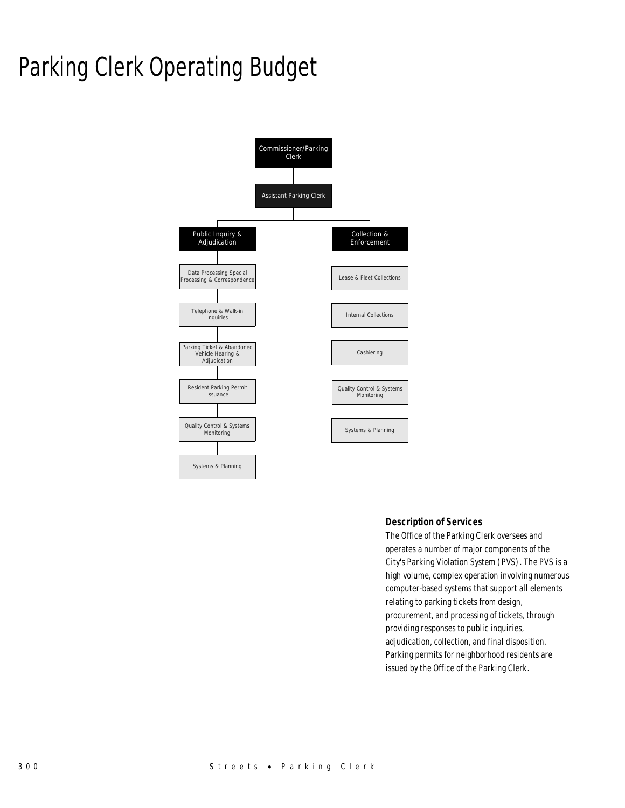# Parking Clerk Operating Budget



### *Description of Services*

The Office of the Parking Clerk oversees and operates a number of major components of the City's Parking Violation System (PVS). The PVS is a high volume, complex operation involving numerous computer-based systems that support all elements relating to parking tickets from design, procurement, and processing of tickets, through providing responses to public inquiries, adjudication, collection, and final disposition. Parking permits for neighborhood residents are issued by the Office of the Parking Clerk.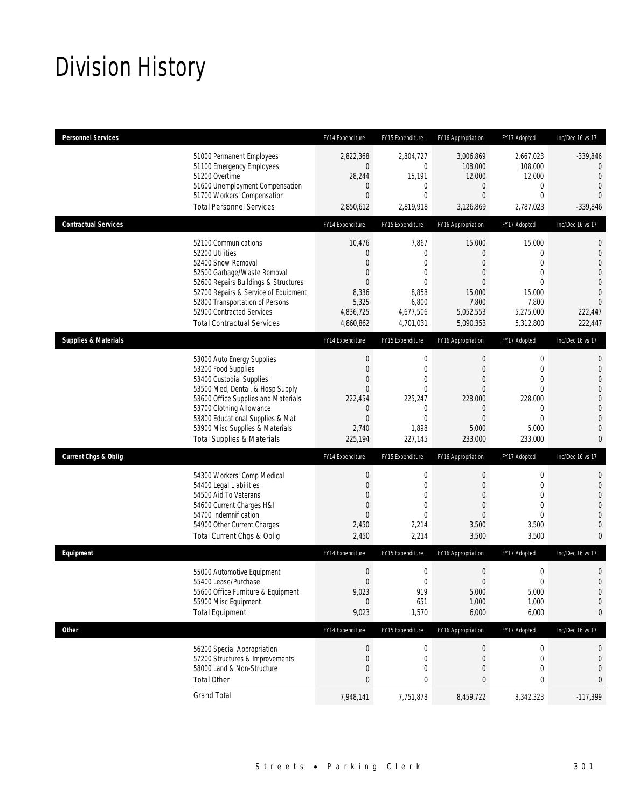# Division History

| <b>Personnel Services</b>       |                                                                                                                                                                                                                                                                                                      | FY14 Expenditure                                                                                                                         | FY15 Expenditure                                                                    | FY16 Appropriation                                                                                                  | FY17 Adopted                                                                                                                    | Inc/Dec 16 vs 17                                                                                                                           |
|---------------------------------|------------------------------------------------------------------------------------------------------------------------------------------------------------------------------------------------------------------------------------------------------------------------------------------------------|------------------------------------------------------------------------------------------------------------------------------------------|-------------------------------------------------------------------------------------|---------------------------------------------------------------------------------------------------------------------|---------------------------------------------------------------------------------------------------------------------------------|--------------------------------------------------------------------------------------------------------------------------------------------|
|                                 | 51000 Permanent Employees<br>51100 Emergency Employees<br>51200 Overtime<br>51600 Unemployment Compensation<br>51700 Workers' Compensation<br><b>Total Personnel Services</b>                                                                                                                        | 2,822,368<br>$\overline{0}$<br>28,244<br>$\mathbf 0$<br>$\mathbf{0}$<br>2,850,612                                                        | 2,804,727<br>0<br>15,191<br>0<br>0<br>2,819,918                                     | 3,006,869<br>108,000<br>12,000<br>$\overline{0}$<br>$\overline{0}$<br>3,126,869                                     | 2,667,023<br>108,000<br>12,000<br>$\mathbf 0$<br>$\mathbf{0}$<br>2,787,023                                                      | $-339,846$<br>$\mathbf{0}$<br>$\overline{0}$<br>$\overline{0}$<br>$\Omega$<br>$-339,846$                                                   |
| <b>Contractual Services</b>     |                                                                                                                                                                                                                                                                                                      | FY14 Expenditure                                                                                                                         | FY15 Expenditure                                                                    | FY16 Appropriation                                                                                                  | FY17 Adopted                                                                                                                    | Inc/Dec 16 vs 17                                                                                                                           |
|                                 | 52100 Communications<br>52200 Utilities<br>52400 Snow Removal<br>52500 Garbage/Waste Removal<br>52600 Repairs Buildings & Structures<br>52700 Repairs & Service of Equipment<br>52800 Transportation of Persons<br>52900 Contracted Services<br><b>Total Contractual Services</b>                    | 10,476<br>$\mathbf 0$<br>$\Omega$<br>$\mathbf 0$<br>$\overline{0}$<br>8,336<br>5,325<br>4,836,725<br>4,860,862                           | 7,867<br>0<br>$\Omega$<br>0<br>$\Omega$<br>8,858<br>6,800<br>4,677,506<br>4,701,031 | 15,000<br>$\overline{0}$<br>$\mathbf{0}$<br>$\overline{0}$<br>$\Omega$<br>15,000<br>7,800<br>5,052,553<br>5,090,353 | 15,000<br>$\mathbf 0$<br>$\Omega$<br>$\mathbf{0}$<br>$\Omega$<br>15,000<br>7,800<br>5,275,000<br>5,312,800                      | 0<br>$\mathbf 0$<br>$\overline{0}$<br>$\overline{0}$<br>$\overline{0}$<br>$\Omega$<br>$\overline{0}$<br>222,447<br>222,447                 |
| <b>Supplies &amp; Materials</b> |                                                                                                                                                                                                                                                                                                      | FY14 Expenditure                                                                                                                         | FY15 Expenditure                                                                    | FY16 Appropriation                                                                                                  | FY17 Adopted                                                                                                                    | Inc/Dec 16 vs 17                                                                                                                           |
|                                 | 53000 Auto Energy Supplies<br>53200 Food Supplies<br>53400 Custodial Supplies<br>53500 Med, Dental, & Hosp Supply<br>53600 Office Supplies and Materials<br>53700 Clothing Allowance<br>53800 Educational Supplies & Mat<br>53900 Misc Supplies & Materials<br><b>Total Supplies &amp; Materials</b> | $\boldsymbol{0}$<br>$\boldsymbol{0}$<br>$\overline{0}$<br>$\mathbf{0}$<br>222,454<br>$\mathbf 0$<br>$\boldsymbol{0}$<br>2,740<br>225,194 | 0<br>$\mathbf{0}$<br>0<br>0<br>225,247<br>0<br>$\mathbf{0}$<br>1,898<br>227,145     | 0<br>$\overline{0}$<br>$\overline{0}$<br>$\mathbf{0}$<br>228.000<br>$\mathbf 0$<br>$\mathbf{0}$<br>5,000<br>233,000 | $\boldsymbol{0}$<br>$\mathbf{0}$<br>$\mathbf{0}$<br>$\mathbf{0}$<br>228,000<br>$\mathbf{0}$<br>$\mathbf{0}$<br>5,000<br>233,000 | 0<br>$\mathbf{0}$<br>$\overline{0}$<br>$\overline{0}$<br>$\mathbf 0$<br>$\overline{0}$<br>$\overline{0}$<br>$\overline{0}$<br>$\mathbf{0}$ |
| <b>Current Chgs &amp; Oblig</b> |                                                                                                                                                                                                                                                                                                      | FY14 Expenditure                                                                                                                         | FY15 Expenditure                                                                    | FY16 Appropriation                                                                                                  | FY17 Adopted                                                                                                                    | Inc/Dec 16 vs 17                                                                                                                           |
|                                 | 54300 Workers' Comp Medical<br>54400 Legal Liabilities<br>54500 Aid To Veterans<br>54600 Current Charges H&I<br>54700 Indemnification<br>54900 Other Current Charges<br>Total Current Chgs & Oblig                                                                                                   | $\boldsymbol{0}$<br>$\boldsymbol{0}$<br>$\overline{0}$<br>$\boldsymbol{0}$<br>$\mathbf{0}$<br>2,450<br>2,450                             | 0<br>$\mathbf 0$<br>$\mathbf 0$<br>0<br>0<br>2,214<br>2,214                         | 0<br>$\overline{0}$<br>$\overline{0}$<br>$\overline{0}$<br>$\mathbf{0}$<br>3,500<br>3,500                           | $\boldsymbol{0}$<br>$\mathbf 0$<br>$\mathbf{0}$<br>$\overline{0}$<br>$\Omega$<br>3,500<br>3,500                                 | 0<br>$\mathbf 0$<br>$\overline{0}$<br>$\overline{0}$<br>$\overline{0}$<br>$\overline{0}$<br>$\overline{0}$                                 |
| Equipment                       |                                                                                                                                                                                                                                                                                                      | FY14 Expenditure                                                                                                                         | FY15 Expenditure                                                                    | FY16 Appropriation                                                                                                  | FY17 Adopted                                                                                                                    | Inc/Dec 16 vs 17                                                                                                                           |
|                                 | 55000 Automotive Equipment<br>55400 Lease/Purchase<br>55600 Office Furniture & Equipment<br>55900 Misc Equipment<br><b>Total Equipment</b>                                                                                                                                                           | $\boldsymbol{0}$<br>$\mathbf{0}$<br>9,023<br>$\mathbf{0}$<br>9,023                                                                       | 0<br>$\overline{0}$<br>919<br>651<br>1,570                                          | $\boldsymbol{0}$<br>$\overline{0}$<br>5,000<br>1,000<br>6,000                                                       | $\mathbf 0$<br>$\mathbf 0$<br>5,000<br>1,000<br>6,000                                                                           | $\mathbf 0$<br>$\overline{0}$<br>$\mathbf 0$<br>$\mathbf 0$<br>0                                                                           |
| <b>Other</b>                    |                                                                                                                                                                                                                                                                                                      | FY14 Expenditure                                                                                                                         | FY15 Expenditure                                                                    | FY16 Appropriation                                                                                                  | FY17 Adopted                                                                                                                    | Inc/Dec 16 vs 17                                                                                                                           |
|                                 | 56200 Special Appropriation<br>57200 Structures & Improvements<br>58000 Land & Non-Structure<br><b>Total Other</b>                                                                                                                                                                                   | $\boldsymbol{0}$<br>$\boldsymbol{0}$<br>0<br>$\pmb{0}$                                                                                   | 0<br>0<br>0<br>0                                                                    | $\boldsymbol{0}$<br>$\mathbf 0$<br>0<br>0                                                                           | $\boldsymbol{0}$<br>$\mathbf 0$<br>$\mathbf 0$<br>0                                                                             | 0<br>$\mathbf 0$<br>0<br>0                                                                                                                 |
|                                 | <b>Grand Total</b>                                                                                                                                                                                                                                                                                   | 7,948,141                                                                                                                                | 7,751,878                                                                           | 8,459,722                                                                                                           | 8,342,323                                                                                                                       | $-117,399$                                                                                                                                 |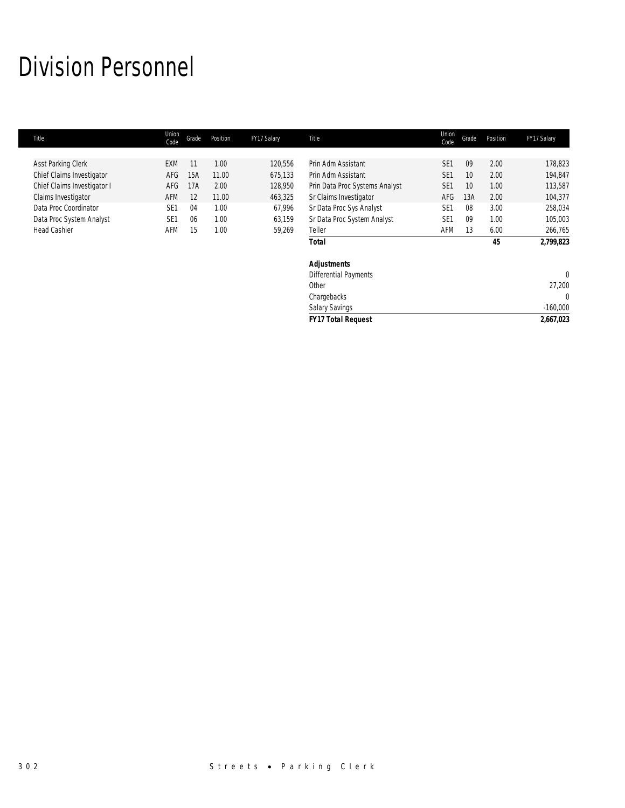# Division Personnel

| <b>Title</b>                | Union<br>Code   | Grade | Position | FY17 Salary | Title                          | Union<br>Code   | Grade | Position | FY17 Salary  |
|-----------------------------|-----------------|-------|----------|-------------|--------------------------------|-----------------|-------|----------|--------------|
|                             |                 |       |          |             |                                |                 |       |          |              |
| <b>Asst Parking Clerk</b>   | <b>EXM</b>      | 11    | 1.00     | 120,556     | Prin Adm Assistant             | SE <sub>1</sub> | 09    | 2.00     | 178,823      |
| Chief Claims Investigator   | AFG             | 15A   | 11.00    | 675,133     | Prin Adm Assistant             | SE <sub>1</sub> | 10    | 2.00     | 194,847      |
| Chief Claims Investigator I | AFG             | 17A   | 2.00     | 128,950     | Prin Data Proc Systems Analyst | SE <sub>1</sub> | 10    | 1.00     | 113,587      |
| Claims Investigator         | AFM             | 12    | 11.00    | 463,325     | Sr Claims Investigator         | AFG             | 13A   | 2.00     | 104,377      |
| Data Proc Coordinator       | SE <sub>1</sub> | 04    | 1.00     | 67,996      | Sr Data Proc Sys Analyst       | SE <sub>1</sub> | 08    | 3.00     | 258,034      |
| Data Proc System Analyst    | SE <sub>1</sub> | 06    | 1.00     | 63,159      | Sr Data Proc System Analyst    | SE <sub>1</sub> | 09    | 1.00     | 105,003      |
| <b>Head Cashier</b>         | AFM             | 15    | 1.00     | 59,269      | Teller                         | AFM             | 13    | 6.00     | 266,765      |
|                             |                 |       |          |             | <b>Total</b>                   |                 |       | 45       | 2,799,823    |
|                             |                 |       |          |             | <b>Adjustments</b>             |                 |       |          |              |
|                             |                 |       |          |             | Differential Payments          |                 |       |          | $\mathbf{0}$ |
|                             |                 |       |          |             | Other                          |                 |       |          | 27,200       |
|                             |                 |       |          |             | Chargebacks                    |                 |       |          | $\mathbf{0}$ |
|                             |                 |       |          |             | Salary Savings                 |                 |       |          | $-160,000$   |
|                             |                 |       |          |             | <b>FY17 Total Request</b>      |                 |       |          | 2,667,023    |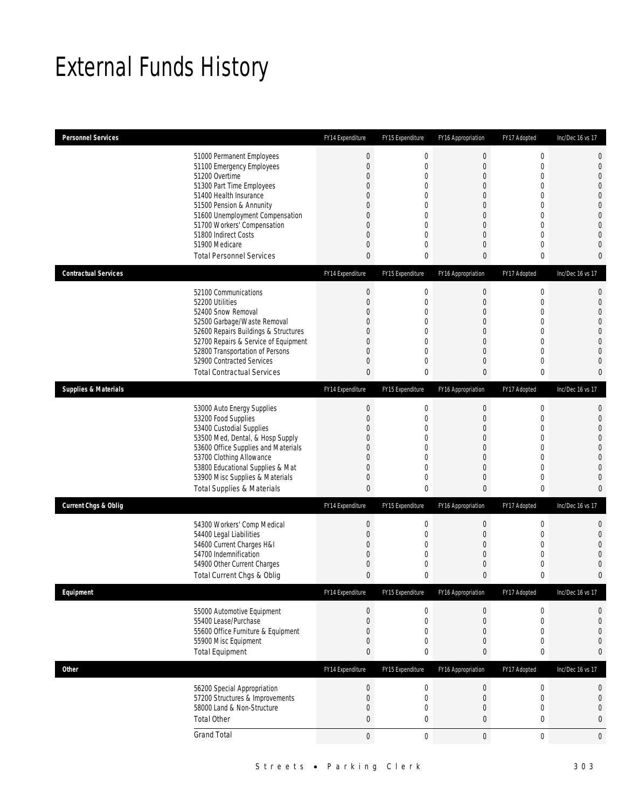# External Funds History

| <b>Personnel Services</b>       |                                                                                                                                                                                                                                                                                                            | FY14 Expenditure                                                                              | FY15 Expenditure                                                                                                                                     | FY16 Appropriation                                                                                                                                                           | FY17 Adopted                                                                                                                                                   | Inc/Dec 16 vs 17                                                                                                                                                                      |
|---------------------------------|------------------------------------------------------------------------------------------------------------------------------------------------------------------------------------------------------------------------------------------------------------------------------------------------------------|-----------------------------------------------------------------------------------------------|------------------------------------------------------------------------------------------------------------------------------------------------------|------------------------------------------------------------------------------------------------------------------------------------------------------------------------------|----------------------------------------------------------------------------------------------------------------------------------------------------------------|---------------------------------------------------------------------------------------------------------------------------------------------------------------------------------------|
|                                 | 51000 Permanent Employees<br>51100 Emergency Employees<br>51200 Overtime<br>51300 Part Time Employees<br>51400 Health Insurance<br>51500 Pension & Annunity<br>51600 Unemployment Compensation<br>51700 Workers' Compensation<br>51800 Indirect Costs<br>51900 Medicare<br><b>Total Personnel Services</b> | $\boldsymbol{0}$<br>$\overline{0}$<br>0<br>0<br>$\Omega$<br>0<br>$\Omega$<br>0<br>0<br>0<br>0 | $\boldsymbol{0}$<br>$\boldsymbol{0}$<br>$\boldsymbol{0}$<br>0<br>$\Omega$<br>$\mathbf 0$<br>$\mathbf 0$<br>$\mathbf 0$<br>0<br>$\boldsymbol{0}$<br>0 | $\boldsymbol{0}$<br>$\overline{0}$<br>$\boldsymbol{0}$<br>$\overline{0}$<br>$\overline{0}$<br>0<br>$\overline{0}$<br>$\boldsymbol{0}$<br>$\overline{0}$<br>$\mathbf{0}$<br>0 | $\mathbf 0$<br>$\mathbf{0}$<br>$\mathbf 0$<br>$\mathbf{0}$<br>$\mathbf{0}$<br>$\mathbf 0$<br>$\mathbf{0}$<br>$\mathbf{0}$<br>$\mathbf{0}$<br>$\mathbf{0}$<br>0 | $\mathbf 0$<br>$\mathbf 0$<br>$\overline{0}$<br>$\overline{0}$<br>$\overline{0}$<br>$\mathbf{0}$<br>$\mathbf 0$<br>$\overline{0}$<br>$\overline{0}$<br>$\overline{0}$<br>$\mathbf{0}$ |
| <b>Contractual Services</b>     |                                                                                                                                                                                                                                                                                                            | FY14 Expenditure                                                                              | FY15 Expenditure                                                                                                                                     | FY16 Appropriation                                                                                                                                                           | FY17 Adopted                                                                                                                                                   | Inc/Dec 16 vs 17                                                                                                                                                                      |
|                                 | 52100 Communications<br>52200 Utilities<br>52400 Snow Removal<br>52500 Garbage/Waste Removal<br>52600 Repairs Buildings & Structures<br>52700 Repairs & Service of Equipment<br>52800 Transportation of Persons<br>52900 Contracted Services<br><b>Total Contractual Services</b>                          | $\boldsymbol{0}$<br>$\overline{0}$<br>$\Omega$<br>0<br>0<br>0<br>0<br>0<br>0                  | 0<br>$\boldsymbol{0}$<br>$\mathbf 0$<br>$\boldsymbol{0}$<br>0<br>$\boldsymbol{0}$<br>$\overline{0}$<br>$\mathbf 0$<br>$\bf{0}$                       | $\boldsymbol{0}$<br>$\boldsymbol{0}$<br>$\overline{0}$<br>0<br>$\overline{0}$<br>$\boldsymbol{0}$<br>$\overline{0}$<br>0<br>$\mathbf{0}$                                     | $\boldsymbol{0}$<br>$\mathbf 0$<br>$\mathbf{0}$<br>$\mathbf{0}$<br>$\mathbf{0}$<br>$\mathbf{0}$<br>$\mathbf{0}$<br>$\mathbf 0$<br>$\boldsymbol{0}$             | $\mathbf 0$<br>$\mathbf 0$<br>$\overline{0}$<br>$\overline{0}$<br>$\overline{0}$<br>$\overline{0}$<br>$\overline{0}$<br>$\overline{0}$<br>$\mathbf{0}$                                |
| <b>Supplies &amp; Materials</b> |                                                                                                                                                                                                                                                                                                            | FY14 Expenditure                                                                              | FY15 Expenditure                                                                                                                                     | FY16 Appropriation                                                                                                                                                           | FY17 Adopted                                                                                                                                                   | Inc/Dec 16 vs 17                                                                                                                                                                      |
|                                 | 53000 Auto Energy Supplies<br>53200 Food Supplies<br>53400 Custodial Supplies<br>53500 Med, Dental, & Hosp Supply<br>53600 Office Supplies and Materials<br>53700 Clothing Allowance<br>53800 Educational Supplies & Mat<br>53900 Misc Supplies & Materials<br><b>Total Supplies &amp; Materials</b>       | $\boldsymbol{0}$<br>0<br>$\Omega$<br>0<br>0<br>0<br>0<br>0<br>0                               | 0<br>$\boldsymbol{0}$<br>$\mathbf 0$<br>$\mathbf 0$<br>0<br>$\mathbf 0$<br>0<br>$\boldsymbol{0}$<br>0                                                | $\boldsymbol{0}$<br>$\boldsymbol{0}$<br>$\overline{0}$<br>0<br>$\overline{0}$<br>$\boldsymbol{0}$<br>$\overline{0}$<br>$\overline{0}$<br>0                                   | $\boldsymbol{0}$<br>$\mathbf{0}$<br>$\mathbf{0}$<br>$\mathbf 0$<br>$\mathbf{0}$<br>$\mathbf{0}$<br>$\mathbf{0}$<br>$\mathbf 0$<br>$\mathbf 0$                  | $\mathbf{0}$<br>$\mathbf 0$<br>$\overline{0}$<br>$\overline{0}$<br>$\mathbf 0$<br>$\overline{0}$<br>$\overline{0}$<br>$\overline{0}$<br>$\mathbf{0}$                                  |
| <b>Current Chgs &amp; Oblig</b> |                                                                                                                                                                                                                                                                                                            | FY14 Expenditure                                                                              | FY15 Expenditure                                                                                                                                     | FY16 Appropriation                                                                                                                                                           | FY17 Adopted                                                                                                                                                   | Inc/Dec 16 vs 17                                                                                                                                                                      |
|                                 | 54300 Workers' Comp Medical<br>54400 Legal Liabilities<br>54600 Current Charges H&I<br>54700 Indemnification<br>54900 Other Current Charges<br>Total Current Chgs & Oblig                                                                                                                                  | $\boldsymbol{0}$<br>0<br>0<br>0<br>0<br>0                                                     | 0<br>$\boldsymbol{0}$<br>$\mathbf 0$<br>0<br>0<br>$\mathbf{0}$                                                                                       | $\boldsymbol{0}$<br>$\boldsymbol{0}$<br>$\overline{0}$<br>0<br>0<br>0                                                                                                        | $\boldsymbol{0}$<br>$\mathbf 0$<br>$\mathbf{0}$<br>$\mathbf 0$<br>$\mathbf 0$<br>0                                                                             | $\mathbf 0$<br>$\mathbf 0$<br>$\overline{0}$<br>$\overline{0}$<br>$\mathbf 0$<br>$\mathbf{0}$                                                                                         |
| Equipment                       |                                                                                                                                                                                                                                                                                                            | FY14 Expenditure                                                                              | FY15 Expenditure                                                                                                                                     | FY16 Appropriation                                                                                                                                                           | FY17 Adopted                                                                                                                                                   | Inc/Dec 16 vs 17                                                                                                                                                                      |
|                                 | 55000 Automotive Equipment<br>55400 Lease/Purchase<br>55600 Office Furniture & Equipment<br>55900 Misc Equipment<br><b>Total Equipment</b>                                                                                                                                                                 | $\mathbf 0$<br>0<br>0<br>0<br>0                                                               | 0<br>$\boldsymbol{0}$<br>$\boldsymbol{0}$<br>0<br>$\bf{0}$                                                                                           | $\boldsymbol{0}$<br>$\mathbf 0$<br>0<br>0<br>0                                                                                                                               | $\boldsymbol{0}$<br>$\mathbf 0$<br>$\mathbf{0}$<br>$\mathbf 0$<br>$\bf{0}$                                                                                     | 0<br>$\mathbf{0}$<br>$\mathbf 0$<br>$\mathbf{0}$<br>$\bf{0}$                                                                                                                          |
| Other                           |                                                                                                                                                                                                                                                                                                            | FY14 Expenditure                                                                              | FY15 Expenditure                                                                                                                                     | FY16 Appropriation                                                                                                                                                           | FY17 Adopted                                                                                                                                                   | Inc/Dec 16 vs 17                                                                                                                                                                      |
|                                 | 56200 Special Appropriation<br>57200 Structures & Improvements<br>58000 Land & Non-Structure<br><b>Total Other</b>                                                                                                                                                                                         | $\boldsymbol{0}$<br>$\overline{0}$<br>0<br>$\overline{0}$                                     | 0<br>$\boldsymbol{0}$<br>0<br>0                                                                                                                      | $\boldsymbol{0}$<br>$\boldsymbol{0}$<br>0<br>$\bf{0}$                                                                                                                        | $\boldsymbol{0}$<br>$\mathbf 0$<br>$\boldsymbol{0}$<br>$\mathbf 0$                                                                                             | $\mathbf 0$<br>$\boldsymbol{0}$<br>$\mathbf 0$<br>$\bf{0}$                                                                                                                            |
|                                 | <b>Grand Total</b>                                                                                                                                                                                                                                                                                         | $\boldsymbol{0}$                                                                              | $\boldsymbol{0}$                                                                                                                                     | $\mathbf 0$                                                                                                                                                                  | $\boldsymbol{0}$                                                                                                                                               | $\mathbf 0$                                                                                                                                                                           |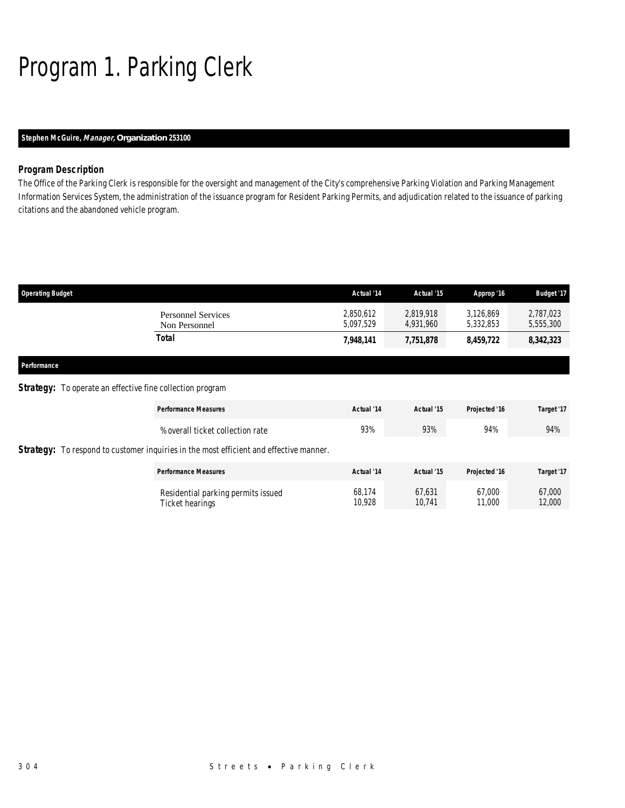# Program 1. Parking Clerk

### *Stephen McGuire, Manager, Organization 253100*

### *Program Description*

The Office of the Parking Clerk is responsible for the oversight and management of the City's comprehensive Parking Violation and Parking Management Information Services System, the administration of the issuance program for Resident Parking Permits, and adjudication related to the issuance of parking citations and the abandoned vehicle program.

| <b>Operating Budget</b>                                          | Actual '14             | Actual '15             | Approp '16             | <b>Budget '17</b>      |
|------------------------------------------------------------------|------------------------|------------------------|------------------------|------------------------|
| <b>Personnel Services</b><br>Non Personnel                       | 2,850,612<br>5,097,529 | 2.819.918<br>4,931,960 | 3,126,869<br>5,332,853 | 2,787,023<br>5,555,300 |
| Total                                                            | 7,948,141              | 7,751,878              | 8,459,722              | 8,342,323              |
| Performance                                                      |                        |                        |                        |                        |
| <b>Strategy:</b> To operate an effective fine collection program |                        |                        |                        |                        |
|                                                                  |                        |                        |                        |                        |

| <b>Performance Measures</b>                                                                   | Actual '14       | Actual '15       | Projected '16    | Target '17       |
|-----------------------------------------------------------------------------------------------|------------------|------------------|------------------|------------------|
| % overall ticket collection rate                                                              | 93%              | 93%              | 94%              | 94%              |
| <b>Strategy:</b> To respond to customer inquiries in the most efficient and effective manner. |                  |                  |                  |                  |
| <b>Performance Measures</b>                                                                   | Actual '14       | Actual '15       | Projected '16    | Target '17       |
| Residential parking permits issued<br>Ticket hearings                                         | 68.174<br>10.928 | 67.631<br>10.741 | 67,000<br>11,000 | 67,000<br>12,000 |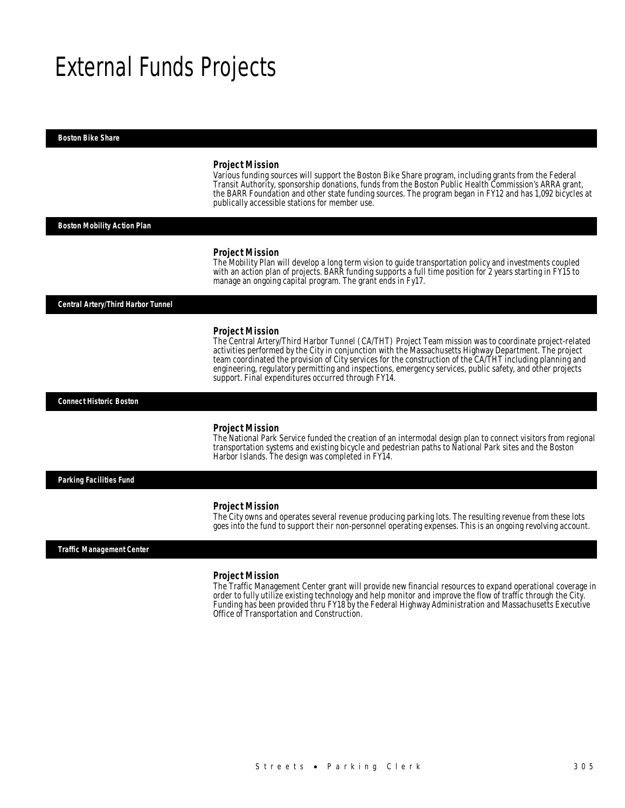## External Funds Projects

*Boston Bike Share* 

#### *Project Mission*

Various funding sources will support the Boston Bike Share program, including grants from the Federal Transit Authority, sponsorship donations, funds from the Boston Public Health Commission's ARRA grant, the BARR Foundation and other state funding sources. The program began in FY12 and has 1,092 bicycles at publically accessible stations for member use. Î

#### *Boston Mobility Action Plan*

#### *Project Mission*

The Mobility Plan will develop a long term vision to guide transportation policy and investments coupled with an action plan of projects. BARR funding supports a full time position for 2 years starting in FY15 to manage an ongoing capital program. The grant ends in Fy17.

*Central Artery/Third Harbor Tunnel* 

#### *Project Mission*

The Central Artery/Third Harbor Tunnel (CA/THT) Project Team mission was to coordinate project-related activities performed by the City in conjunction with the Massachusetts Highway Department. The project team coordinated the provision of City services for the construction of the CA/THT including planning and engineering, regulatory permitting and inspections, emergency services, public safety, and other projects support. Final expenditures occurred through FY14.

*Connect Historic Boston* 

#### *Project Mission*

The National Park Service funded the creation of an intermodal design plan to connect visitors from regional transportation systems and existing bicycle and pedestrian paths to National Park sites and the Boston Harbor Islands. The design was completed in FY14.

*Parking Facilities Fund* 

#### *Project Mission*

The City owns and operates several revenue producing parking lots. The resulting revenue from these lots goes into the fund to support their non-personnel operating expenses. This is an ongoing revolving account. Ì

#### *Traffic Management Center*

#### *Project Mission*

The Traffic Management Center grant will provide new financial resources to expand operational coverage in order to fully utilize existing technology and help monitor and improve the flow of traffic through the City. Funding has been provided thru FY18 by the Federal Highway Administration and Massachusetts Executive Office of Transportation and Construction.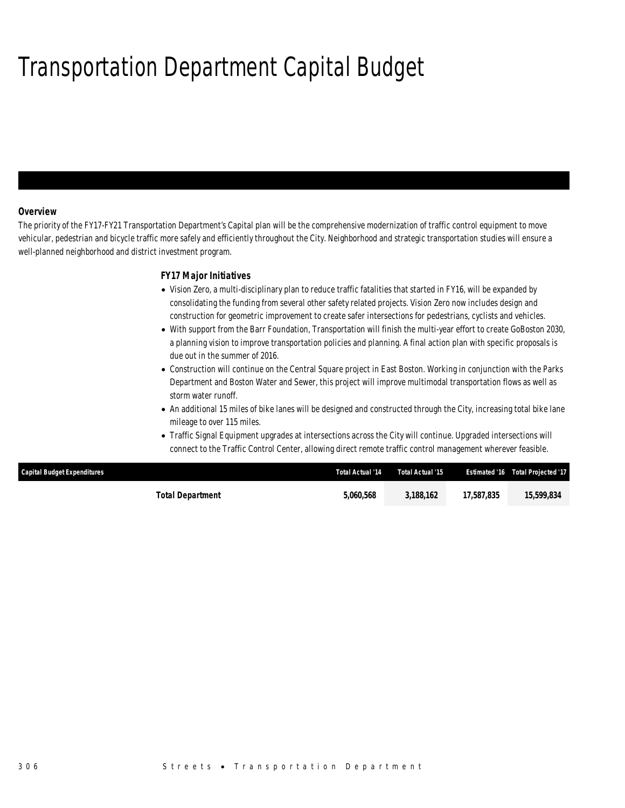# Transportation Department Capital Budget

### *Overview*

The priority of the FY17-FY21 Transportation Department's Capital plan will be the comprehensive modernization of traffic control equipment to move vehicular, pedestrian and bicycle traffic more safely and efficiently throughout the City. Neighborhood and strategic transportation studies will ensure a well-planned neighborhood and district investment program.

### *FY17 Major Initiatives*

- Vision Zero, a multi-disciplinary plan to reduce traffic fatalities that started in FY16, will be expanded by consolidating the funding from several other safety related projects. Vision Zero now includes design and construction for geometric improvement to create safer intersections for pedestrians, cyclists and vehicles.
- With support from the Barr Foundation, Transportation will finish the multi-year effort to create GoBoston 2030, a planning vision to improve transportation policies and planning. A final action plan with specific proposals is due out in the summer of 2016.
- Construction will continue on the Central Square project in East Boston. Working in conjunction with the Parks Department and Boston Water and Sewer, this project will improve multimodal transportation flows as well as storm water runoff.
- An additional 15 miles of bike lanes will be designed and constructed through the City, increasing total bike lane mileage to over 115 miles.
- Traffic Signal Equipment upgrades at intersections across the City will continue. Upgraded intersections will connect to the Traffic Control Center, allowing direct remote traffic control management wherever feasible.

| <b>Capital Budget Expenditures</b> | Total Actual '14 | Total Actual '15 |            | Estimated '16  Total Projected '17 |
|------------------------------------|------------------|------------------|------------|------------------------------------|
| Total Department                   | 5,060,568        | 3.188.162        | 17.587.835 | 15,599,834                         |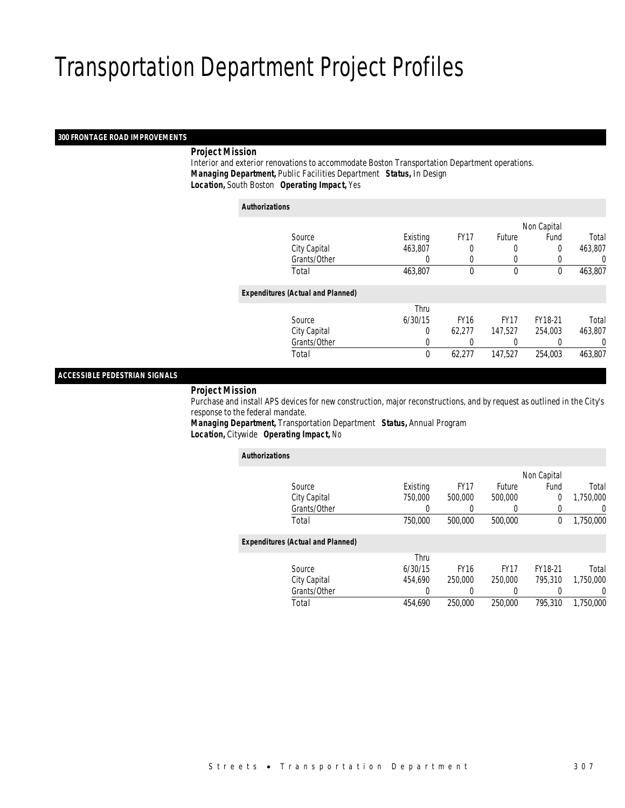### *300 FRONTAGE ROAD IMPROVEMENTS*

### *Project Mission*

 Interior and exterior renovations to accommodate Boston Transportation Department operations. *Managing Department,* Public Facilities Department *Status,* In Design*Location,* South Boston *Operating Impact,* Yes

| <b>Authorizations</b> |                                          |             |             |             |             |         |
|-----------------------|------------------------------------------|-------------|-------------|-------------|-------------|---------|
|                       |                                          |             |             |             | Non Capital |         |
|                       | Source                                   | Existing    | <b>FY17</b> | Future      | Fund        | Total   |
|                       | City Capital                             | 463,807     | 0           | 0           | 0           | 463,807 |
|                       | Grants/Other                             | 0           | 0           | 0           |             | 0       |
|                       | Total                                    | 463,807     | $\theta$    | $\theta$    | $\theta$    | 463,807 |
|                       | <b>Expenditures (Actual and Planned)</b> |             |             |             |             |         |
|                       |                                          | Thru        |             |             |             |         |
|                       | Source                                   | 6/30/15     | <b>FY16</b> | <b>FY17</b> | FY18-21     | Total   |
|                       | City Capital                             | 0           | 62.277      | 147.527     | 254.003     | 463,807 |
|                       | Grants/Other                             | 0           |             |             |             | 0       |
|                       | Total                                    | $\mathbf 0$ | 62,277      | 147,527     | 254,003     | 463,807 |

### *ACCESSIBLE PEDESTRIAN SIGNALS*

#### *Project Mission*

 Purchase and install APS devices for new construction, major reconstructions, and by request as outlined in the City's response to the federal mandate.

*Managing Department,* Transportation Department *Status,* Annual Program*Location,* Citywide *Operating Impact,* No

| <b>Authorizations</b> |                                          |          |             |             |             |           |
|-----------------------|------------------------------------------|----------|-------------|-------------|-------------|-----------|
|                       |                                          |          |             |             | Non Capital |           |
|                       | Source                                   | Existing | <b>FY17</b> | Future      | Fund        | Total     |
|                       | City Capital                             | 750,000  | 500,000     | 500,000     | 0           | 1,750,000 |
|                       | Grants/Other                             | 0        |             | 0           | 0           | 0         |
|                       | Total                                    | 750,000  | 500,000     | 500,000     | 0           | 1,750,000 |
|                       | <b>Expenditures (Actual and Planned)</b> |          |             |             |             |           |
|                       |                                          | Thru     |             |             |             |           |
|                       | Source                                   | 6/30/15  | <b>FY16</b> | <b>FY17</b> | FY18-21     | Total     |
|                       | City Capital                             | 454.690  | 250,000     | 250,000     | 795.310     | 1.750.000 |
|                       | Grants/Other                             | 0        |             | 0           |             | 0         |
|                       | Total                                    | 454.690  | 250,000     | 250,000     | 795,310     | 1.750.000 |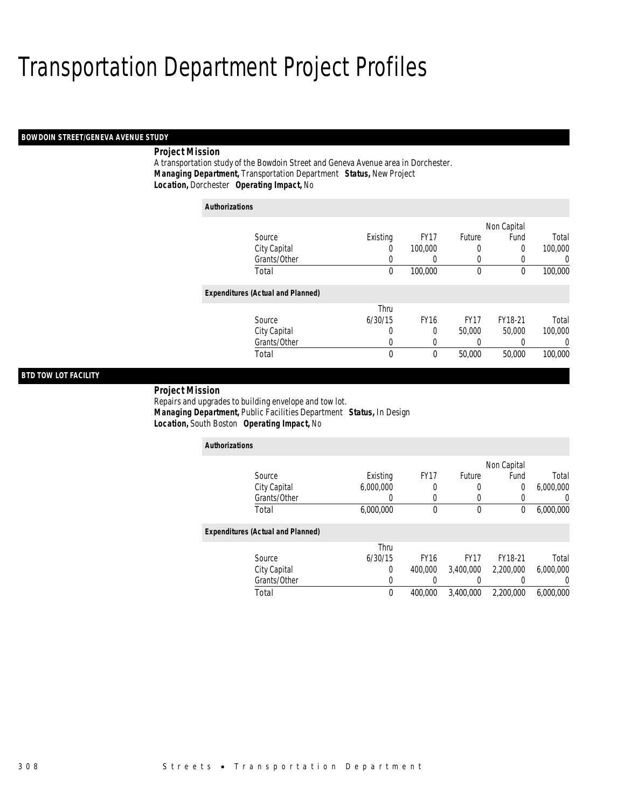### *BOWDOIN STREET/GENEVA AVENUE STUDY*

### *Project Mission*

A transportation study of the Bowdoin Street and Geneva Avenue area in Dorchester. *Managing Department,* Transportation Department *Status,* New Project*Location,* Dorchester *Operating Impact,* No

| <b>Authorizations</b>                    |              |          |             |             |             |         |
|------------------------------------------|--------------|----------|-------------|-------------|-------------|---------|
|                                          |              |          |             |             | Non Capital |         |
| Source                                   |              | Existing | <b>FY17</b> | Future      | Fund        | Total   |
| City Capital                             |              | 0        | 100,000     | 0           | 0           | 100,000 |
|                                          | Grants/Other | 0        | 0           | 0           | 0           | 0       |
| Total                                    |              | 0        | 100,000     | $\mathbf 0$ | $\theta$    | 100,000 |
| <b>Expenditures (Actual and Planned)</b> |              |          |             |             |             |         |
|                                          |              | Thru     |             |             |             |         |
| Source                                   |              | 6/30/15  | <b>FY16</b> | <b>FY17</b> | FY18-21     | Total   |
| City Capital                             |              | 0        | 0           | 50,000      | 50,000      | 100,000 |
| Grants/Other                             |              | 0        | 0           | 0           | 0           | 0       |
| Total                                    |              | 0        | 0           | 50,000      | 50,000      | 100,000 |

### *BTD TOW LOT FACILITY*

 *Project Mission* Repairs and upgrades to building envelope and tow lot. *Managing Department,* Public Facilities Department *Status,* In Design*Location,* South Boston *Operating Impact,* No

| <b>Authorizations</b>                    |           |             |             |             |                  |
|------------------------------------------|-----------|-------------|-------------|-------------|------------------|
|                                          |           |             |             | Non Capital |                  |
| Source                                   | Existing  | <b>FY17</b> | Future      | Fund        | Total            |
| City Capital                             | 6.000.000 |             | 0           | 0           | 6,000,000        |
| Grants/Other                             | 0         | 0           | 0           | 0           | $\left( \right)$ |
| Total                                    | 6,000,000 | $\theta$    | 0           | 0           | 6,000,000        |
| <b>Expenditures (Actual and Planned)</b> |           |             |             |             |                  |
|                                          | Thru      |             |             |             |                  |
| Source                                   | 6/30/15   | <b>FY16</b> | <b>FY17</b> | FY18-21     | Total            |
| City Capital                             | 0         | 400,000     | 3.400.000   | 2.200.000   | 6,000,000        |
| Grants/Other                             | 0         |             | 0           | 0           |                  |
| Total                                    | $\theta$  | 400.000     | 3.400.000   | 2,200,000   | 6.000.000        |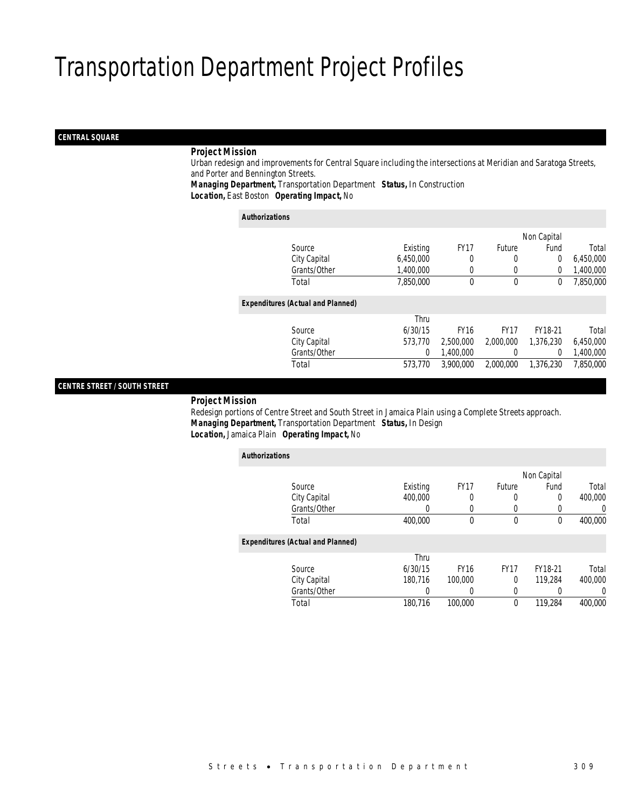### *CENTRAL SQUARE*

### *Project Mission*

 Urban redesign and improvements for Central Square including the intersections at Meridian and Saratoga Streets, and Porter and Bennington Streets.

*Managing Department,* Transportation Department *Status,* In Construction*Location,* East Boston *Operating Impact,* No

*Authorizations*

|                                          |           |             |               | Non Capital |           |
|------------------------------------------|-----------|-------------|---------------|-------------|-----------|
| Source                                   | Existing  | <b>FY17</b> | <b>Future</b> | Fund        | Total     |
| City Capital                             | 6,450,000 | 0           | 0             | 0           | 6,450,000 |
| Grants/Other                             | 1,400,000 | 0           | 0             | $\Omega$    | 1,400,000 |
| Total                                    | 7,850,000 | 0           | $\mathbf 0$   | 0           | 7,850,000 |
| <b>Expenditures (Actual and Planned)</b> |           |             |               |             |           |
|                                          | Thru      |             |               |             |           |
| Source                                   | 6/30/15   | <b>FY16</b> | <b>FY17</b>   | FY18-21     | Total     |
| City Capital                             | 573,770   | 2,500,000   | 2,000,000     | 1,376,230   | 6,450,000 |
| Grants/Other                             | 0         | 1,400,000   | 0             | 0           | 1,400,000 |
| Total                                    | 573,770   | 3,900,000   | 2,000,000     | 1,376,230   | 7,850,000 |
|                                          |           |             |               |             |           |

### *CENTRE STREET / SOUTH STREET*

*Project Mission*

 Redesign portions of Centre Street and South Street in Jamaica Plain using a Complete Streets approach. *Managing Department,* Transportation Department *Status,* In Design*Location,* Jamaica Plain *Operating Impact,* No

| <b>Authorizations</b>                    |          |             |             |             |                |
|------------------------------------------|----------|-------------|-------------|-------------|----------------|
|                                          |          |             |             | Non Capital |                |
| Source                                   | Existing | <b>FY17</b> | Future      | Fund        | Total          |
| City Capital                             | 400,000  | 0           | 0           | 0           | 400,000        |
| Grants/Other                             | 0        | 0           | 0           |             | 0              |
| Total                                    | 400.000  | 0           | $\theta$    | 0           | 400,000        |
| <b>Expenditures (Actual and Planned)</b> |          |             |             |             |                |
|                                          | Thru     |             |             |             |                |
| Source                                   | 6/30/15  | <b>FY16</b> | <b>FY17</b> | FY18-21     | Total          |
| City Capital                             | 180.716  | 100,000     | 0           | 119,284     | 400,000        |
| Grants/Other                             | 0        | 0           | 0           |             | $\overline{0}$ |
| Total                                    | 180,716  | 100,000     | 0           | 119,284     | 400,000        |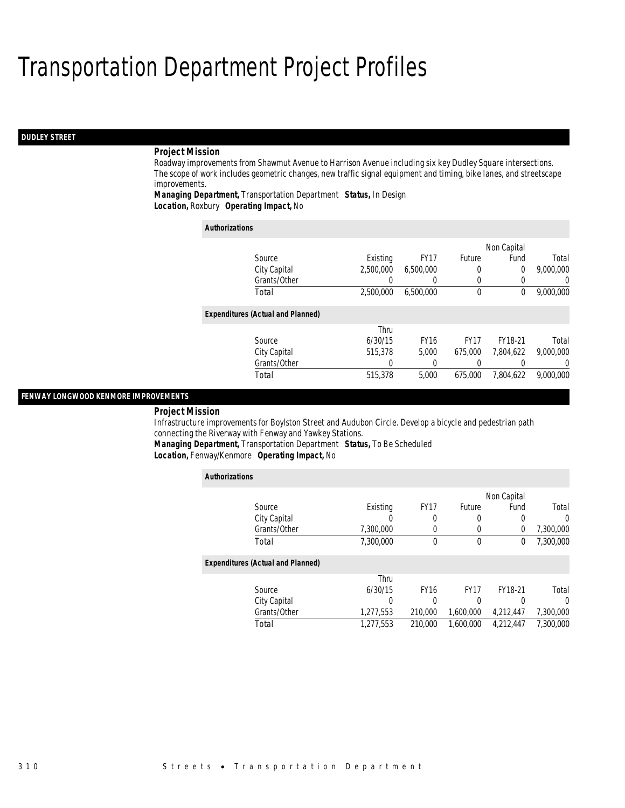### *DUDLEY STREET*

### *Project Mission*

Roadway improvements from Shawmut Avenue to Harrison Avenue including six key Dudley Square intersections. The scope of work includes geometric changes, new traffic signal equipment and timing, bike lanes, and streetscape improvements.

*Managing Department,* Transportation Department *Status,* In Design*Location,* Roxbury *Operating Impact,* No

| <b>Authorizations</b>                    |           |                  |             |             |                  |
|------------------------------------------|-----------|------------------|-------------|-------------|------------------|
|                                          |           |                  |             | Non Capital |                  |
| Source                                   | Existing  | FY <sub>17</sub> | Future      | Fund        | Total            |
| City Capital                             | 2.500.000 | 6,500,000        | 0           | 0           | 9,000,000        |
| Grants/Other                             |           | $\left( \right)$ | $\Omega$    | 0           | $\left( \right)$ |
| Total                                    | 2,500,000 | 6,500,000        | 0           | 0           | 9,000,000        |
| <b>Expenditures (Actual and Planned)</b> |           |                  |             |             |                  |
|                                          | Thru      |                  |             |             |                  |
| Source                                   | 6/30/15   | <b>FY16</b>      | <b>FY17</b> | FY18-21     | Total            |
| City Capital                             | 515,378   | 5.000            | 675,000     | 7,804,622   | 9.000.000        |
| Grants/Other                             |           |                  |             |             | $\left( \right)$ |
| Total                                    | 515,378   | 5.000            | 675,000     | 7.804.622   | 9.000.000        |

#### *FENWAY LONGWOOD KENMORE IMPROVEMENTS*

*Project Mission* 

Infrastructure improvements for Boylston Street and Audubon Circle. Develop a bicycle and pedestrian path connecting the Riverway with Fenway and Yawkey Stations.

*Managing Department,* Transportation Department *Status,* To Be Scheduled*Location,* Fenway/Kenmore *Operating Impact,* No

| <b>Authorizations</b>                    |           |             |                  |             |           |
|------------------------------------------|-----------|-------------|------------------|-------------|-----------|
|                                          |           |             |                  | Non Capital |           |
| Source                                   | Existing  | <b>FY17</b> | Future           | Fund        | Total     |
| City Capital                             |           | 0           | 0                |             | $\Omega$  |
| Grants/Other                             | 7,300,000 | 0           | $\left( \right)$ | 0           | 7,300,000 |
| Total                                    | 7,300,000 | $\Omega$    | $\mathbf 0$      | 0           | 7,300,000 |
| <b>Expenditures (Actual and Planned)</b> |           |             |                  |             |           |
|                                          | Thru      |             |                  |             |           |
| Source                                   | 6/30/15   | <b>FY16</b> | <b>FY17</b>      | FY18-21     | Total     |
| City Capital                             | 0         | 0           | 0                |             | $\Omega$  |
| Grants/Other                             | 1,277,553 | 210,000     | 1,600,000        | 4,212,447   | 7,300,000 |
| Total                                    | 1.277.553 | 210,000     | 1.600.000        | 4.212.447   | 7.300.000 |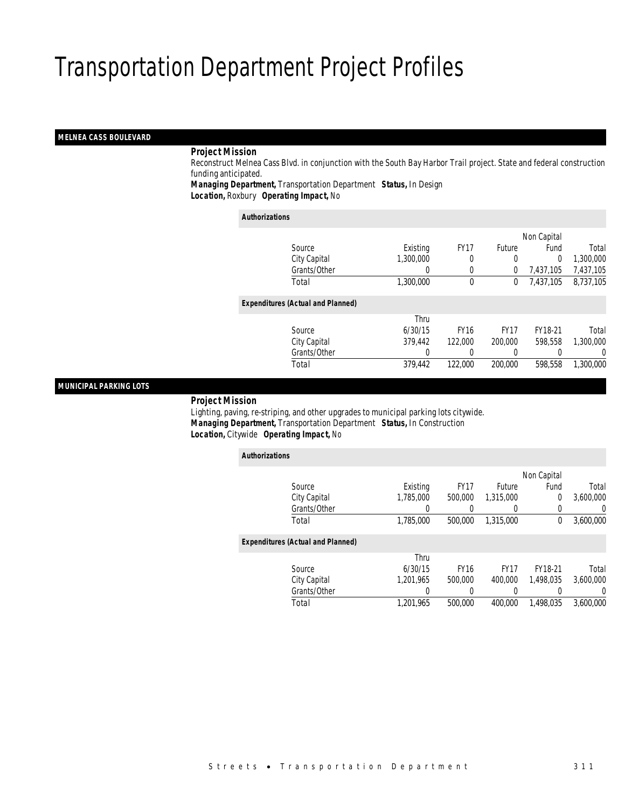### *MELNEA CASS BOULEVARD*

### *Project Mission*

 Reconstruct Melnea Cass Blvd. in conjunction with the South Bay Harbor Trail project. State and federal construction funding anticipated.

*Managing Department,* Transportation Department *Status,* In Design*Location,* Roxbury *Operating Impact,* No

*Authorizations*

| AUUIVIIZAUVIIS |                                          |           |             |               |             |           |
|----------------|------------------------------------------|-----------|-------------|---------------|-------------|-----------|
|                |                                          |           |             |               | Non Capital |           |
|                | Source                                   | Existing  | <b>FY17</b> | <b>Future</b> | Fund        | Total     |
|                | City Capital                             | 1,300,000 | 0           | 0             | $\Omega$    | 1,300,000 |
|                | Grants/Other                             | 0         | 0           | 0             | 7,437,105   | 7,437,105 |
|                | Total                                    | 1,300,000 | 0           | 0             | 7,437,105   | 8,737,105 |
|                | <b>Expenditures (Actual and Planned)</b> |           |             |               |             |           |
|                |                                          | Thru      |             |               |             |           |
|                | Source                                   | 6/30/15   | <b>FY16</b> | <b>FY17</b>   | FY18-21     | Total     |
|                | City Capital                             | 379,442   | 122,000     | 200,000       | 598.558     | 1,300,000 |
|                | Grants/Other                             | 0         |             | 0             |             | 0         |
|                | Total                                    | 379,442   | 122,000     | 200,000       | 598,558     | 1,300,000 |
|                |                                          |           |             |               |             |           |

### *MUNICIPAL PARKING LOTS*

*Project Mission*

 Lighting, paving, re-striping, and other upgrades to municipal parking lots citywide. *Managing Department,* Transportation Department *Status,* In Construction*Location,* Citywide *Operating Impact,* No

| <b>Authorizations</b>                    |           |             |             |             |           |
|------------------------------------------|-----------|-------------|-------------|-------------|-----------|
|                                          |           |             |             | Non Capital |           |
| Source                                   | Existing  | <b>FY17</b> | Future      | Fund        | Total     |
| City Capital                             | 1.785.000 | 500,000     | 1.315.000   | 0           | 3,600,000 |
| Grants/Other                             |           |             | 0           | 0           | 0         |
| Total                                    | 1,785,000 | 500,000     | 1,315,000   | 0           | 3,600,000 |
| <b>Expenditures (Actual and Planned)</b> |           |             |             |             |           |
|                                          | Thru      |             |             |             |           |
| Source                                   | 6/30/15   | <b>FY16</b> | <b>FY17</b> | FY18-21     | Total     |
| City Capital                             | 1.201.965 | 500,000     | 400.000     | 1.498.035   | 3.600.000 |
| Grants/Other                             | 0         | 0           | 0           | 0           | $\left($  |
| Total                                    | 1.201.965 | 500,000     | 400.000     | 1.498.035   | 3.600.000 |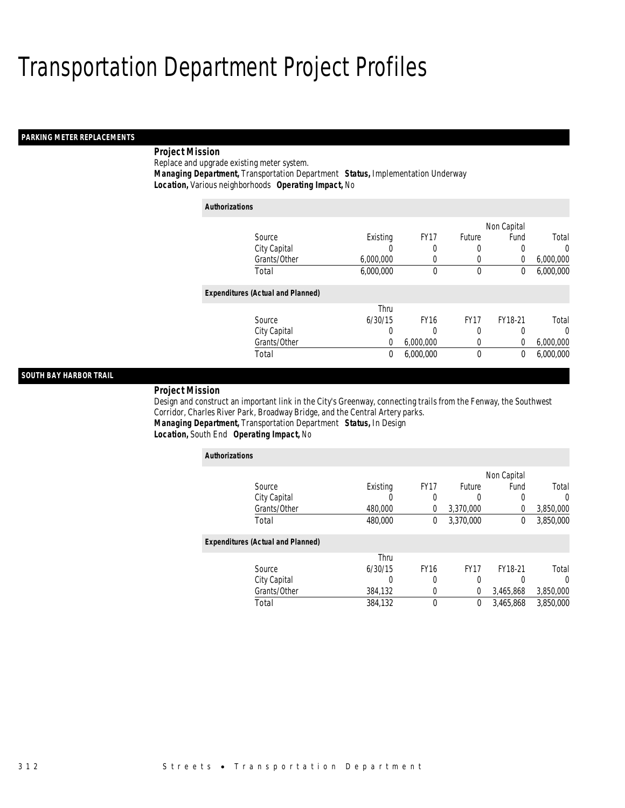### *PARKING METER REPLACEMENTS*

## *Project Mission*

Replace and upgrade existing meter system.

*Managing Department,* Transportation Department *Status,* Implementation Underway

*Location,* Various neighborhoods *Operating Impact,* No

| <b>Authorizations</b>                    |           |             |             |             |           |
|------------------------------------------|-----------|-------------|-------------|-------------|-----------|
|                                          |           |             |             | Non Capital |           |
| Source                                   | Existing  | <b>FY17</b> | Future      | Fund        | Total     |
| City Capital                             | U         | 0           | 0           |             | $\Omega$  |
| Grants/Other                             | 6,000,000 | 0           | 0           | 0           | 6,000,000 |
| Total                                    | 6,000,000 | 0           | 0           | 0           | 6,000,000 |
| <b>Expenditures (Actual and Planned)</b> |           |             |             |             |           |
|                                          | Thru      |             |             |             |           |
| Source                                   | 6/30/15   | <b>FY16</b> | <b>FY17</b> | FY18-21     | Total     |
| City Capital                             | 0         | 0           | 0           |             | $\Omega$  |
| Grants/Other                             | 0         | 6,000,000   | 0           | $\Omega$    | 6,000,000 |
| Total                                    | 0         | 6,000,000   | 0           | 0           | 6,000,000 |

### *SOUTH BAY HARBOR TRAIL*

#### *Project Mission*

Design and construct an important link in the City's Greenway, connecting trails from the Fenway, the Southwest Corridor, Charles River Park, Broadway Bridge, and the Central Artery parks. *Managing Department,* Transportation Department *Status,* In Design

### *Location,* South End *Operating Impact,* No

| <b>Authorizations</b>                    |          |             |             |             |           |
|------------------------------------------|----------|-------------|-------------|-------------|-----------|
|                                          |          |             |             | Non Capital |           |
| Source                                   | Existing | <b>FY17</b> | Future      | Fund        | Total     |
| City Capital                             | U        | 0           | 0           | 0           | $\left($  |
| Grants/Other                             | 480,000  | 0           | 3,370,000   | 0           | 3,850,000 |
| Total                                    | 480,000  | 0           | 3,370,000   | $\theta$    | 3,850,000 |
| <b>Expenditures (Actual and Planned)</b> |          |             |             |             |           |
|                                          | Thru     |             |             |             |           |
| Source                                   | 6/30/15  | <b>FY16</b> | <b>FY17</b> | FY18-21     | Total     |
| City Capital                             | 0        | 0           | 0           |             | 0         |
| Grants/Other                             | 384,132  | 0           | $\Omega$    | 3,465,868   | 3,850,000 |
| Total                                    | 384,132  | 0           | 0           | 3.465.868   | 3.850.000 |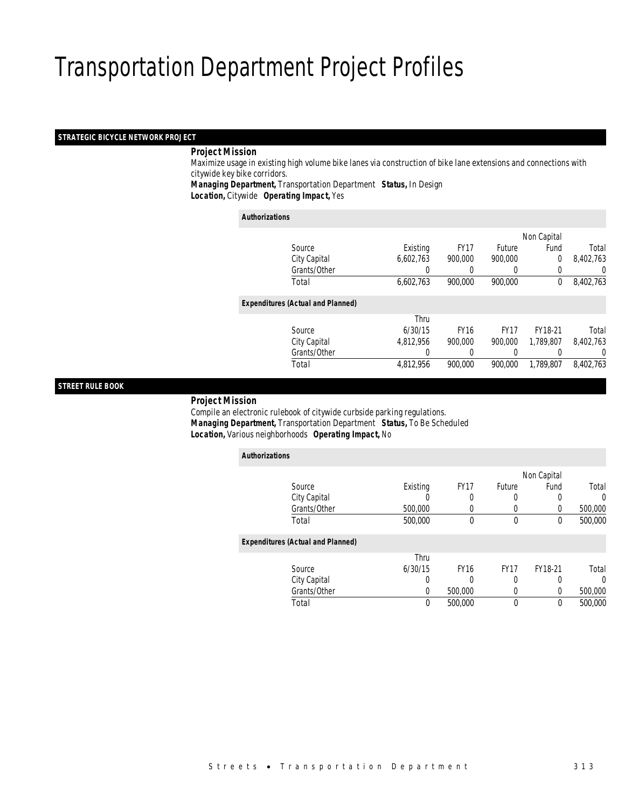### *STRATEGIC BICYCLE NETWORK PROJECT*

### *Project Mission*

 Maximize usage in existing high volume bike lanes via construction of bike lane extensions and connections with citywide key bike corridors.

*Managing Department,* Transportation Department *Status,* In Design*Location,* Citywide *Operating Impact,* Yes

| <b>Authorizations</b> |
|-----------------------|
|-----------------------|

|                                          |                  |             |                  | Non Capital    |           |
|------------------------------------------|------------------|-------------|------------------|----------------|-----------|
| Source                                   | Existing         | <b>FY17</b> | <b>Future</b>    | Fund           | Total     |
| City Capital                             | 6,602,763        | 900,000     | 900,000          | $\overline{0}$ | 8,402,763 |
| Grants/Other                             | $\left( \right)$ |             | $\left( \right)$ |                | 0         |
| Total                                    | 6,602,763        | 900,000     | 900,000          | $^{0}$         | 8,402,763 |
| <b>Expenditures (Actual and Planned)</b> |                  |             |                  |                |           |
|                                          | Thru             |             |                  |                |           |
| Source                                   | 6/30/15          | <b>FY16</b> | <b>FY17</b>      | FY18-21        | Total     |
| City Capital                             | 4,812,956        | 900.000     | 900.000          | 1,789,807      | 8,402,763 |
| Grants/Other                             | 0                |             | 0                |                | 0         |
| Total                                    | 4,812,956        | 900.000     | 900.000          | 1,789,807      | 8,402,763 |
|                                          |                  |             |                  |                |           |

### *STREET RULE BOOK*

*Project Mission*

 Compile an electronic rulebook of citywide curbside parking regulations. *Managing Department,* Transportation Department *Status,* To Be Scheduled*Location,* Various neighborhoods *Operating Impact,* No

| <b>Authorizations</b>                    |          |             |             |             |          |
|------------------------------------------|----------|-------------|-------------|-------------|----------|
|                                          |          |             |             | Non Capital |          |
| Source                                   | Existing | <b>FY17</b> | Future      | Fund        | Total    |
| City Capital                             |          | 0           | U           | 0           | $\Omega$ |
| Grants/Other                             | 500,000  |             | 0           | 0           | 500,000  |
| Total                                    | 500,000  | 0           | $\theta$    | $^{0}$      | 500,000  |
| <b>Expenditures (Actual and Planned)</b> |          |             |             |             |          |
|                                          | Thru     |             |             |             |          |
| Source                                   | 6/30/15  | <b>FY16</b> | <b>FY17</b> | FY18-21     | Total    |
| City Capital                             | 0        |             | 0           | 0           | $\Omega$ |
| Grants/Other                             | 0        | 500,000     | 0           | 0           | 500,000  |
| Total                                    | 0        | 500,000     | 0           | 0           | 500,000  |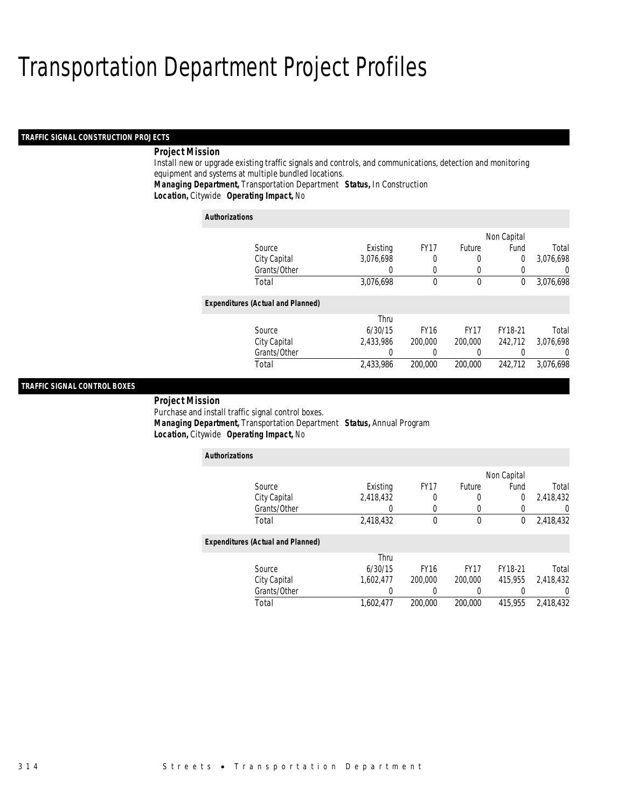### *TRAFFIC SIGNAL CONSTRUCTION PROJECTS*

### *Project Mission*

Install new or upgrade existing traffic signals and controls, and communications, detection and monitoring equipment and systems at multiple bundled locations.

*Managing Department,* Transportation Department *Status,* In Construction

*Location,* Citywide *Operating Impact,* No

| <b>Authorizations</b>                    |           |             |             |                |           |
|------------------------------------------|-----------|-------------|-------------|----------------|-----------|
|                                          |           |             |             | Non Capital    |           |
| Source                                   | Existing  | <b>FY17</b> | Future      | Fund           | Total     |
| City Capital                             | 3,076,698 | 0           | 0           | $\overline{0}$ | 3,076,698 |
| Grants/Other                             |           | 0           | 0           | 0              |           |
| Total                                    | 3,076,698 | $\theta$    | $\mathbf 0$ | 0              | 3,076,698 |
| <b>Expenditures (Actual and Planned)</b> |           |             |             |                |           |
|                                          | Thru      |             |             |                |           |
| Source                                   | 6/30/15   | <b>FY16</b> | <b>FY17</b> | FY18-21        | Total     |
| City Capital                             | 2.433.986 | 200,000     | 200,000     | 242.712        | 3.076.698 |
| Grants/Other                             |           | 0           | 0           | 0              |           |
| Total                                    | 2.433.986 | 200,000     | 200,000     | 242.712        | 3.076.698 |

### *TRAFFIC SIGNAL CONTROL BOXES*

*Project Mission* 

Purchase and install traffic signal control boxes.

*Managing Department,* Transportation Department *Status,* Annual Program

*Location,* Citywide *Operating Impact,* No

| <b>Authorizations</b>                    |           |             |             |             |                  |
|------------------------------------------|-----------|-------------|-------------|-------------|------------------|
|                                          |           |             |             | Non Capital |                  |
| Source                                   | Existing  | <b>FY17</b> | Future      | Fund        | Total            |
| City Capital                             | 2,418,432 | 0           | 0           | 0           | 2,418,432        |
| Grants/Other                             | 0         | 0           |             |             | 0                |
| Total                                    | 2,418,432 | $\theta$    | $\theta$    | 0           | 2,418,432        |
| <b>Expenditures (Actual and Planned)</b> |           |             |             |             |                  |
|                                          | Thru      |             |             |             |                  |
| Source                                   | 6/30/15   | <b>FY16</b> | <b>FY17</b> | FY18-21     | Total            |
| City Capital                             | 1,602,477 | 200,000     | 200,000     | 415,955     | 2,418,432        |
| Grants/Other                             | 0         | 0           |             |             | $\left( \right)$ |
| Total                                    | 1.602.477 | 200,000     | 200,000     | 415,955     | 2,418,432        |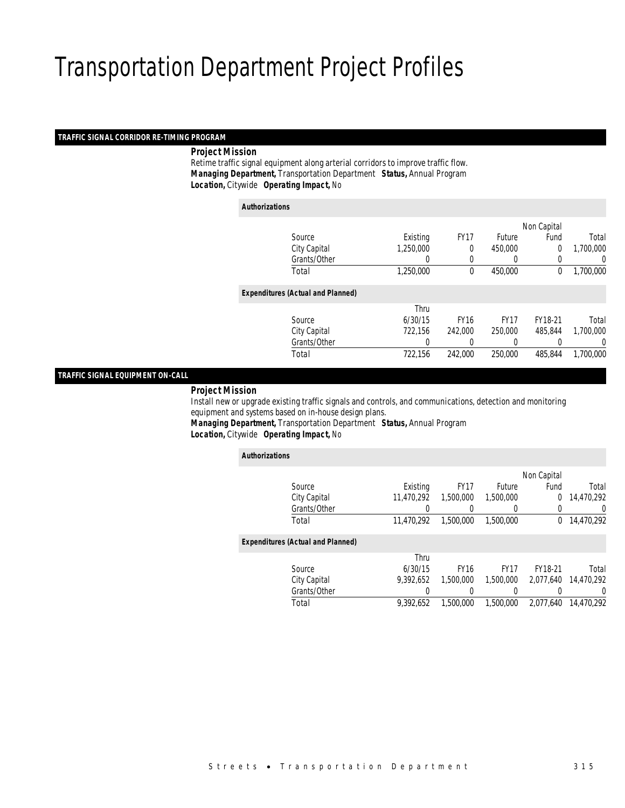#### *TRAFFIC SIGNAL CORRIDOR RE-TIMING PROGRAM*

### *Project Mission*

 Retime traffic signal equipment along arterial corridors to improve traffic flow. *Managing Department,* Transportation Department *Status,* Annual Program*Location,* Citywide *Operating Impact,* No

| <b>Authorizations</b> |                                          |           |             |               |                |           |
|-----------------------|------------------------------------------|-----------|-------------|---------------|----------------|-----------|
|                       |                                          |           |             |               | Non Capital    |           |
|                       | Source                                   | Existing  | <b>FY17</b> | <b>Future</b> | Fund           | Total     |
|                       | City Capital                             | 1,250,000 | 0           | 450,000       | $\overline{0}$ | 1,700,000 |
|                       | Grants/Other                             | 0         | $\Omega$    | $\left($      | 0              | 0         |
|                       | Total                                    | 1,250,000 | $\theta$    | 450,000       | $\mathbf 0$    | 1,700,000 |
|                       | <b>Expenditures (Actual and Planned)</b> |           |             |               |                |           |
|                       |                                          | Thru      |             |               |                |           |
|                       | Source                                   | 6/30/15   | <b>FY16</b> | <b>FY17</b>   | FY18-21        | Total     |
|                       | City Capital                             | 722.156   | 242,000     | 250,000       | 485.844        | 1,700,000 |
|                       | Grants/Other                             | 0         | 0           |               |                | 0         |
|                       | Total                                    | 722,156   | 242,000     | 250,000       | 485,844        | 1,700,000 |
|                       |                                          |           |             |               |                |           |

### *TRAFFIC SIGNAL EQUIPMENT ON-CALL*

#### *Project Mission*

*Authorizations*

 Install new or upgrade existing traffic signals and controls, and communications, detection and monitoring equipment and systems based on in-house design plans.

*Managing Department,* Transportation Department *Status,* Annual Program*Location,* Citywide *Operating Impact,* No

| AUUNULLAUUNS |                                          |            |             |             |             |            |
|--------------|------------------------------------------|------------|-------------|-------------|-------------|------------|
|              |                                          |            |             |             | Non Capital |            |
|              | Source                                   | Existing   | <b>FY17</b> | Future      | Fund        | Total      |
|              | City Capital                             | 11.470.292 | 1,500,000   | 1,500,000   | 0           | 14,470,292 |
|              | Grants/Other                             |            |             |             |             | 0          |
|              | Total                                    | 11,470,292 | 1,500,000   | 1,500,000   | 0           | 14,470,292 |
|              | <b>Expenditures (Actual and Planned)</b> |            |             |             |             |            |
|              |                                          | Thru       |             |             |             |            |
|              | Source                                   | 6/30/15    | <b>FY16</b> | <b>FY17</b> | FY18-21     | Total      |
|              | City Capital                             | 9.392.652  | 1,500,000   | 1.500.000   | 2.077.640   | 14.470.292 |
|              | Grants/Other                             |            |             |             |             | 0          |
|              | Total                                    | 9.392.652  | 1,500,000   | 1,500,000   | 2.077.640   | 14,470,292 |
|              |                                          |            |             |             |             |            |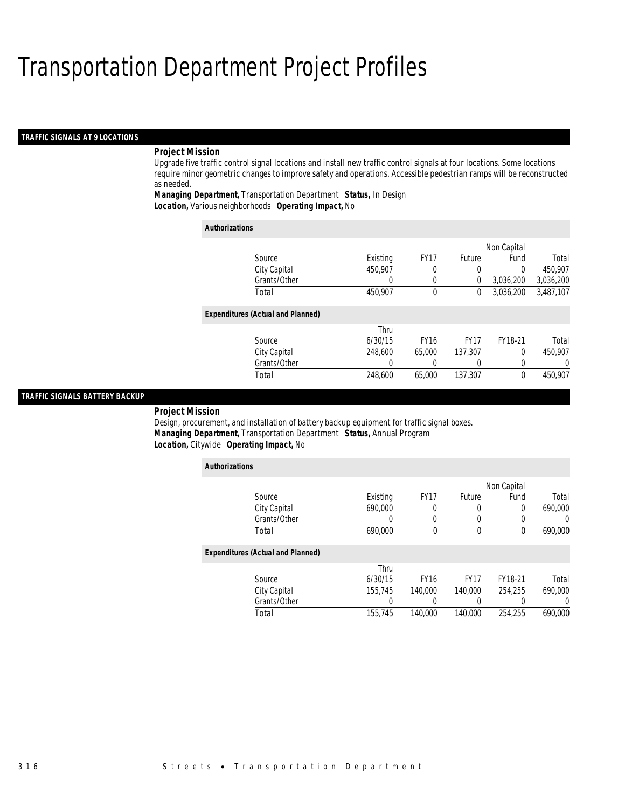### *TRAFFIC SIGNALS AT 9 LOCATIONS*

### *Project Mission*

Upgrade five traffic control signal locations and install new traffic control signals at four locations. Some locations require minor geometric changes to improve safety and operations. Accessible pedestrian ramps will be reconstructed as needed.

*Managing Department,* Transportation Department *Status,* In Design*Location,* Various neighborhoods *Operating Impact,* No

| <b>Authorizations</b>                    |          |             |             |             |           |
|------------------------------------------|----------|-------------|-------------|-------------|-----------|
|                                          |          |             |             | Non Capital |           |
| Source                                   | Existing | <b>FY17</b> | Future      | Fund        | Total     |
| City Capital                             | 450.907  | 0           | $\Omega$    | $\Omega$    | 450.907   |
| Grants/Other                             | 0        | 0           | 0           | 3,036,200   | 3,036,200 |
| Total                                    | 450.907  | $\theta$    | 0           | 3.036.200   | 3,487,107 |
| <b>Expenditures (Actual and Planned)</b> |          |             |             |             |           |
|                                          | Thru     |             |             |             |           |
| Source                                   | 6/30/15  | <b>FY16</b> | <b>FY17</b> | FY18-21     | Total     |
| City Capital                             | 248,600  | 65,000      | 137,307     | $\Omega$    | 450.907   |
| Grants/Other                             | 0        | 0           |             | $\Omega$    | $\left($  |
| Total                                    | 248,600  | 65,000      | 137,307     | $\theta$    | 450.907   |

#### *TRAFFIC SIGNALS BATTERY BACKUP*

*Project Mission* 

Design, procurement, and installation of battery backup equipment for traffic signal boxes. *Managing Department,* Transportation Department *Status,* Annual Program*Location,* Citywide *Operating Impact,* No

| <b>Authorizations</b>                    |          |             |             |             |         |
|------------------------------------------|----------|-------------|-------------|-------------|---------|
|                                          |          |             |             | Non Capital |         |
| Source                                   | Existing | <b>FY17</b> | Future      | Fund        | Total   |
| City Capital                             | 690,000  | 0           | 0           | $\Omega$    | 690,000 |
| Grants/Other                             |          | 0           | 0           | 0           |         |
| Total                                    | 690.000  | 0           | 0           | 0           | 690,000 |
| <b>Expenditures (Actual and Planned)</b> |          |             |             |             |         |
|                                          | Thru     |             |             |             |         |
| Source                                   | 6/30/15  | <b>FY16</b> | <b>FY17</b> | FY18-21     | Total   |
| City Capital                             | 155,745  | 140,000     | 140,000     | 254,255     | 690,000 |
| Grants/Other                             |          |             | 0           | 0           |         |
| Total                                    | 155.745  | 140,000     | 140,000     | 254.255     | 690.000 |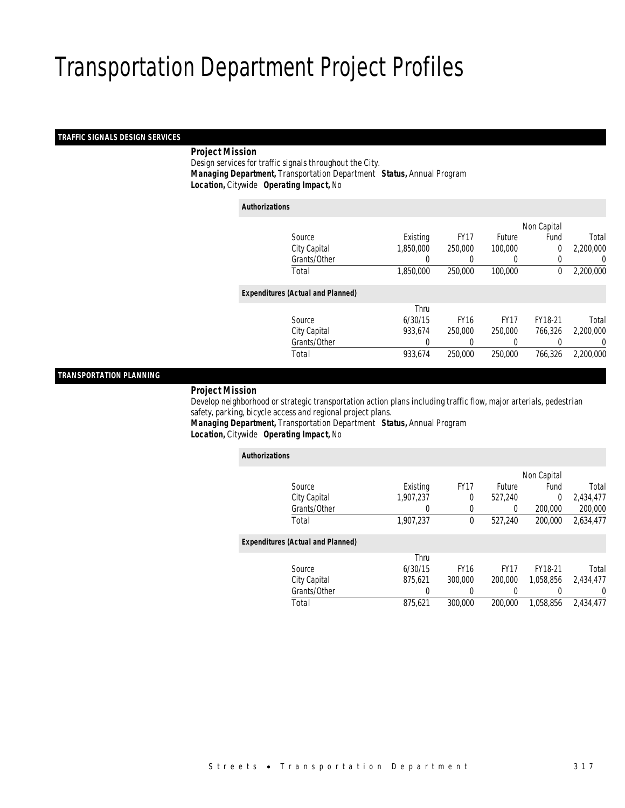### *TRAFFIC SIGNALS DESIGN SERVICES*

### *Project Mission*

 Design services for traffic signals throughout the City. *Managing Department,* Transportation Department *Status,* Annual Program*Location,* Citywide *Operating Impact,* No

| <b>Authorizations</b>                    |           |             |               |                |           |
|------------------------------------------|-----------|-------------|---------------|----------------|-----------|
|                                          |           |             |               | Non Capital    |           |
| Source                                   | Existing  | <b>FY17</b> | <b>Future</b> | Fund           | Total     |
| City Capital                             | 1,850,000 | 250,000     | 100,000       | $\overline{0}$ | 2,200,000 |
| Grants/Other                             | 0         |             | $\left($      | 0              | 0         |
| Total                                    | 1.850.000 | 250,000     | 100,000       | 0              | 2.200.000 |
| <b>Expenditures (Actual and Planned)</b> |           |             |               |                |           |
|                                          | Thru      |             |               |                |           |
| Source                                   | 6/30/15   | <b>FY16</b> | <b>FY17</b>   | FY18-21        | Total     |
| City Capital                             | 933,674   | 250,000     | 250,000       | 766.326        | 2,200,000 |
| Grants/Other                             |           |             |               |                | U         |
| Total                                    | 933,674   | 250,000     | 250,000       | 766.326        | 2,200,000 |

### *TRANSPORTATION PLANNING*

### *Project Mission*

 Develop neighborhood or strategic transportation action plans including traffic flow, major arterials, pedestrian safety, parking, bicycle access and regional project plans.

*Managing Department,* Transportation Department *Status,* Annual Program*Location,* Citywide *Operating Impact,* No

| <b>Authorizations</b>                    |           |             |             |           |           |  |
|------------------------------------------|-----------|-------------|-------------|-----------|-----------|--|
|                                          |           |             | Non Capital |           |           |  |
| Source                                   | Existing  | <b>FY17</b> | Future      | Fund      | Total     |  |
| City Capital                             | 1,907,237 | 0           | 527,240     | 0         | 2,434,477 |  |
| Grants/Other                             | 0         | 0           | 0           | 200,000   | 200,000   |  |
| Total                                    | 1.907.237 | 0           | 527,240     | 200,000   | 2,634,477 |  |
| <b>Expenditures (Actual and Planned)</b> |           |             |             |           |           |  |
|                                          | Thru      |             |             |           |           |  |
| Source                                   | 6/30/15   | <b>FY16</b> | <b>FY17</b> | FY18-21   | Total     |  |
| City Capital                             | 875.621   | 300,000     | 200,000     | 1.058.856 | 2.434.477 |  |
| Grants/Other                             | 0         | 0           | 0           |           | U         |  |
| Total                                    | 875,621   | 300,000     | 200,000     | 1.058.856 | 2.434.477 |  |